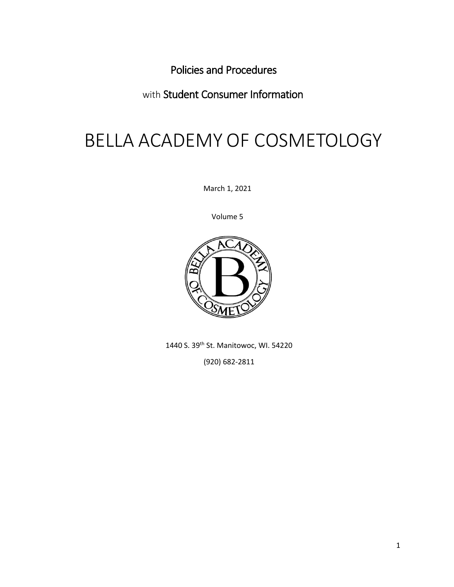<span id="page-0-0"></span>Policies and Procedures

<span id="page-0-1"></span>with Student Consumer Information

# BELLA ACADEMY OF COSMETOLOGY

March 1, 2021

Volume 5



1440 S. 39th St. Manitowoc, WI. 54220

(920) 682-2811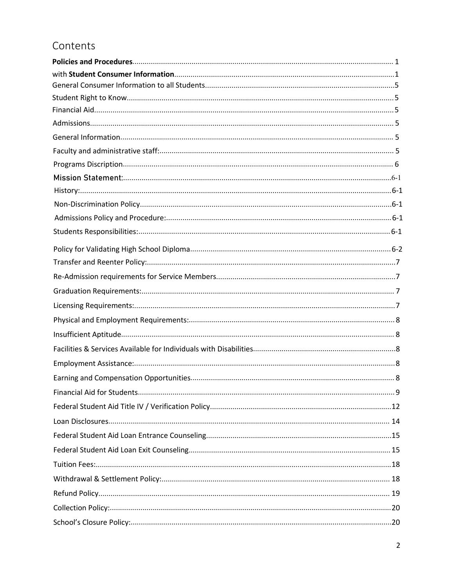# Contents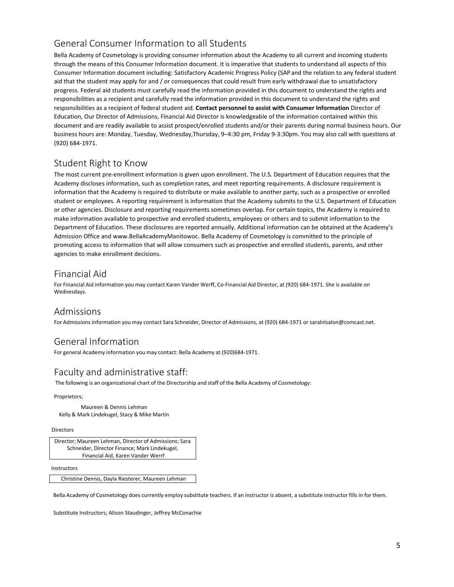# General Consumer Information to all Students

<span id="page-4-0"></span>Bella Academy of Cosmetology is providing consumer information about the Academy to all current and incoming students through the means of this Consumer Information document. It is imperative that students to understand all aspects of this Consumer Information document including: Satisfactory Academic Progress Policy (SAPand the relation to any federal student aid that the student may apply for and / or consequences that could result from early withdrawal due to unsatisfactory progress. Federal aid students must carefully read the information provided in this document to understand the rights and responsibilities as a recipient and carefully read the information provided in this document to understand the rights and responsibilities as a recipient of federal student aid. **Contact personnel to assist with Consumer Information** Director of Education, Our Director of Admissions, Financial Aid Director is knowledgeable of the information contained within this document and are readily available to assist prospect/enrolled students and/or their parents during normal business hours. Our business hours are: Monday, Tuesday, Wednesday,Thursday, 9–4:30 pm, Friday 9-3:30pm. You may also call with questions at (920) 684-1971.

# Student Right to Know

<span id="page-4-1"></span>The most current pre-enrollment information is given upon enrollment. The U.S. Department of Education requires that the Academy discloses information, such as completion rates, and meet reporting requirements. A disclosure requirement is information that the Academy is required to distribute or make available to another party, such as a prospective or enrolled student or employees. A reporting requirement is information that the Academy submits to the U.S. Department of Education or other agencies. Disclosure and reporting requirements sometimes overlap. For certain topics, the Academy is required to make information available to prospective and enrolled students, employees or others and to submit information to the Department of Education. These disclosures are reported annually. Additional information can be obtained at the Academy's Admission Office and www.BellaAcademyManitowoc. Bella Academy of Cosmetology is committed to the principle of promoting access to information that will allow consumers such as prospective and enrolled students, parents, and other agencies to make enrollment decisions.

# <span id="page-4-2"></span>Financial Aid

For Financial Aid information you may contact Karen Vander Werff, Co-Financial Aid Director, at (920) 684-1971. She is available on Wednesdays.

# <span id="page-4-3"></span>Admissions

For Admissions information you may contact Sara Schneider, Director of Admissions, at (920) 684-1971 or saralnlsalon@comcast.net.

# <span id="page-4-4"></span>General Information

For general Academy information you may contact: Bella Academy at (920)684-1971.

# <span id="page-4-5"></span>Faculty and administrative staff:

The following is an organizational chart of the Directorship and staff of the Bella Academy of Cosmetology:

## Proprietors;

Maureen & Dennis Lehman Kelly & Mark Lindekugel, Stacy & Mike Martin

## Directors

| Director; Maureen Lehman, Director of Admissions; Sara |
|--------------------------------------------------------|
| Schneider, Director Finance: Mark Lindekugel.          |
| Financial Aid. Karen Vander Werrf                      |

#### Instructors

Christine Dennis, Dayla Riesterer, Maureen Lehman

Bella Academy of Cosmetology does currently employ substitute teachers. If an instructor is absent, a substitute instructor fills in for them.

Substitute Instructors; Alison Staudinger, Jeffrey McConachie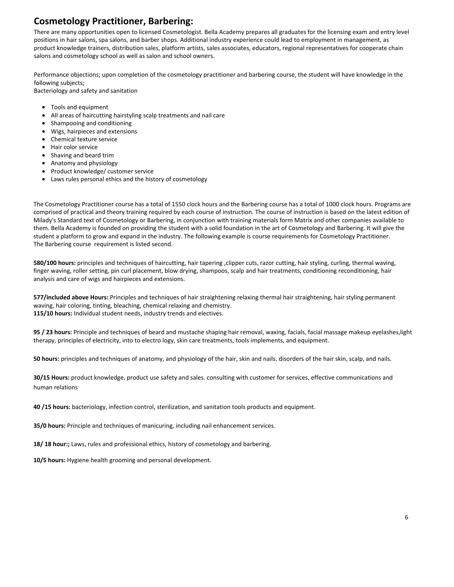# **Cosmetology Practitioner, Barbering:**

There are many opportunities open to licensed Cosmetologist. Bella Academy prepares all graduates for the licensing exam and entry level positions in hair salons, spa salons, and barber shops. Additional industry experience could lead to employment in management, as product knowledge trainers, distribution sales, platform artists, sales associates, educators, regional representatives for cooperate chain salons and cosmetology school as well as salon and school owners.

Performance objections; upon completion of the cosmetology practitioner and barbering course, the student will have knowledge in the following subjects;

Bacteriology and safety and sanitation

- Tools and equipment
- All areas of haircutting hairstyling scalp treatments and nail care
- Shampooing and conditioning
- Wigs, hairpieces and extensions
- Chemical texture service
- Hair color service
- Shaving and beard trim
- Anatomy and physiology
- Product knowledge/ customer service
- Laws rules personal ethics and the history of cosmetology

The Cosmetology Practitioner course has a total of 1550 clock hours and the Barbering course has a total of 1000 clock hours. Programs are comprised of practical and theory training required by each course of instruction. The course of instruction is based on the latest edition of Milady's Standard text of Cosmetology or Barbering, in conjunction with training materials form Matrix and other companies available to them. Bella Academy is founded on providing the student with a solid foundation in the art of Cosmetology and Barbering. It will give the student a platform to grow and expand in the industry. The following example is course requirements for Cosmetology Practitioner. The Barbering course requirement is listed second.

**580/100 hours:** principles and techniques of haircutting, hair tapering ,clipper cuts, razor cutting, hair styling, curling, thermal waving, finger waving, roller setting, pin curl placement, blow drying, shampoos, scalp and hair treatments, conditioning reconditioning, hair analysis and care of wigs and hairpieces and extensions.

**577/included above Hours:** Principles and techniques of hair straightening relaxing thermal hair straightening, hair styling permanent waving, hair coloring, tinting, bleaching, chemical relaxing and chemistry. **115/10 hours:** Individual student needs, industry trends and electives.

**95 / 23 hours:** Principle and techniques of beard and mustache shaping hair removal, waxing, facials, facial massage makeup eyelashes,light therapy, principles of electricity, into to electro logy, skin care treatments, tools implements, and equipment.

**50 hours:** principles and techniques of anatomy, and physiology of the hair, skin and nails. disorders of the hair skin, scalp, and nails.

**30/15 Hours:** product knowledge, product use safety and sales. consulting with customer for services, effective communications and human relations

**40 /15 hours:** bacteriology, infection control, sterilization, and sanitation tools products and equipment.

**35/0 hours:** Principle and techniques of manicuring, including nail enhancement services.

**18/ 18 hour:;** Laws, rules and professional ethics, history of cosmetology and barbering.

**10/5 hours:** Hygiene health grooming and personal development.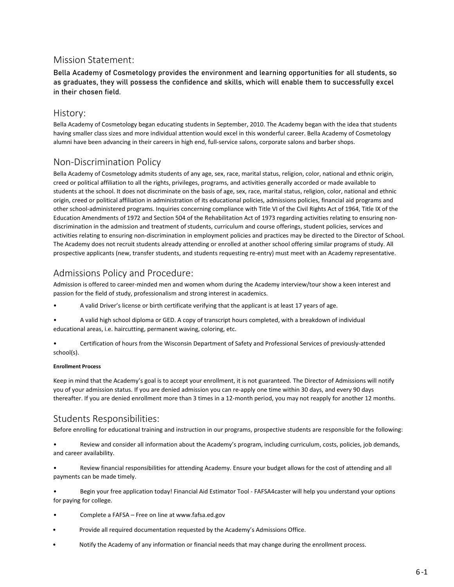# <span id="page-6-0"></span>Mission Statement:

Bella Academy of Cosmetology provides the environment and learning opportunities for all students, so as graduates, they will possess the confidence and skills, which will enable them to successfully excel in their chosen field.

# <span id="page-6-1"></span>History:

Bella Academy of Cosmetology began educating students in September, 2010. The Academy began with the idea that students having smaller class sizes and more individual attention would excel in this wonderful career. Bella Academy of Cosmetology alumni have been advancing in their careers in high end, full-service salons, corporate salons and barber shops.

# <span id="page-6-2"></span>Non-Discrimination Policy

Bella Academy of Cosmetology admits students of any age, sex, race, marital status, religion, color, national and ethnic origin, creed or political affiliation to all the rights, privileges, programs, and activities generally accorded or made available to students at the school. It does not discriminate on the basis of age, sex, race, marital status, religion, color, national and ethnic origin, creed or political affiliation in administration of its educational policies, admissions policies, financial aid programs and other school-administered programs. Inquiries concerning compliance with Title VI of the Civil Rights Act of 1964, Title IX of the Education Amendments of 1972 and Section 504 of the Rehabilitation Act of 1973 regarding activities relating to ensuring nondiscrimination in the admission and treatment of students, curriculum and course offerings, student policies, services and activities relating to ensuring non-discrimination in employment policies and practices may be directed to the Director of School. The Academy does not recruit students already attending or enrolled at another school offering similar programs of study. All prospective applicants (new, transfer students, and students requesting re-entry) must meet with an Academy representative.

# Admissions Policy and Procedure:

Admission is offered to career-minded men and women whom during the Academy interview/tour show a keen interest and passion for the field of study, professionalism and strong interest in academics.

- A valid Driver's license or birth certificate verifying that the applicant is at least 17 years of age.
- A valid high school diploma or GED. A copy of transcript hours completed, with a breakdown of individual educational areas, i.e. haircutting, permanent waving, coloring, etc.

• Certification of hours from the Wisconsin Department of Safety and Professional Services of previously-attended school(s).

<span id="page-6-3"></span>Admission is offered to career-minded men and wome<br>passion for the field of study, professionalism and stronch<br>**A** valid Driver's license or birth certificate ver<br><br>**A** valid high school diploma or GED. A copy or<br>educationa Admission is offered to career-minded men and women whom during the Academy interview/tour show a keen interest and<br>passion for the field of study, professionalism and strong interest in academics.<br>A valid Driver's license passion for the field of study, professionalism and strong interest in academics.<br>
• A valid briver's license or birth certificate verifying that the applicant is at least 17 years of age.<br>
• A valid high school diploma or A valid Driver's license or birth certificate verifying that the applicant is at least 17 years of age.<br>
A valid high school diploma or GED. A copy of transcript hours completed, with a breakdown of individual<br>
educational Admissions Policy and Procedure:<br>
Admission is offered to career-minded men and women whom during the Academy intervies<br>
passion for the field of study, professionalism and strong interest in academics.<br>
• A valid Driver's enrolling for educational training for the Misconsin Department of Safety and Professional Services of previously-attended<br>
school(s).<br>
Enrollment Process<br>
Keep in mind that the Academy's goal is to accept your enrollment, • Considered all information about the Academy's goal is to accept your enrollment, it is not guaranteed. The Director of Admissions will notify<br>Prollment Process<br>Weep in mind that the Academy's goal is to accept your enro Enrollment Process<br>
Keep in mind that the Academy's goal is to accept your enrol<br>
you of your admission status. If you are denied admission yo<br>
thereafter. If you are denied enrollment more than 3 times in<br>
Students Respon • Review financial responsibilities for attending and institute of Admissions will notify<br>Keep in mind that the Academy's goal is to accept your enrollment, it is not guaranteed. The Director of Admissions will notify<br>tyou Example 10 In mind that the Academy's goal is to accept your enrollment, it is n<br>vou of your admission status. If you are denied admission you can re-app<br>thereafter. If you are denied enrollment more than 3 times in a 12-m

<span id="page-6-4"></span>

• Before enrolling for college.<br>
• Before enrolling for educational training and instruction in our programs, prospective students are responsible for the following:<br>
Students Responsibilities:<br>
• Before enrolling for educ Students Responsibilities:<br>
Students Responsibilities:<br>
Before enrolling for educational training and instruction in our<br>
Neview and consider all information about the Acader<br>
and career availability.<br>
Neview financial res Students Responsibilities:<br>
Before enrolling for educational training and instruction in our programs, prospective students<br>
• Review and consider all information about the Academy's program, including curricu<br>
• Review fi • Review and consider all information about the Academy's program, including curriculum, costs, policies, job demands,<br>• Review and consider all information about the Academy's program, including curriculum, costs, policie

• Notify the Academy of any information or financial needs that may change during the enrollment process.

- 
- 
-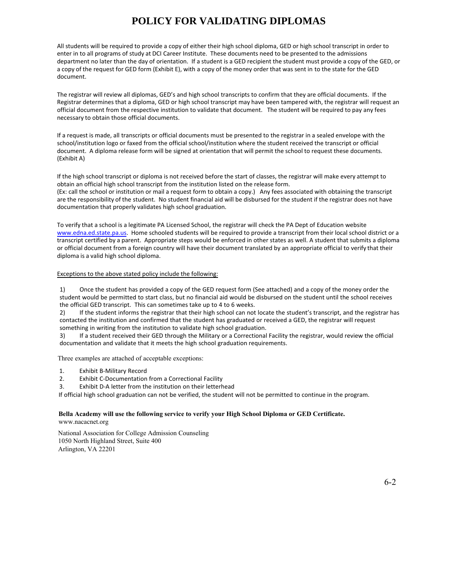# **POLICY FOR VALIDATING DIPLOMAS**

All students will be required to provide a copy of either their high school diploma, GED or high school transcript in order to enter in to all programs of study at DCI Career Institute. These documents need to be presented to the admissions department no later than the day of orientation. If a student is a GED recipient the student must provide a copy of the GED, or a copy of the request for GED form (Exhibit E), with a copy of the money order that was sent in to the state for the GED document.

The registrar will review all diplomas, GED's and high school transcripts to confirm that they are official documents. If the Registrar determines that a diploma, GED or high school transcript may have been tampered with, the registrar will request an official document from the respective institution to validate that document. The student will be required to pay any fees necessary to obtain those official documents.

If a request is made, all transcripts or official documents must be presented to the registrar in a sealed envelope with the school/institution logo or faxed from the official school/institution where the student received the transcript or official document. A diploma release form will be signed at orientation that will permit the school to request these documents. (Exhibit A)

If the high school transcript or diploma is not received before the start of classes, the registrar will make every attempt to obtain an official high school transcript from the institution listed on the release form. (Ex: call the school or institution or mail a request form to obtain a copy.) Any fees associated with obtaining the transcript are the responsibility of the student. No student financial aid will be disbursed for the student if the registrar does not have documentation that properly validates high school graduation.

To verify that a school is a legitimate PA Licensed School, the registrar will check the PA Dept of Education website www.edna.ed.state.pa.us. Home schooled students will be required to provide a transcript from their local school district or a transcript certified by a parent. Appropriate steps would be enforced in other states as well. A student that submits a diploma or official document from a foreign country will have their document translated by an appropriate official to verify that their diploma is a valid high school diploma.

## Exceptions to the above stated policy include the following:

1) Once the student has provided a copy of the GED request form (See attached) and a copy of the money order the student would be permitted to start class, but no financial aid would be disbursed on the student until the school receives the official GED transcript. This can sometimes take up to 4 to 6 weeks.

2) If the student informs the registrar that their high school can not locate the student's transcript, and the registrar has contacted the institution and confirmed that the student has graduated or received a GED, the registrar will request something in writing from the institution to validate high school graduation.

3) If a student received their GED through the Military or a Correctional Facility the registrar, would review the official documentation and validate that it meets the high school graduation requirements.

Three examples are attached of acceptable exceptions:

- 1. Exhibit B-Military Record<br>2. Exhibit C-Documentation
- Exhibit C-Documentation from a Correctional Facility
- 3. Exhibit D-A letter from the institution on their letterhead

If official high school graduation can not be verified, the student will not be permitted to continue in the program.

## **Bella Academy will use the following service to verify your High School Diploma or GED Certificate.** www.nacacnet.org

National Association for College Admission Counseling 1050 North Highland Street, Suite 400 Arlington, VA 22201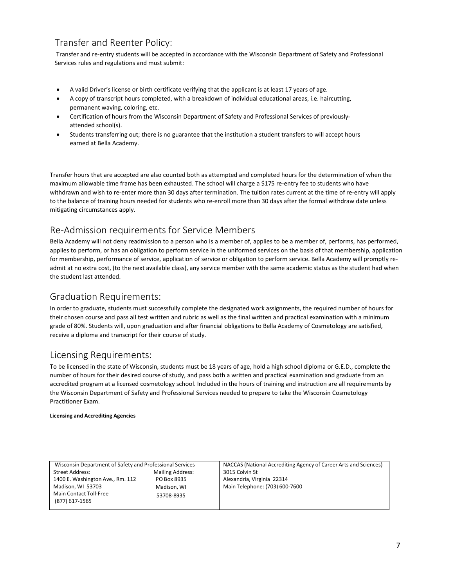# Transfer and Reenter Policy:

Transfer and re-entry students will be accepted in accordance with the Wisconsin Department of Safety and Professional Services rules and regulations and must submit:

- A valid Driver's license or birth certificate verifying that the applicant is at least 17 years of age.
- <span id="page-8-0"></span>• A copy of transcript hours completed, with a breakdown of individual educational areas, i.e. haircutting, permanent waving, coloring, etc.
- Certification of hours from the Wisconsin Department of Safety and Professional Services of previouslyattended school(s).
- Students transferring out; there is no guarantee that the institution a student transfers to will accept hours earned at Bella Academy.

Transfer hours that are accepted are also counted both as attempted and completed hours for the determination of when the maximum allowable time frame has been exhausted. The school will charge a \$175 re-entry fee to students who have withdrawn and wish to re-enter more than 30 days after termination. The tuition rates current at the time of re-entry will apply to the balance of training hours needed for students who re-enroll more than 30 days after the formal withdraw date unless mitigating circumstances apply.

# Re-Admission requirements for Service Members

<span id="page-8-1"></span>Bella Academy will not deny readmission to a person who is a member of, applies to be a member of, performs, has performed, applies to perform, or has an obligation to perform service in the uniformed services on the basis of that membership, application for membership, performance of service, application of service or obligation to perform service. Bella Academy will promptly readmit at no extra cost, (to the next available class), any service member with the same academic status as the student had when the student last attended.

# Graduation Requirements:

<span id="page-8-2"></span>In order to graduate, students must successfully complete the designated work assignments, the required number of hours for their chosen course and pass all test written and rubric as well as the final written and practical examination with a minimum grade of 80%. Students will, upon graduation and after financial obligations to Bella Academy of Cosmetology are satisfied, receive a diploma and transcript for their course of study.

# Licensing Requirements:

To be licensed in the state of Wisconsin, students must be 18 years of age, hold a high school diploma or G.E.D., complete the number of hours for their desired course of study, and pass both a written and practical examination and graduate from an accredited program at a licensed cosmetology school. Included in the hours of training and instruction are all requirements by the Wisconsin Department of Safety and Professional Services needed to prepare to take the Wisconsin Cosmetology Practitioner Exam.

## **Licensing and Accrediting Agencies**

<span id="page-8-3"></span>

| Humber of hours for their desired course of study, and pass both a written and practical examination and graduate from an<br>accredited program at a licensed cosmetology school. Included in the hours of training and instruction are all requirements b<br>the Wisconsin Department of Safety and Professional Services needed to prepare to take the Wisconsin Cosmetology |
|--------------------------------------------------------------------------------------------------------------------------------------------------------------------------------------------------------------------------------------------------------------------------------------------------------------------------------------------------------------------------------|
|                                                                                                                                                                                                                                                                                                                                                                                |
|                                                                                                                                                                                                                                                                                                                                                                                |
|                                                                                                                                                                                                                                                                                                                                                                                |
| NACCAS (National Accrediting Agency of Career Arts and Sciences)<br>3015 Colvin St                                                                                                                                                                                                                                                                                             |
| Alexandria, Virginia 22314                                                                                                                                                                                                                                                                                                                                                     |
| Main Telephone: (703) 600-7600                                                                                                                                                                                                                                                                                                                                                 |
|                                                                                                                                                                                                                                                                                                                                                                                |
|                                                                                                                                                                                                                                                                                                                                                                                |
|                                                                                                                                                                                                                                                                                                                                                                                |
|                                                                                                                                                                                                                                                                                                                                                                                |
|                                                                                                                                                                                                                                                                                                                                                                                |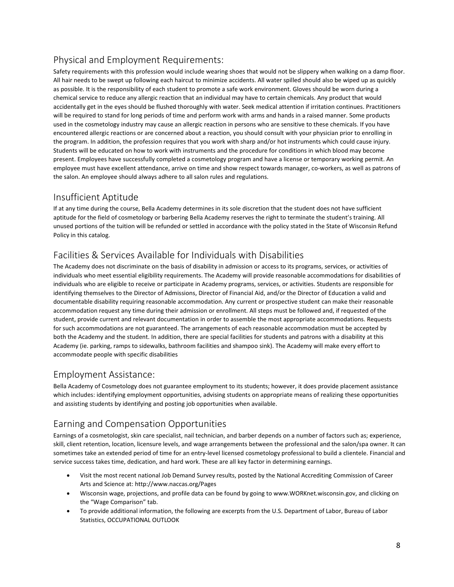# <span id="page-9-0"></span>Physical and Employment Requirements:

Safety requirements with this profession would include wearing shoes that would not be slippery when walking on a damp floor. All hair needs to be swept up following each haircut to minimize accidents. All water spilled should also be wiped up as quickly as possible. It is the responsibility of each student to promote a safe work environment. Gloves should be worn during a chemical service to reduce any allergic reaction that an individual may have to certain chemicals. Any product that would accidentally get in the eyes should be flushed thoroughly with water. Seek medical attention if irritation continues. Practitioners will be required to stand for long periods of time and perform work with arms and hands in a raised manner. Some products used in the cosmetology industry may cause an allergic reaction in persons who are sensitive to these chemicals. If you have encountered allergic reactions or are concerned about a reaction, you should consult with your physician prior to enrolling in the program. In addition, the profession requires that you work with sharp and/or hot instruments which could cause injury. Students will be educated on how to work with instruments and the procedure for conditions in which blood may become present. Employees have successfully completed a cosmetology program and have a license or temporary working permit. An employee must have excellent attendance, arrive on time and show respect towards manager, co-workers, as well as patrons of the salon. An employee should always adhere to all salon rules and regulations.

# <span id="page-9-1"></span>Insufficient Aptitude

If at any time during the course, Bella Academy determines in its sole discretion that the student does not have sufficient aptitude for the field of cosmetology or barbering Bella Academy reserves the right to terminate the student's training. All unused portions of the tuition will be refunded or settled in accordance with the policy stated in the State of Wisconsin Refund Policy in this catalog.

# <span id="page-9-2"></span>Facilities & Services Available for Individuals with Disabilities

The Academy does not discriminate on the basis of disability in admission or access to its programs, services, or activities of individuals who meet essential eligibility requirements. The Academy will provide reasonable accommodations for disabilities of individuals who are eligible to receive or participate in Academy programs, services, or activities. Students are responsible for identifying themselves to the Director of Admissions, Director of Financial Aid, and/or the Director of Education a valid and documentable disability requiring reasonable accommodation. Any current or prospective student can make their reasonable accommodation request any time during their admission or enrollment. All steps must be followed and, if requested of the student, provide current and relevant documentation in order to assemble the most appropriate accommodations. Requests for such accommodations are not guaranteed. The arrangements of each reasonable accommodation must be accepted by both the Academy and the student. In addition, there are special facilities for students and patrons with a disability at this Academy (ie. parking, ramps to sidewalks, bathroom facilities and shampoo sink). The Academy will make every effort to accommodate people with specific disabilities

# <span id="page-9-3"></span>Employment Assistance:

Bella Academy of Cosmetology does not guarantee employment to its students; however, it does provide placement assistance which includes: identifying employment opportunities, advising students on appropriate means of realizing these opportunities and assisting students by identifying and posting job opportunities when available.

# <span id="page-9-4"></span>Earning and Compensation Opportunities

Earnings of a cosmetologist, skin care specialist, nail technician, and barber depends on a number of factors such as; experience, skill, client retention, location, licensure levels, and wage arrangements between the professional and the salon/spa owner. It can sometimes take an extended period of time for an entry-level licensed cosmetology professional to build a clientele. Financial and service success takes time, dedication, and hard work. These are all key factor in determining earnings. Notine in Assistance.<br>
Academy of Cosmetology does not guarantee employment to its students, however, it does provide placement assistance<br>
Aniculaes: identifying employment opportunities, advising students on appropriate Academy of Cosmetology does not guarantee employment to its students; however, it does provide placement assistance<br>
includes: identifying employment opportunities, advising students on appropriate means of realizing these sisisting students by identifying and posting job opportunities when available.<br>
ning and Compensation Opportunities<br>
mas of a cosmetologist, skin care specialist, nail technician, and barber depends on a number of factors g and Compensation Opportunities<br>of a cosmetologist, skin care specialist, nail technician, and barber depends c<br>t retention, location, licensure levels, and wage arrangements between the<br>s take an extended period of time

- 
- 
-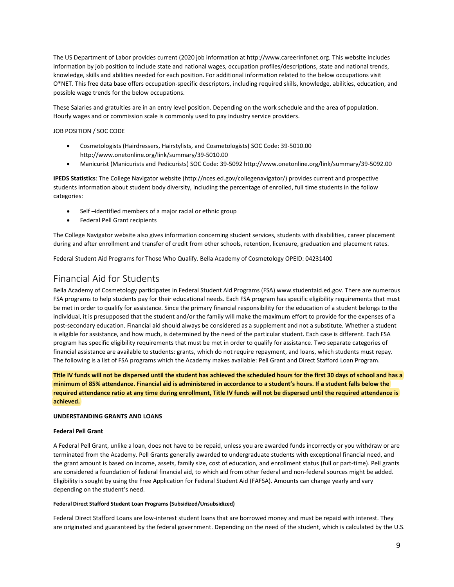The US Department of Labor provides current (2020 job information at http://www.careerinfonet.org. This website includes information by job position to include state and national wages, occupation profiles/descriptions, state and national trends, knowledge, skills and abilities needed for each position. For additional information related to the below occupations visit O\*NET. This free data base offers occupation-specific descriptors, including required skills, knowledge, abilities, education, and possible wage trends for the below occupations. SODepartment of Labor provides current (2020 job information at http://www.careerinfonet.org. This website includes<br>
mation by job position to include state and national wages, occupation profiles/descriptions, state and mation by job position to include state and national wages, occupation profiles/descriptions, state and national trends,<br>ledge, skills and abilities needed for each position. For additional information related to the below

These Salaries and gratuities are in an entry level position. Depending on the work schedule and the area of population. Hourly wages and or commission scale is commonly used to pay industry service providers.

## JOB POSITION / SOC CODE

- http://www.onetonline.org/link/summary/39-5010.00
- 

**IPEDS Statistics**: This free data base offers occupation-specific descriptors, including required skills, knowledge, abilities, education, and<br>
IPESE Salaries and gratuities are in an entry level position. Depending on th stible wage trends for the below occupations.<br>
These Salaries and gratuities are in an entry level position. Depending on the work schedule and the area of population.<br>
Hourly wages and or commission scale is commonly used categories: Iy wages and or commission scale is commonly used to pay industry service providers.<br>
NOSITION / SOC CODE<br>
• Cosmetologists (Hairdressers, Hairstylists, and Cosmetologists) SOC Code: 39-5010.00<br>
• Manicurist (Manicurists a POSITION / SOC CODE<br>
• Cosmetologists (Hairdressers, Hairstylists, and Cosmetologists) SOC<br>
http://www.onetonline.org/link/summary/39-5010.00<br>
• Manicurist (Manicurists and Pedicurists) SOC Code: 39-5092 <u>http://\</u><br> **S Sta** 

- 
- 

The College Navigator website also gives information concerning student services, students with disabilities, career placement during and after enrollment and transfer of credit from other schools, retention, licensure, graduation and placement rates.

Federal Student Aid Programs for Those Who Qualify. Bella Academy of Cosmetology OPEID: 04231400

# <span id="page-10-0"></span>Financial Aid for Students

Bella Academy of Cosmetology participates in Federal Student Aid Programs (FSA) www.studentaid.ed.gov. There are numerous FSA programs to help students pay for their educational needs. Each FSA program has specific eligibility requirements that must be met in order to qualify for assistance. Since the primary financial responsibility for the education of a student belongs to the individual, it is presupposed that the student and/or the family will make the maximum effort to provide for the expenses of a post-secondary education. Financial aid should always be considered as a supplement and not a substitute. Whether a student is eligible for assistance, and how much, is determined by the need of the particular student. Each case is different. Each FSA program has specific eligibility requirements that must be met in order to qualify for assistance. Two separate categories of financial assistance are available to students: grants, which do not require repayment, and loans, which students must repay. The following is a list of FSA programs which the Academy makes available: Pell Grant and Direct Stafford Loan Program.

Title IV funds will not be dispersed until the student has achieved the scheduled hours for the first 30 days of school and has a minimum of 85% attendance. Financial aid is administered in accordance to a student's hours. If a student falls below the required attendance ratio at any time during enrollment, Title IV funds will not be dispersed until the required attendance is **achieved.**

## **UNDERSTANDING GRANTS AND LOANS**

## **Federal Pell Grant**

A Federal Pell Grant, unlike a loan, does not have to be repaid, unless you are awarded funds incorrectly or you withdraw or are terminated from the Academy. Pell Grants generally awarded to undergraduate students with exceptional financial need, and the grant amount is based on income, assets, family size, cost of education, and enrollment status (full or part-time). Pell grants are considered a foundation of federal financial aid, to which aid from other federal and non-federal sources might be added. Eligibility is sought by using the Free Application for Federal Student Aid (FAFSA). Amounts can change yearly and vary depending on the student's need.

## **Federal Direct Stafford Student Loan Programs(Subsidized/Unsubsidized)**

Federal Direct Stafford Loans are low-interest student loans that are borrowed money and must be repaid with interest. They are originated and guaranteed by the federal government. Depending on the need of the student, which is calculated by the U.S.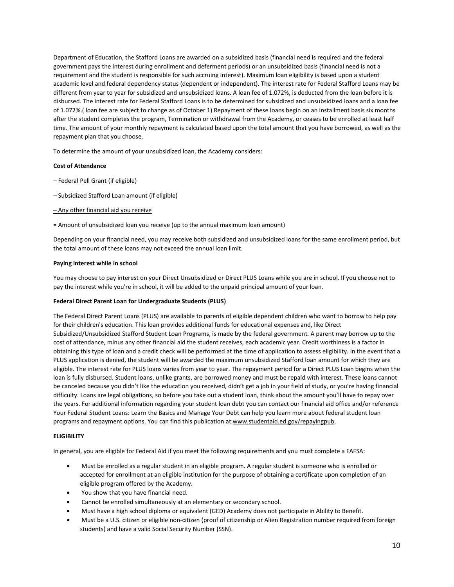Department of Education, the Stafford Loans are awarded on a subsidized basis (financial need is required and the federal government pays the interest during enrollment and deferment periods) or an unsubsidized basis (financial need is not a requirement and the student is responsible for such accruing interest). Maximum loan eligibility is based upon a student academic level and federal dependency status (dependent or independent). The interest rate for Federal Stafford Loans may be different from year to year for subsidized and unsubsidized loans. A loan fee of 1.072%, is deducted from the loan before it is disbursed. The interest rate for Federal Stafford Loans is to be determined for subsidized and unsubsidized loans and a loan fee of 1.072%.( loan fee are subject to change as of October 1) Repayment of these loans begin on an installment basis six months after the student completes the program, Termination or withdrawal from the Academy, or ceases to be enrolled at least half time. The amount of your monthly repayment is calculated based upon the total amount that you have borrowed, as well as the repayment plan that you choose. academic level and federal dependency status (dependent or independent<br>different from year to year for subsidized and unsubsidized loans. A loar<br>disbursed. The interest rate for Federal Stafford Loans is to be determine<br>of disbursed. The interest rate for Federal Stafford Loans is to be determined for subsidize<br>of 1.072%.( Ioan fee are subject to change as of October 1) Repayment of these Ioans b<br>after the student completes the program, Term or 1.072%.(Toan fee are subject to change as or October 1) Repayment or these<br>after the student completes the program, Termination or withdrawal from the<br>time. The amount of your monthly repayment is calculated based upon

To determine the amount of your unsubsidized loan, the Academy considers:

## **Cost of Attendance**

- 
- 
- 
- = Amount of unsubsidized loan you receive (up to the annual maximum loan amount)

Depending on your financial need, you may receive both subsidized and unsubsidized loans for the same enrollment period, but the total amount of these loans may not exceed the annual loan limit.

## **Paying interest while in school**

You may choose to pay interest on your Direct Unsubsidized or Direct PLUS Loans while you are in school. If you choose not to pay the interest while you're in school, it will be added to the unpaid principal amount of your loan.

## **Federal Direct Parent Loan for Undergraduate Students (PLUS)**

The Federal Direct Parent Loans (PLUS) are available to parents of eligible dependent children who want to borrow to help pay for their children's education. This loan provides additional funds for educational expenses and, like Direct Subsidized/Unsubsidized Stafford Student Loan Programs, is made by the federal government. A parent may borrow up to the cost of attendance, minus any other financial aid the student receives, each academic year. Credit worthiness is a factor in obtaining this type of loan and a credit check will be performed at the time of application to assess eligibility. In the event that a PLUS application is denied, the student will be awarded the maximum unsubsidized Stafford loan amount for which they are eligible. The interest rate for PLUS loans varies from year to year. The repayment period for a Direct PLUS Loan begins when the loan is fully disbursed. Student loans, unlike grants, are borrowed money and must be repaid with interest. These loans cannot be canceled because you didn't like the education you received, didn't get a job in your field of study, or you're having financial difficulty. Loans are legal obligations, so before you take out a student loan, think about the amount you'll have to repay over the years. For additional information regarding your student loan debt you can contact our financial aid office and/or reference Your Federal Student Loans: Learn the Basics and Manage Your Debt can help you learn more about federal student loan programs and repayment options. You can find this publication at www.studentaid.ed.gov/repayingpub. I.The interest rate for PLUS loans varies from year to year. The repayment period for a Direct PLUS Loan begins when the is fully disbursed. Student loans, unike grants, are borrowed money and must be repaid with interest ly disbursed. Student loans, unlike grants, are borrowed money and must be repaid with interest. These loans cannot<br>debecase you didn't like the elucation you received, didn't get a job in your field of study, or you're h nceled because you didn't like the education you received, didn't get a job in your field of study, or you're having financial<br>ulty. Loans are legal obligations, so before you take out a student loan, think about the amoun

## **ELIGIBILITY**

In general, you are eligible for Federal Aid if you meet the following requirements and you must complete a FAFSA:

- Y<br>stypurance eligible for Federal Aid if you meet the following requirements and you must complete a F.<br>Must be enrolled as a regular student in an eligible program. A regular student is someone who is e<br>accepted for enrol
- 
- 
- 
-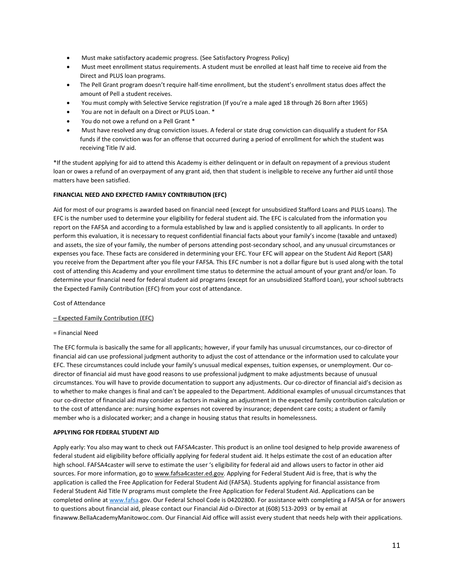- 
- Must make satisfactory academic progress. (See Satisfactory Progress Policy)<br>
Must meet enrollment status requirements. A student must be enrolled at least half time to receive aid from the<br>
Direct and PLUS loan programs.<br> Must make satisfactory academic progress. (See Satisfactory Progress Policy)<br>
Must meet enrollment status requirements. A student must be enrolled at least half time to receive aid from the<br>
Direct and PLUS loan programs.<br>
- 
- 
- 
- 
- Must make satisfactory academic progress. (See Satisfactory Progress Policy)<br>
Must meet enrollment status requirements. A student must be enrolled at least half time to receive aid from the<br>
Direct and PLUS loan programs.<br> Must make satisfactory academic progress. (See Satisfactory Progress Policy)<br>
Must meet enrollment status requirements. A student must be enrolled at least half time<br>
Direct and PLUS loan programs.<br>
The Pell Grant program Must make satisfactory academic progress. (See Satisfactory Progress Policy)<br>
Must meet enrollment status requirements. A student must be enrolled at least half time to receive aid from the<br>
Direct and PLUS Ioan programs.<br> Must make satisfactory academic progress. (See Satisfactory Progress Policy)<br>Must meet enrollment status requirements. A student must be enrolled at least half time to receive aid from the<br>Direct and PLUS loan programs.<br>Th Must make satisfactory academic progress. (See Satisfactory Prog<br>
Must meet enrollment status requirements. A student must be en<br>
Direct and PLUS loan programs.<br>
The Pell Grant program doesn't require half-time enrollment,

\*If the student applying for aid to attend this Academy is either delinquent or in default on repayment of a previous student loan or owes a refund of an overpayment of any grant aid, then that student is ineligible to receive any further aid until those matters have been satisfied.

## **FINANCIAL NEED AND EXPECTED FAMILY CONTRIBUTION (EFC)**

Aid for most of our programs is awarded based on financial need (except for unsubsidized Stafford Loans and PLUS Loans). The EFC is the number used to determine your eligibility for federal student aid. The EFC is calculated from the information you report on the FAFSA and according to a formula established by law and is applied consistently to all applicants. In order to perform this evaluation, it is necessary to request confidential financial facts about your family's income (taxable and untaxed) and assets, the size of your family, the number of persons attending post-secondary school, and any unusual circumstances or expenses you face. These facts are considered in determining your EFC. Your EFC will appear on the Student Aid Report (SAR) you receive from the Department after you file your FAFSA. This EFC number is not a dollar figure but is used along with the total cost of attending this Academy and your enrollment time status to determine the actual amount of your grant and/or loan. To determine your financial need for federal student aid programs (except for an unsubsidized Stafford Loan), your school subtracts the Expected Family Contribution (EFC) from your cost of attendance.

Cost of Attendance

– Expected Family Contribution (EFC)

= Financial Need

The EFC formula is basically the same for all applicants; however, if your family has unusual circumstances, our co-director of financial aid can use professional judgment authority to adjust the cost of attendance or the information used to calculate your EFC. These circumstances could include your family's unusual medical expenses, tuition expenses, or unemployment. Our codirector of financial aid must have good reasons to use professional judgment to make adjustments because of unusual circumstances. You will have to provide documentation to support any adjustments. Our co-director of financial aid's decision as to whether to make changes is final and can't be appealed to the Department. Additional examples of unusual circumstances that our co-director of financial aid may consider as factors in making an adjustment in the expected family contribution calculation or to the cost of attendance are: nursing home expenses not covered by insurance; dependent care costs; a student or family member who is a dislocated worker; and a change in housing status that results in homelessness.

## **APPLYING FOR FEDERAL STUDENT AID**

Apply early: You also may want to check out FAFSA4caster. This product is an online tool designed to help provide awareness of federal student aid eligibility before officially applying for federal student aid. It helps estimate the cost of an education after high school. FAFSA4caster will serve to estimate the user 's eligibility for federal aid and allows users to factor in other aid sources. For more information, go to [www.fafsa4caster.ed.gov.](http://www.fafsa4caster.ed.gov) Applying for Federal Student Aid is free, that is why the application is called the Free Application for Federal Student Aid (FAFSA). Students applying for financial assistance from Federal Student Aid Title IV programs must complete the Free Application for Federal Student Aid. Applications can be completed online at [www.fafsa.](http://www.fafsa)gov. Our Federal School Code is 04202800. For assistance with completing a FAFSA or for answers to questions about financial aid, please contact our Financial Aid o-Director at (608) 513-2093 or by email at finawww.BellaAcademyManitowoc.com. Our Financial Aid office will assist every student that needs help with their applications.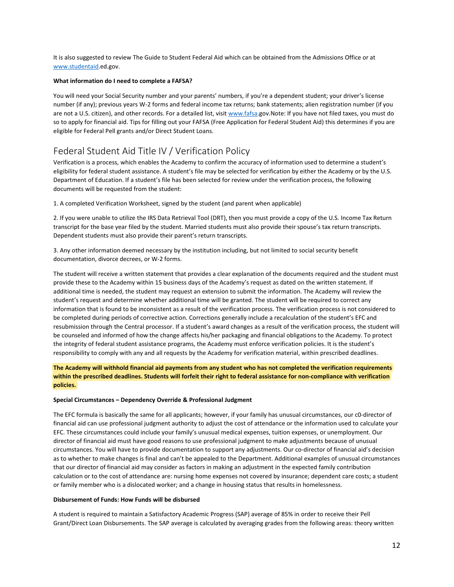It is also suggested to review The Guide to Student Federal Aid which can be obtained from the Admissions Office or at [www.studentaid.](http://www.studentaid)ed.gov.

## **What information do I need to complete a FAFSA?**

You will need your Social Security number and your parents' numbers, if you're a dependent student; your driver's license number (if any); previous years W-2 forms and federal income tax returns; bank statements; alien registration number (if you are not a U.S. citizen), and other records. For a detailed list, visit www.fafsa.gov.Note: If you have not filed taxes, you must do so to apply for financial aid. Tips for filling out your FAFSA (Free Application for Federal Student Aid) this determines if you are eligible for Federal Pell grants and/or Direct Student Loans.

# <span id="page-13-0"></span>Federal Student Aid Title IV / Verification Policy

Verification is a process, which enables the Academy to confirm the accuracy of information used to determine a student's eligibility for federal student assistance. A student's file may be selected for verification by either the Academy or by the U.S. Department of Education. If a student's file has been selected for review under the verification process, the following documents will be requested from the student: number(it any); previous years W-2 forms and tederal income tax returns; bank statements; alien registration number (it you<br>are not a U.S. citizen), and other records. For a detailed list, visit <u>www.fafsa.g</u>ov.Note: If y so to apply for financial aid. Tips for filling out your FAFSA (Free Application for Federal Student Aid) this determines if you are eligible for Federal Pell grants and/or Direct Student Loans.<br>
Federal Student Aid Title eligible for Federal Pell grants and/or Direct Student Loans.<br>
Federal Student Aid Title IV / Verification Policy<br>
Verification is a process, which enables the Academy to confirm the accuracy of information used to determi Federal Student Aid Title IV / Verification Policy<br>Verification is a process, which enables the Academy to confirm the accuracy of information used to determin<br>eligibility for federal student assistance. A student's file m PEOCET all SUUGENT ANOT TITEE IV 7 VETHICALIONT POIICY<br>Verification is a process, which enables the Academy to confirm the accuracy of information used to determine a student's<br>eligibility for federal student assistance. A Verification is a process, which enables the Academy to confirm the accuracy of information eligibility for federal student assistance. A student's file may be selected for verification by Department of Education. If a stu

The student will receive a written statement that provides a clear explanation of the documents required and the student must provide these to the Academy within 15 business days of the Academy's request as dated on the written statement. If additional time is needed, the student may request an extension to submit the information. The Academy will review the student's request and determine whether additional time will be granted. The student will be required to correct any information that is found to be inconsistent as a result of the verification process. The verification process is not considered to be completed during periods of corrective action. Corrections generally include a recalculation of the student's EFC and resubmission through the Central processor. If a student's award changes as a result of the verification process, the student will be counseled and informed of how the change affects his/her packaging and financial obligations to the Academy. To protect the integrity of federal student assistance programs, the Academy must enforce verification policies. It is the student's responsibility to comply with any and all requests by the Academy for verification material, within prescribed deadlines.

**The Academy will withhold financial aid payments from any student who has not completed the verification requirements within the prescribed deadlines. Students will forfeit their right to federal assistance for non-compliance with verification policies.**

## **Special Circumstances – Dependency Override & Professional Judgment**

The EFC formula is basically the same for all applicants; however, if your family has unusual circumstances, our c0-director of financial aid can use professional judgment authority to adjust the cost of attendance or the information used to calculate your EFC. These circumstances could include your family's unusual medical expenses, tuition expenses, or unemployment. Our director of financial aid must have good reasons to use professional judgment to make adjustments because of unusual circumstances. You will have to provide documentation to support any adjustments. Our co-director of financial aid's decision as to whether to make changes is final and can't be appealed to the Department. Additional examples of unusual circumstances that our director of financial aid may consider as factors in making an adjustment in the expected family contribution calculation or to the cost of attendance are: nursing home expenses not covered by insurance; dependent care costs; a student or family member who is a dislocated worker; and a change in housing status that results in homelessness.

## **Disbursement of Funds: How Funds will be disbursed**

A student is required to maintain a Satisfactory Academic Progress (SAP) average of 85% in order to receive their Pell Grant/Direct Loan Disbursements. The SAP average is calculated by averaging grades from the following areas: theory written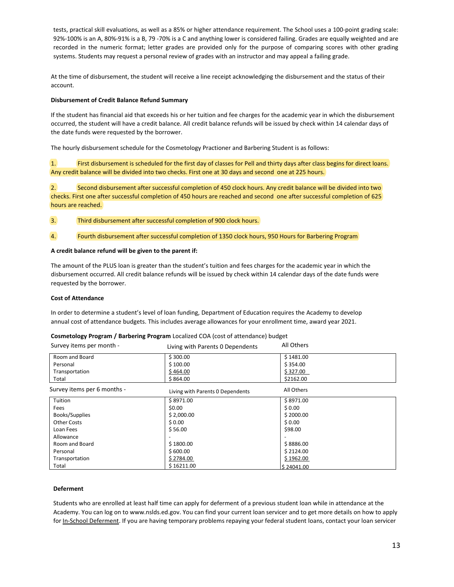tests, practical skill evaluations, as well as a 85% or higher attendance requirement. The School uses a 100-point grading scale: 92%-100% is an A, 80%-91% is a B, 79 -70% is a C and anything lower is considered failing. Grades are equally weighted and are recorded in the numeric format; letter grades are provided only for the purpose of comparing scores with other grading systems. Students may request a personal review of grades with an instructor and may appeal a failing grade.

At the time of disbursement, the student will receive a line receipt acknowledging the disbursement and the status of their account.

## **Disbursement of Credit Balance Refund Summary**

If the student has financial aid that exceeds his or her tuition and fee charges for the academic year in which the disbursement occurred, the student will have a credit balance. All credit balance refunds will be issued by check within 14 calendar days of the date funds were requested by the borrower.

The hourly disbursement schedule for the Cosmetology Practioner and Barbering Student is as follows:

1. First disbursement is scheduled for the first day of classes for Pell and thirty days after class begins for direct loans. Any credit balance will be divided into two checks. First one at 30 days and second one at 225 hours.

2. Second disbursement after successful completion of 450 clock hours. Any credit balance will be divided into two checks. First one after successful completion of 450 hours are reached and second one after successful completion of 625 hours are reached.

- 3. Third disbursement after successful completion of 900 clock hours.
- 4. Fourth disbursement after successful completion of 1350 clock hours, 950 Hours for Barbering Program

## **A credit balance refund will be given to the parent if:**

## **Cost of Attendance**

## **Cosmetology Program / Barbering Program** Localized COA (cost of attendance) budget

| A credit balance refund will be given to the parent if:                                                                                                        |                                                                                                                                                                                                                                                               |                                                                                                            |
|----------------------------------------------------------------------------------------------------------------------------------------------------------------|---------------------------------------------------------------------------------------------------------------------------------------------------------------------------------------------------------------------------------------------------------------|------------------------------------------------------------------------------------------------------------|
| requested by the borrower.                                                                                                                                     | The amount of the PLUS loan is greater than the student's tuition and fees charges for the academic year in which the<br>disbursement occurred. All credit balance refunds will be issued by check within 14 calendar days of the date funds were             |                                                                                                            |
| <b>Cost of Attendance</b>                                                                                                                                      |                                                                                                                                                                                                                                                               |                                                                                                            |
|                                                                                                                                                                | In order to determine a student's level of loan funding, Department of Education requires the Academy to develop<br>annual cost of attendance budgets. This includes average allowances for your enrollment time, award year 2021.                            |                                                                                                            |
|                                                                                                                                                                | Cosmetology Program / Barbering Program Localized COA (cost of attendance) budget                                                                                                                                                                             |                                                                                                            |
| Survey items per month -                                                                                                                                       | Living with Parents 0 Dependents                                                                                                                                                                                                                              | All Others                                                                                                 |
| Room and Board<br>Personal<br>Transportation<br>Total                                                                                                          | \$300.00<br>\$100.00<br>\$464.00<br>\$864.00                                                                                                                                                                                                                  | \$1481.00<br>\$354.00<br>\$327.00<br>\$2162.00                                                             |
| Survey items per 6 months -                                                                                                                                    | Living with Parents 0 Dependents                                                                                                                                                                                                                              | All Others                                                                                                 |
| Tuition<br>Fees<br>Books/Supplies<br><b>Other Costs</b><br>Loan Fees<br>Allowance<br>Room and Board<br>Personal<br>Transportation<br>Total<br><b>Deferment</b> | \$8971.00<br>\$0.00<br>\$2,000.00<br>\$0.00<br>\$56.00<br>\$1800.00<br>\$600.00<br>\$2784.00<br>\$16211.00<br>Students who are enrolled at least half time can apply for deferment of a previous student loan while in attendance at the                      | \$8971.00<br>\$0.00<br>\$2000.00<br>\$0.00<br>\$98.00<br>\$8886.00<br>\$2124.00<br>\$1962.00<br>\$24041.00 |
|                                                                                                                                                                | Academy. You can log on to www.nslds.ed.gov. You can find your current loan servicer and to get more details on how to apply<br>for In-School Deferment. If you are having temporary problems repaying your federal student loans, contact your loan servicer |                                                                                                            |
|                                                                                                                                                                |                                                                                                                                                                                                                                                               |                                                                                                            |

## **Deferment**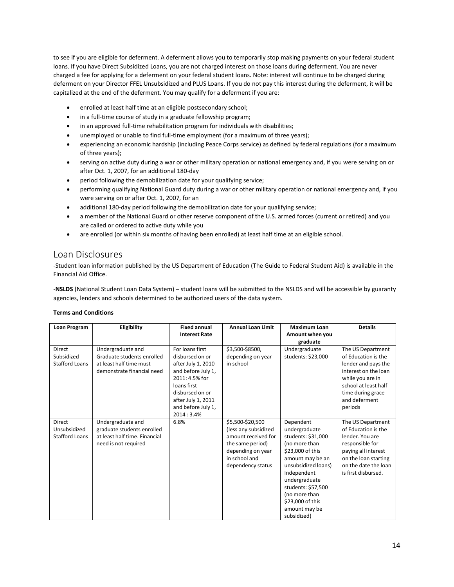to see if you are eligible for deferment. A deferment allows you to temporarily stop making payments on your federal student<br>Ioans. If you have Direct Subsidized Loans, you are not charged interest on those loans during de to see if you are eligible for deferment. A deferment allows you to temporarily stop making payments on your federal student<br>Ioans. If you have Direct Subsidized Loans, you are not charged interest on those loans during de to see if you are eligible for deferment. A deferment allows you to temporarily stop making payments on your federal student<br>loans. If you have Direct Subsidized Loans, you are not charged interest on those loans during de to see if you are eligible for deferment. A deferment allows you to temporarily stop making payments on your federal student<br>Ioans. If you have Direct Subsidized Loans, you are not charged interest on those loans during de to see if you are eligible for deferment. A deferment allows you to temporarily stop making payments on your federal student<br>loans. If you have Direct Subsidized Loans, you are not charged interest on those loans during de is if you are eligible for deferment. A deferment allows you to temporarily stop making payments on your federal student<br>
In frou have Direct Subsidized Loans, you are not charged interest on those loans during deferment. ded a fee for applying for a deferment on your federal student loans. Note: interest will continue to be charged during<br>
ment on your Director FFEL Unsubsidized and PLUS Loans. If you do not pay this interest during the de

- 
- 
- 
- 
- enrolled at least half time at an eligible postsecondary school;<br>in a full-time course of study in a graduate fellowship program;<br>in an approved full-time rehabilitation program for individuals with disabilities;<br>unemploye In an approved rull-time renabilitation program for individuals with disabilities;<br>unemployed or unable to find full-time employment (for a maximum of three years);<br>experiencing an economic hardship (including Peace Corps
- 
- 
- In a full-time course of study in a greduate fellowship program;<br>
 In an approved full-time rehabilitation program for individuals with disabilities;<br>
 werefincing an economic hardship (including Peace Corps service) a • unempoye or unable to time thul-time employment (for a maximum of three years);<br>• experiencing an economic hardship (including Peace Corps service) as defined by federal regulations (for a maximum<br>of three years);<br>• serv
- 
- 
- <span id="page-15-0"></span>

• enrolled at least half time at an eligible postsecondary school;<br>• in a full-time course of study in a graduate fellowship program;<br>• in an approved full-time rehabilitation program for individuals with disabilite<br>• unem efter Oct. 1, 2007, for an additional 180-day<br>
• period following the demobilization date for your qualifying service;<br>
• performing qualifying National Guard duty during a war or other military operation or national emerg exerving on or anter Oct. 1, 2007, for an<br>additional 180-day period following the demobilization date for your qualifying service;<br>
• a member of the National Guard or other reserve component of the U.S. armed forces (curr

• period following the demobilization date for your qualifying service;<br>
• performing qualifying National Guard duty during a war or other military operation or national emergency and, if you<br>
• were serving on or after O

|                                                 | are enrolled (or within six months of having been enrolled) at least half time at an eligible school.                                                                                                               |                                                                                                                                                                                             |                                                                                                                                                |                                                                                                                                                                                                                                                             |                                                                                                                                                                                      |
|-------------------------------------------------|---------------------------------------------------------------------------------------------------------------------------------------------------------------------------------------------------------------------|---------------------------------------------------------------------------------------------------------------------------------------------------------------------------------------------|------------------------------------------------------------------------------------------------------------------------------------------------|-------------------------------------------------------------------------------------------------------------------------------------------------------------------------------------------------------------------------------------------------------------|--------------------------------------------------------------------------------------------------------------------------------------------------------------------------------------|
| Loan Disclosures                                |                                                                                                                                                                                                                     |                                                                                                                                                                                             |                                                                                                                                                |                                                                                                                                                                                                                                                             |                                                                                                                                                                                      |
| Financial Aid Office.                           | -Student loan information published by the US Department of Education (The Guide to Federal Student Aid) is available in the                                                                                        |                                                                                                                                                                                             |                                                                                                                                                |                                                                                                                                                                                                                                                             |                                                                                                                                                                                      |
|                                                 | -NSLDS (National Student Loan Data System) - student loans will be submitted to the NSLDS and will be accessible by guaranty<br>agencies, lenders and schools determined to be authorized users of the data system. |                                                                                                                                                                                             |                                                                                                                                                |                                                                                                                                                                                                                                                             |                                                                                                                                                                                      |
| <b>Terms and Conditions</b>                     |                                                                                                                                                                                                                     |                                                                                                                                                                                             |                                                                                                                                                |                                                                                                                                                                                                                                                             |                                                                                                                                                                                      |
| Loan Program                                    | Eligibility                                                                                                                                                                                                         | <b>Fixed annual</b><br><b>Interest Rate</b>                                                                                                                                                 | <b>Annual Loan Limit</b>                                                                                                                       | <b>Maximum Loan</b><br>Amount when you<br>graduate                                                                                                                                                                                                          | <b>Details</b>                                                                                                                                                                       |
| Direct<br>Subsidized<br><b>Stafford Loans</b>   | Undergraduate and<br>Graduate students enrolled<br>at least half time must<br>demonstrate financial need                                                                                                            | For loans first<br>disbursed on or<br>after July 1, 2010<br>and before July 1,<br>2011: 4.5% for<br>loans first<br>disbursed on or<br>after July 1, 2011<br>and before July 1,<br>2014:3.4% | \$3,500-\$8500,<br>depending on year<br>in school                                                                                              | Undergraduate<br>students: \$23,000                                                                                                                                                                                                                         | The US Department<br>of Education is the<br>lender and pays the<br>interest on the loan<br>while you are in<br>school at least half<br>time during grace<br>and deferment<br>periods |
| Direct<br>Unsubsidized<br><b>Stafford Loans</b> | Undergraduate and<br>graduate students enrolled<br>at least half time. Financial<br>need is not required                                                                                                            | 6.8%                                                                                                                                                                                        | \$5,500-\$20,500<br>(less any subsidized<br>amount received for<br>the same period)<br>depending on year<br>in school and<br>dependency status | Dependent<br>undergraduate<br>students: \$31,000<br>(no more than<br>\$23,000 of this<br>amount may be an<br>unsubsidized loans)<br>Independent<br>undergraduate<br>students: \$57,500<br>(no more than<br>\$23,000 of this<br>amount may be<br>subsidized) | The US Department<br>of Education is the<br>lender. You are<br>responsible for<br>paying all interest<br>on the loan starting<br>on the date the loan<br>is first disbursed.         |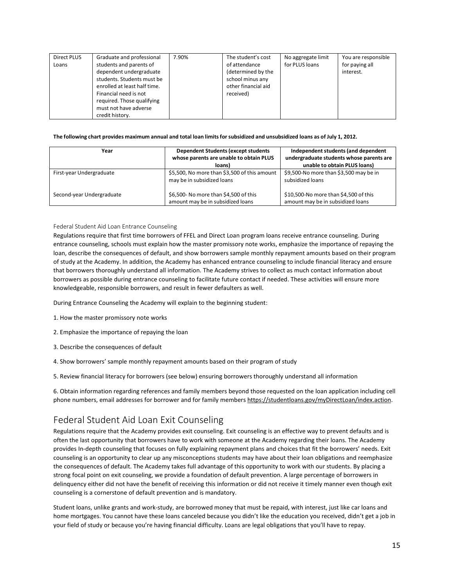| Graduate and professional<br>Direct PLUS<br>students and parents of<br>Loans<br>dependent undergraduate<br>students. Students must be<br>enrolled at least half time.<br>Financial need is not<br>required. Those qualifying<br>must not have adverse<br>credit history. | 7.90%                                                                      | The student's cost<br>of attendance<br>(determined by the<br>school minus any<br>other financial aid<br>received) | No aggregate limit<br>for PLUS loans                       | You are responsible<br>for paying all<br>interest.                                                              |
|--------------------------------------------------------------------------------------------------------------------------------------------------------------------------------------------------------------------------------------------------------------------------|----------------------------------------------------------------------------|-------------------------------------------------------------------------------------------------------------------|------------------------------------------------------------|-----------------------------------------------------------------------------------------------------------------|
| The following chart provides maximum annual and total loan limits for subsidized and unsubsidized loans as of July 1, 2012.                                                                                                                                              |                                                                            |                                                                                                                   |                                                            |                                                                                                                 |
| Year                                                                                                                                                                                                                                                                     | whose parents are unable to obtain PLUS<br>loans)                          | <b>Dependent Students (except students</b>                                                                        |                                                            | Independent students (and dependent<br>undergraduate students whose parents are<br>unable to obtain PLUS loans) |
| First-year Undergraduate                                                                                                                                                                                                                                                 | \$5,500, No more than \$3,500 of this amount<br>may be in subsidized loans |                                                                                                                   | \$9,500-No more than \$3,500 may be in<br>subsidized loans |                                                                                                                 |

| students. Students must be<br>enrolled at least half time.<br>Financial need is not<br>required. Those qualifying<br>must not have adverse<br>credit history. | school minus any<br>other financial aid<br>received)                                                                                                                                                                                                                                                                                                                                                                                                                                                                                                                                                                                   |                                                                                 |  |
|---------------------------------------------------------------------------------------------------------------------------------------------------------------|----------------------------------------------------------------------------------------------------------------------------------------------------------------------------------------------------------------------------------------------------------------------------------------------------------------------------------------------------------------------------------------------------------------------------------------------------------------------------------------------------------------------------------------------------------------------------------------------------------------------------------------|---------------------------------------------------------------------------------|--|
|                                                                                                                                                               | The following chart provides maximum annual and total loan limits for subsidized and unsubsidized loans as of July 1, 2012.                                                                                                                                                                                                                                                                                                                                                                                                                                                                                                            |                                                                                 |  |
| Year                                                                                                                                                          | <b>Dependent Students (except students</b><br>whose parents are unable to obtain PLUS                                                                                                                                                                                                                                                                                                                                                                                                                                                                                                                                                  | Independent students (and dependent<br>undergraduate students whose parents are |  |
|                                                                                                                                                               | loans)                                                                                                                                                                                                                                                                                                                                                                                                                                                                                                                                                                                                                                 | unable to obtain PLUS loans)                                                    |  |
| First-year Undergraduate                                                                                                                                      | \$5,500, No more than \$3,500 of this amount                                                                                                                                                                                                                                                                                                                                                                                                                                                                                                                                                                                           | \$9,500-No more than \$3,500 may be in                                          |  |
|                                                                                                                                                               | may be in subsidized loans                                                                                                                                                                                                                                                                                                                                                                                                                                                                                                                                                                                                             | subsidized loans                                                                |  |
| Second-year Undergraduate                                                                                                                                     | \$6,500- No more than \$4,500 of this                                                                                                                                                                                                                                                                                                                                                                                                                                                                                                                                                                                                  | \$10,500-No more than \$4,500 of this                                           |  |
|                                                                                                                                                               | amount may be in subsidized loans                                                                                                                                                                                                                                                                                                                                                                                                                                                                                                                                                                                                      | amount may be in subsidized loans                                               |  |
| Federal Student Aid Loan Entrance Counseling                                                                                                                  | Regulations require that first time borrowers of FFEL and Direct Loan program loans receive entrance counseling. During<br>entrance counseling, schools must explain how the master promissory note works, emphasize the importance of repaying the<br>loan, describe the consequences of default, and show borrowers sample monthly repayment amounts based on their program<br>of study at the Academy. In addition, the Academy has enhanced entrance counseling to include financial literacy and ensure<br>that borrowers thoroughly understand all information. The Academy strives to collect as much contact information about |                                                                                 |  |
|                                                                                                                                                               |                                                                                                                                                                                                                                                                                                                                                                                                                                                                                                                                                                                                                                        |                                                                                 |  |

More parents are unable to obtain PLUS<br>
Indergraduate tudents whose parents are<br>
S5,500, No more than \$3,500 of this<br>
may be in subsidized loans<br>
Second-year Undergraduate<br>
Second-year Undergraduate<br>
Second-year Undergradu **First-year Undergraduate** 55,500, No more than \$3,300 of this amount 53,500 and be to obtain PLUS loans)<br>
Second-year Undergraduate 56,500. No more than \$4,500 of this<br>
Second-year Undergraduate 56,500- No more than \$4,50 First-year Undergraduate \$5,500, No more than \$3,500 Ms of this amount that borrowers than \$4,500 of this<br>Second-year Undergraduate \$6,500 - No more than \$4,500 of this<br>Second-year Undergraduate and than the proposition o may be in subsidized loans<br>
Second-year Undergraduate<br>
S6,500- No more than \$4,500 of this<br>
amount may be in subsidized loans<br>
Federal Student Aid Loan Entrance Counseling<br>
Regulations require that first time borrowers of Second-year Undergraduate<br>
S6,500-No more than \$4,500 of this<br>
amount may be in subsidized loans<br>
Federal Student Aid Loan Entrance Counseling<br>
Regulations require that first time borrowers of FFEL and Direct Loan program Federal Student Aid Loan Entrance Counseling<br>
Regulations require that first time borrowers of FFEL and Direct Loan program loans receive entrance counseling. During<br>
Regulations require that first time borrowers of FFEL a Federal Student Aid Loan Entrance Counseling<br>Regulations require that first time borrowers of FFEL and Direct Loan program loans r<br>entrance counseling, schools must explain how the master promissory note works, er<br>loan, de Regulations require that first time borrowers of FFEL and Direct Loan program loans receive en<br>entrance counseling, schools must explain how the master promissory note works, emphasize<br>ioan, describe the consequences of de loan, describe the consequences of default, and show borrowers sample monthly<br>of study at the Academy. In addition, the Academy has enhanced entrance counse<br>that borrowers thoroughly understand all information. The Academy or study at ine Accelerity. In auditor, the ecology into the based on their borrowers throughly understand all information. The Academy strives to collect as much contact information about borrowers as possible during entr

- 
- 
- 
- 
- <span id="page-16-1"></span>

borrowersas possible during entrance counseling to facilitate future contact if needed. These activities will ensure more<br>knowledgeable, responsible borrowers, and result in fewer defaulters as well.<br>During Entrance Couns During Entrance Counseling the Academy will explain to the beginning student:<br>
1. How the master promissory note works<br>
2. Emphasize the importance of repaying the loan<br>
3. Describe the consequences of default<br>
4. Show bor

<span id="page-16-0"></span>or study at the exademy. In addition, the Academy semanced entrance counselering to include thrancal interacy and ensure the chrometra and the chrometra and the chrometra and the chrometra as possible during entrance couns 2. Empnasize the importance of repaying the ioan<br>3. Describe the consequences of default<br>4. Show borrowers' sample monthly repayment amounts based on their program of study<br>5. Review financial literacy for borrowers (see b 3. Describe the consequences of default<br>4. Show borrowers' sample monthly repayment amounts based on their program of study<br>5. Review financial literacy for borrowers (see below) ensuring borrowers thoroughly understand al provides In-depth counseling that focuses on their program of study<br>5. Review financial literacy for borrowers (see below) ensuring borrowers thoroughly understand all information<br>6. Obtain information regarding references 4. Show borrowers' sample monthly repayment amounts based on their program of study<br>5. Review financial literacy for borrowers (see below) ensuring borrowers thoroughly understand all information<br>6. Obtain information rega 5. Review financial literacy for borrowers (see below) ensuring borrowers thoroughly understand all information<br>6. Obtain information regarding references and family members beyond those requested on the loan application i s. Review financial literacy for borrowers (see below) ensuring borrowers thoroughly understand all information<br>6. Obtain information regarding references and family members beyond those requested on the loan application i 6. Obtain information regarding references and family members beyond those requested on the loan application including cell<br>phone numbers, email addresses for borrower and for family members <u>https://studentloans.gov/myDir</u> Counseling is a connect of default and work-study, are borrowed money that must be required to the borrower for the borrower and for family members https://studentloans.gov/myDired Federal Student Aid Loan Exit Counseling. Federal Student Aid Loan Exit Counseling<br>Regulations require that the Academy provides exit counseling. Exit counseling is an effective way to prevent defaults and is<br>often the last opportunity that borrowers have to work Federal Student Aid Loan Exit Counseling<br>Regulations require that the Academy provides exit counseling. Exit counseling is an effective way to prevent defaults and is<br>often the last opportunity that borowers have to work w Regulations require that the Academy provides exit counseling. Exit counseling is an effective way to prevent defaults and is<br>often the last opportunity that borrowers have to work with someone at the Academy regarding the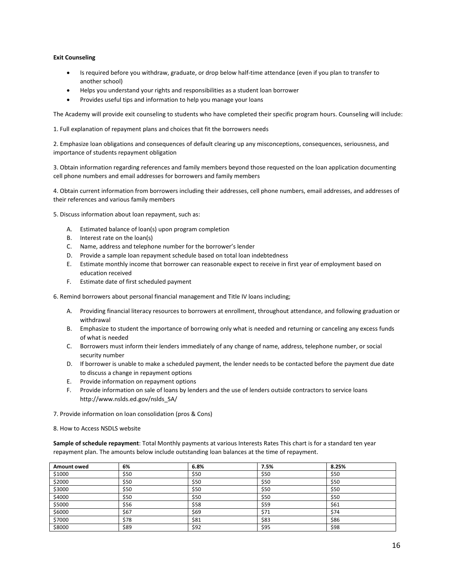- **Exit Counseling**<br>
 Is required before you withdraw, graduate,<br>
another school)<br>
 Helps you understand your rights and respo Is required before you withdraw, graduate, or drop below half-time attendance (even if you plan to transfer to Framous Counseling<br>
• Is required before you withdraw, graduate, or drop below half-time attendance (even if you plan to transfer to<br>
• Helps you understand your rights and responsibilities as a student loan borrower<br>
• Pr Exit Counseling<br>• Is required before you withdraw, graduate, or drop below half-time attendance (even if you plan to transfer to<br>• Helps you understand your rights and responsibilities as a student loan borrower<br>• Provides
	-
	-

1. Full explanation of repayment plans and choices that fit the borrowers needs<br>
2. Emphasize loan obligations and representing the boundary of repayment plans and the Academy will provide suseful tips and information to h **Exit Counseling**<br>
• Is required before you withdraw, graduate, or drop below half-time attendance (even if you plan to transfer to<br>
• Helps you understand your rights and responsibilities as a student loan borrower<br>
• Pro

Exit Counseling<br>
• Is required before you withdraw, graduate, or drop below half-time attend<br>
another school)<br>
• Helps you understand your rights and responsibilities as a student loan bor<br>
• Provides useful tips and infor 8. Is required before you withdraw, graduate, or drop below half-time attendance (even if you plan to transfer to<br>
3. Obtain information of regarding references and formation to help you manage your loans<br>
1. Full explanat another school)<br>
• Helps you understand your rights and responsibilities as a student loan borrower<br>
• Provides useful tips and information to help you manage your loans<br>
The Academy will provide exit counseling to student • Provides useful tips and information to neip you manage your foats<br>The Academy will provide exit counseling to students who have completed their spe<br>1. Full explanation of repayment plans and choices that fit the borrowe The Academy will provide extic conselling to students who have completed their specific program in<br>
1. Full explanation of repayment plans and choices that fit the borrowers needs<br>
2. Emphasize Ioan obligations and consequ II explaination or repayment plans and choices that ift the borrowers needs<br>phasize loan obligations and consequences of default clearing up any misconceptions, consequen<br>rtance of students repayment obligation<br>tain inform nphasize loan obligations and consequences of default clearing up any mist<br>
rtance of students repayment obligation<br>
tain information regarding references and family members beyond those<br>
hone numbers and email addresses f Traince of students repayment obligation<br>
Actain information regarding references and family members beyond those requested on the loan application doc<br>
Achone numbers and email addresses for borrowers and family members<br> ortion information regarding references and family members beyond those requested on the loan application documen<br>
phone numbers and email addresses for borrowers and family members<br>
tain current information from borrowers

Frowdes useful tips and information to help you manage your loans<br>
The Academy will provide exit counseling to students who have completed their specific program hours. Counseling will include:<br>
1. Full explanation of repa tain information regarding references and family members beyond those requested on the loan application documenting<br>thone numbers and email addresses for borrowers and family members<br>tain current information from borrowers end the numbers and email addresses for borrowers and family me<br>
current information from borrowers including their addresse<br>
rences and various family members<br>
information about loan repayment, such as:<br>
Estimated balance tain current information from borrowers including their addresses, cell phone number<br>references and various family members<br>ccuss information about loan repayment, such as:<br>A. Estimated balance of loan(s) upon program compl

- 
- 
- 
- 
- Interest rate on the loants)<br>
Name, address and telephone number for the borrower's le<br>
Provide a sample loan repayment schedule based on total lo<br>
Estimate monthly income that borrower can reasonable expeducation received Provide a sample loan repayment schedule based on total<br>Estimate monthly income that borrower can reasonable e<br>education received<br>Estimate date of first scheduled payment<br>Information borrowers about personal financial mana
- 

- 1. Biscuss information about loan repayment, such as:<br>
5. Discuss information about loan repayment, such as:<br>
1. Estimated balance of loan(s)<br>
1. Interest rate on the loan(s)<br>
1. Provide a sample loan repayment schedule ba scuss information about loan repayment, such as:<br>
A. Estimated balance of loan(s) upon program completion<br>
B. Interest rate on the loan(s)<br>
C. Name, address and telephone number for the borrower's lender<br>
D. Provide a samp withdrawal A. Estimate 0 salare or locating lypon program completion<br>
B. Interest rate on the loan(s)<br>
C. Name, address and telephone number for the borrower's lender<br>
D. Provide a sample loan repayment schedule based on total loan i C. Name, adoress and telephone number for the tororower sender<br>
D. Provide a sample loan repayment schedule based on total loan indebtedness<br>
E. Estimate monthly income that borrower can reasonable expect to receive in fir E. Estimate monthny income that borrower can reasonable expect to receive in first year or employment based on<br>
F. Estimate date of first scheduled payment<br>
mind borrowers about personal financial management and Title IV l Estimate date of first scheduled payment<br>
Estimate date of first scheduled payment<br>
Providing financial literacy resources to borrowers at enrollment, throughout atten<br>
withdrawal<br>
Emphasize to student the importance of bo E. Estimate date or first scheduled payment<br>
mind borrowers about personal financial management and Title IV loans including;<br>
A. Providing financial literacy resources to borrowers at enrollment, throughout attend.<br>
Empha mind borrowers about personal financial management and Title IV loans including;<br>
A. Providing financial literacy resources to borrowers at enrollment, throughout attendance, and following graduation or<br>
or withdrawal<br>
B.
	-
	-
	-
	-
- http://www.nslds.ed.gov/nslds\_SA/ withdrawal<br>
B. Emphasize to student the importance of borrowing only what is needed and returning or car<br>
of what is needed<br>
C. Borrowers must inform their lenders immediately of any change of name, address, telephone<br>
sec
- 
- 

B. Emphasize to student the importance or borrowing only what is<br>of what is needed<br>C. Borrowers must inform their lenders immediately of any change<br>security number<br>D. If borrower is unable to make a scheduled payment, the

| C.          | security number                                            | Borrowers must inform their lenders immediately of any change of name, address, telephone number, or social                                                                                                                    |      |       |  |
|-------------|------------------------------------------------------------|--------------------------------------------------------------------------------------------------------------------------------------------------------------------------------------------------------------------------------|------|-------|--|
| D.          | to discuss a change in repayment options                   | If borrower is unable to make a scheduled payment, the lender needs to be contacted before the payment due date                                                                                                                |      |       |  |
| Е.          | Provide information on repayment options                   |                                                                                                                                                                                                                                |      |       |  |
| F.          |                                                            | Provide information on sale of loans by lenders and the use of lenders outside contractors to service loans                                                                                                                    |      |       |  |
|             | http://www.nslds.ed.gov/nslds SA/                          |                                                                                                                                                                                                                                |      |       |  |
|             | 7. Provide information on loan consolidation (pros & Cons) |                                                                                                                                                                                                                                |      |       |  |
|             | 8. How to Access NSDLS website                             |                                                                                                                                                                                                                                |      |       |  |
| Amount owed | 6%                                                         | Sample of schedule repayment: Total Monthly payments at various Interests Rates This chart is for a standard ten year<br>repayment plan. The amounts below include outstanding loan balances at the time of repayment.<br>6.8% | 7.5% | 8.25% |  |
| \$1000      | \$50                                                       | \$50                                                                                                                                                                                                                           | \$50 | \$50  |  |
| \$2000      | \$50                                                       | \$50                                                                                                                                                                                                                           | \$50 | \$50  |  |
| \$3000      | \$50                                                       | \$50                                                                                                                                                                                                                           | \$50 | \$50  |  |
| \$4000      | \$50                                                       | \$50                                                                                                                                                                                                                           | \$50 | \$50  |  |
| \$5000      | \$56                                                       | \$58                                                                                                                                                                                                                           | \$59 | \$61  |  |
| \$6000      | \$67                                                       | \$69                                                                                                                                                                                                                           | \$71 | \$74  |  |
| \$7000      | \$78                                                       | \$81                                                                                                                                                                                                                           | \$83 | \$86  |  |
| \$8000      | \$89                                                       | \$92                                                                                                                                                                                                                           | \$95 | \$98  |  |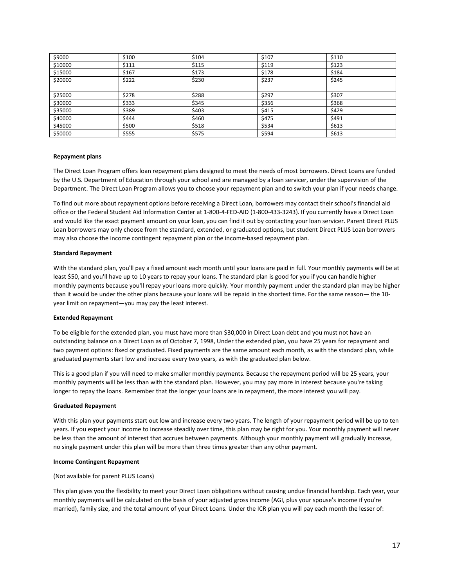| \$9000          | \$100 | \$104                                                                                                                                                                                                                                                                                                                                                                                          | \$107 | \$110 |
|-----------------|-------|------------------------------------------------------------------------------------------------------------------------------------------------------------------------------------------------------------------------------------------------------------------------------------------------------------------------------------------------------------------------------------------------|-------|-------|
| \$10000         | \$111 | \$115                                                                                                                                                                                                                                                                                                                                                                                          | \$119 | \$123 |
| \$15000         | \$167 | \$173                                                                                                                                                                                                                                                                                                                                                                                          | \$178 | \$184 |
| \$20000         | \$222 | \$230                                                                                                                                                                                                                                                                                                                                                                                          | \$237 | \$245 |
|                 |       |                                                                                                                                                                                                                                                                                                                                                                                                |       |       |
| \$25000         | \$278 | \$288                                                                                                                                                                                                                                                                                                                                                                                          | \$297 | \$307 |
| \$30000         | \$333 | \$345                                                                                                                                                                                                                                                                                                                                                                                          | \$356 | \$368 |
| \$35000         | \$389 | \$403                                                                                                                                                                                                                                                                                                                                                                                          | \$415 | \$429 |
| \$40000         | \$444 | \$460                                                                                                                                                                                                                                                                                                                                                                                          | \$475 | \$491 |
| \$45000         | \$500 | \$518                                                                                                                                                                                                                                                                                                                                                                                          | \$534 | \$613 |
| \$50000         | \$555 | \$575                                                                                                                                                                                                                                                                                                                                                                                          | \$594 | \$613 |
| Repayment plans |       |                                                                                                                                                                                                                                                                                                                                                                                                |       |       |
|                 |       | The Direct Loan Program offers loan repayment plans designed to meet the needs of most borrowers. Direct Loans are funded<br>by the U.S. Department of Education through your school and are managed by a loan servicer, under the supervision of the<br>Department. The Direct Loan Program allows you to choose your repayment plan and to switch your plan if your needs change.            |       |       |
|                 |       | To find out more about repayment options before receiving a Direct Loan, borrowers may contact their school's financial aid<br>office or the Federal Student Aid Information Center at 1-800-4-FED-AID (1-800-433-3243). If you currently have a Direct Loan<br>and would like the exact power to mount on your loan, you can find it out by contacting your loan servicer. Darent Direct DLUS |       |       |

To find out more about repayment options before receiving a Direct Loan, borrowers may contact their school's financial aid office or the Federal Student Aid Information Center at 1-800-4-FED-AID (1-800-433-3243). If you currently have a Direct Loan Student Aid Information Center at 1-800-4-FED-AID (1-800-433-3243). If you currently have a Dire 545000 5500 5500 5518 5575 5581 5578 5584 5613<br>55000 5555 5555 5575 5576 5576 5584 5613<br>
Repayment plans<br>
The Direct Loan Program offers loan repayment plans designed to meet the needs of most borrowers. Direct Loans are f S50000 SS555 SERVERT SERVERT UNITED SERVERT SERVERT UNITED SERVERT THE DIRECT UNITED DIRECT USING THE DIRECT USING THE DIRECT LOADS ARE FUNDED USING the U.S. Department of Education through your school and are managed by a Repayment plans<br>The Direct Loan Program offers loan repayment plans designed to meet the needs of most borrowers. Direct Loans are funded<br>by the U.S. Department of Education through your school and are managed by a loan se **Kepayment plans**<br>The Direct Loan Program offers loan repayment plans desig<br>by the U.S. Department of Education through your school a<br>Department. The Direct Loan Program allows you to choose<br>To find out more about repaymen The Direct Loan Program offers loan repayment plans designed to meet the needs of most borrowers. Direct Loans are funded<br>by the U.S. Department of Education through you school and are managed by a loan servicer, under the

by the U.S. Department of Education through your school and are managed by a loan servicer, under the supervision of the<br>Department. The Direct Loan Program allows you to choose your repayment plan and to switch your plan Department. The Direct Loan Program allows you to choose your repayment plan and to switch your plan if your needs change.<br>To find out more about repayment options before receiving a Direct Loan, borrowers may contact thei To find out more about repayment options before receiving a Direct Loan, borrowers may contact their school's financial aid<br>office or the Federal Student Aid Information Center at 1-800-4-FED-AID (1-800-433-3243). If you c To lind out more about repayment options before receiving a Direct Loan, foortowers may condact or the Federal Student kid Information Center at 1-800-4-FED-AID (1-800-433-3243). If you chand<br>and would like the exact payme and would like the exact payment amount on your loan, you<br>Loan borrowers may only choose from the standard, extend<br>may also choose the income contingent repayment plan or<br>**Standard Repayment**<br>With the standard plan, you'll may also choose the income contingent repayment plan or the income-based repayment plan.<br> **Standard Repayment**<br>
With the standard plan, you'll pay a fixed amount each month until your loans are paid in full. Your monthly p **Standard Repayment**<br>With the standard plan, you'll pay a fixed amount each month until your loans are paid in full. Your monthly payments will be at<br>least \$50, and you'll have up to 10 years to repay your loans. The stand **Standard Repayment**<br>With the standard plan, you'll pay a fixed amount each month until your loans are paid in full. Your monthly payments will be a<br>least \$50, and you'll have up to 10 years to repay your loans. The standa With the standard plan, you'll pay a fixed amount each month until your loans are paid in full. Your monthly payments will be at<br>least \$50, and you'll have up to 10 years to repay your loans. The standard plan is good for

least \$50, and you'll have up to 10 years to repay your loans. The standard plan is good for you if you can handle higher monthly payment tunder the standard plan may be higher monthly payment tunder the standard plan may monthly payments because you'll repay your loans more quickly. Your monthly payment under the standard plan may be higher than it would be under the other plans because your loans will be repaid in the shortest time. For t than it would be under the other plans because your loans will be repaid in the shortest time. For the same reason— the 10-<br>year limit on repayment—you may pay the least interest.<br>**Extended Repayment**<br>To be eligible for th Extended Repayment<br>To be eligible for the extended plan, you must have more tha<br>outstanding balance on a Direct Loan as of October 7, 1998, l<br>two payment options: fixed or graduated. Fixed payments ar<br>graduated payments st To be eligible for the extended plan, you must have more than \$30,000 in Direct Loan debt and you must not have an<br>outstanding balance on a Direct Loan as of October 7, 1998, Under the extended plan, you have 25 years for

To be eligible for the extended plan, you must have more than \$30,000 in Direct Loan debt and you must not have an<br>outstanding balance on a Direct Loan as of October 7, 1998, Under the extended plan, you have 25 years for outstanding balance on a Direct Loan as of October 7, 1998, Under the extended plan, you have 25 years for repayment and two payment options: fixed or graduated payments start low and increase every two years, as with the two payment options: fixed or graduated. Fixed payments are the same amount each month, as with the standard plan, while<br>graduated payments start low and increase every two years, as with the graduated plan below.<br>This is This is a good plan if you will need to make smaller monthly payment<br>monthly payments will be less than with the standard plan. However,<br>longer to repay the loans. Remember that the longer your loans are in<br>**Graduated Repa** monthly payments will be less than with the standard plan. However, you may plonger to repay the loans. Remember that the longer your loans are in repayment<br> **Graduated Repayment**<br>
With this plan your payments start out lo onger to repay the loans. Remember that the longer your loans are in repayment, the more interest you will pay.<br>Graduated Repayment<br>With this plan your payments start out low and increase setally over trime, this plan may **Graduated Repayment**<br>With this plan your payments start out low and increase every two years. The length of your repayment period will be up to ten<br>years. If you expect your income to increase steadily over time, this pla With this plan your payments start out low and increase every two years. The length of your repayment period will be up to ten<br>years. If you expect your income to increase steadily over time, this plan may be right for you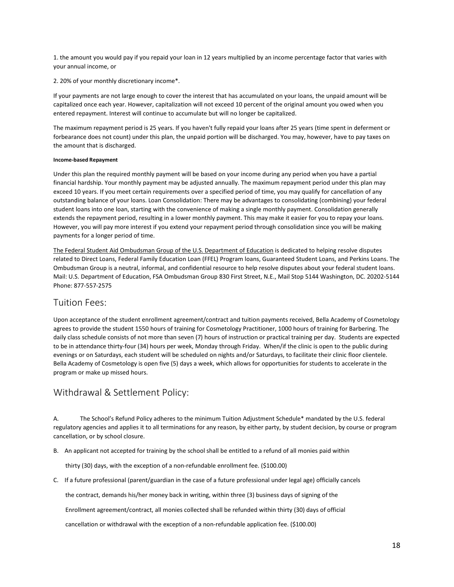1. the amount you would pay if you repaid your loan in 12 years multiplied by an income percentage factor that varies with<br>your annual income, or<br>2. 20% of your monthly discretionary income\*. 1. the amount you would pay if you repaid your loan in 12 years multip<br>your annual income, or<br>2. 20% of your monthly discretionary income\*.<br>If your payments are not large enough to cover the interest that has ad

2. the amount you would pay if you repaid your loan in 12 years multiplied by an incom<br>your annual income, or<br>2. 20% of your monthly discretionary income\*.<br>If your payments are not large enough to cover the interest that h 1. the amount you would pay if you repaid your loan in 12 years multiplied by an income percentage factor that varies with<br>your annual income, or<br>2. 20% of your monthly discretionary income\*.<br>capitalized once each year. Ho 1. the amount you would pay if you repaid your loan in 12 years multiplied by an income percentage factor that varies with<br>your annual income, or<br>2. 20% of your monthly discretionary income\*.<br>If your payments are not large 1. the amount you would pay if you repaid your loan in 12 years multiplied by an income percentage factor that varies with<br>pour annual income, or<br>2. 20% of your monthly discretionary income\*.<br>If your payments are not large 1. the amount you would pay if you repaid your loan in 12 years mul<br>your annual income, or<br>2. 20% of your monthly discretionary income\*.<br>If your payments are not large enough to cover the interest that has<br>capitalized once 2. 20% of your monthly discretionary income\*.<br>If your payments are not large enough to cover the interecapitalized once each year. However, capitalization will ne<br>netered repayment. Interest will continue to accumulate<br>The

1. the amount you would pay if you repaid your loan in 12 years multiplied by an income percentage factor that varies with<br>your annual income, or<br>2. 20% of your monthly discretionary income\*.<br>If your payments are not large 1. the amount you would pay if you repaid your loan in 12 years multiplied by an income percentage factor that varies with<br>your annual income, or<br>2. 20% of your monthly discretionary income\*.<br>If your payments are not large

2. 20% of your monthly discretionary income\*.<br>If your payments are not large enough to cover the interest that has accumulated on your loans, the unpaid amount will be<br>capitalized once each year. However, capitalization wi Effect that the under the monthly payment of the interest that has accumulated on your loans, the unpaid amount will be fraptitalized once ach year. However, capitalization will not exceed 10 percent of the original amount If your payments are not large enough to cover the interest that has accumulated on your loans, the unpaid amount will be<br>capitalized once each year. However, capitalization will not exceed 10 percent of the original amoun capitalized once each year. However, capitalization will not exceed 10 percent of the original amount you owed when you<br>entered repayment. Interest will continue to accumulate but will no longer be capitalized.<br>The maximum entered repayment. Interest will continue to accumulate but will no longer be capitalized.<br>The maximum repayment period is 25 years. If you haven't fully repaid your loans after 25 years (time spent in deferment or<br>forbear The maximum repayment period is 25 years. If you haven't fully repaid your loans after 25 years (time spent in deferment or<br>forbearance does not count) under this plan, the unpaid portion will be discharged. You may, howev The maximum repayment period, resulting in a lower must buy repaid your loans after 25 years (time spent in determent or<br>forbearance does not count) under this plan, the unpaid portion will be discharged. You may, however, forbearance does not count) under this plan, the unpaid portion will be discharge<br>the amount that is discharged.<br>Income-based Repayment<br>Under this plan the required monthly payment will be based on your income duri<br>financi Income-based Repayment<br>Under this plan the required monthly payment will be based on your income during any period when you have a partial<br>financial hardship. Your monthly payment may be adjusted annually. The maximum repa income-based kepayment<br>Under this plan the required monthly payment will be based on your income during any period when you have a partial<br>financial hardship. Your monthly payment may be adjusted annually. The maximum repa Under this plan the required monthly payment will be based on your income during any period when you have a partial<br>financial hardship. Your monthly payment may be adjusted annually. The maximum repayment period under this financial hardship. Your monthly payment may be adjusted annually. The maximum repayment period under this plan may exceed 10 years. If you meet certain requirements over a specified period of time, you may qualify for can exceed 10 years. If you meet certain requirements over a<br>outstanding balance of your loans. Loan Consolidation: T<br>student loans into one loan, starting with the convenienc<br>extends the repayment period, resulting in a lower the amount that is discharged.<br>
Under this plan the required monthly payment will be based on your income during any<br>
Under this plan the required monthly payment may be adjusted annually. The maximum repa<br>
exceed 10 years

However, you will pay more interest if you extend your repayment period through consolidation since you will be making<br>payments for a longer period of time.<br>The Federal Student Aid Ombudsman Group of the U.S. Department of

<span id="page-19-0"></span>noutron, you all a flag and the student Aid Ombudsman Group of the U.S. Department of Education is dedicated to helping resolve disputes<br>The Federal Student Aid Ombudsman Group of the U.S. Department of Education is dedica Fire Federal Student Aid Ombudsman Group of the U.S. Department of Education is dedicated to helping resolve disputes<br>The Federal Student Aid Ombudsman Group of the U.S. Department of Education is dedicated ot helping reso The Federal Student Aid Ombudsman Group of the U.S. Department of Education is dedicated to helping resolve disputes<br>related to Direct Loans, Federal Family Education Loan (FFEL) Program loans, Guaranted Student Loans, and related to Direct Loans, Federal Family Education Loan (FFEL) Program loans, Guaranteed Student Loans, and Perkins Loans. The Ombudsman Group is a neutral, informal, and confidential resource to help resolve disputes about Ombudsman Group is a neutral, informal, and confidential resource to help resolve disputes about your federal student loans.<br>Mail: U.S. Department of Education, FSA Ombudsman Group 830 First Street, N.E., Mail Stop 5144 Wa Mail: U.S. Department of Education, FSA Ombudsman Group 830 First Street,<br>Phone: 877-557-2575<br>Tuition Fees:<br>Upon acceptance of the student enrollment agreement/contract and tuition p<br>agrees to provide the student 1550 hour payments for a longer period of time.<br>The Federal Student Aid Ombudsman Group of the U.S. Department of Education is dedicated to helping resolve disper<br>lented to Direct Lonars, Federal Family Education Loan (FFEL) Program Upon acceptance of the student enrollment agreement/contract and tution payments received, Bella Academy of Cosmetology<br>agrees to provide the student 1550 hours of training for Cosmetology Practition or practical training agres to prowde the student 1.550 hours of training for Cossmetology Practitioner, 1,000 hours of training for Briefring. The disting perior of training terminations in the methanic thirty-four (34) hours per week, Monday daily class schedule consists of not more than seven (7) hours of instruction<br>to be in attendance thirty-four (34) hours per week, Monday through Friday<br>evenings or on Saturdays, each student will be scheduled on nights an evenings or on Saturdays, each student will be scheduled on nights and/or Saturdays, to facilitate their clinic floor clientele.<br>Bella Academy of Cosmetology is open five (5) days a week, which allows for opportunities for

<span id="page-19-1"></span>The School's Refund Policy adheres to the minimum Tuition Adjustment Schedule\* mandated by the U.S. federal<br>Third Tawal & Settlement Policy:<br>The School's Refund Policy adheres to the minimum Tuition Adjustment Schedule\* ma Withdrawal & Settlement Policy:<br>
A. The School's Refund Policy adheres to the minimum Tuition Adjustment Schedule\* mandated by the U.S. federal<br>
regulatory agencies and applies it to all terminations for any reason, by eit The School's Refund Policy adheres to the minimum Tuition Adjustment Schedule\* mandated by the U.S. federal<br>latory agencies and applies it to all terminations for any reason, by either party, by student decision, by course The School's Refund Policy adheres to the minimum Tuition Adjustment Schedule\* mandated by the U.S. federal<br>latory agencies and applies it to all terminations for any reason, by either party, by student decision, by course latory agencies and applies it to all terminations for any reason, by either party, by student decision, by course or program<br>ellation, or by school closure.<br>An applicant not accepted for training by the school shall be en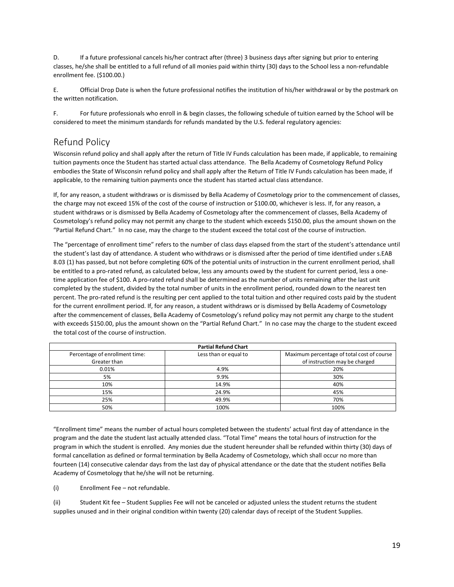D. If a future professional cancels his/her contract after (three) 3 business days after signing but prior to entering classes, he/she shall be entitled to a full refund of all monies paid within thirty (30) days to the Sc D. If a future professional cancels his/her contract after (three) 3 business days after signing but prior to entering<br>classes, he/she shall be entitled to a full refund of all monies paid within thirty (30) days to the Sc E.<br>
If a future professional cancels his/her contract after (the classes, he/she shall be entitled to a full refund of all monies paid<br>
enrollment fee. (\$100.00.)<br>
E. Cificial Drop Date is when the future professional noti E.<br>
E. The future professional cancels his/her contract after (three) 3 business days after signing but prior to entering<br>
classes, he/she shall be entitled to a full refund of all monies paid within thirty (30) days to th D. If a future professional cancels his/her contract afte<br>classes, he/she shall be entitled to a full refund of all monies<br>enrollment fee. (\$100.00.)<br>E. Official Drop Date is when the future professional n<br>the written noti F. If a future professional cancels his/her contract after (three) 3 business days after signing but prior to entering classes, he/she shall be entitled to a full refund of all monies paid within thirty (30) days to the Sc 16 a future professional cancels his/her contract after (three) 3 business days after signing but prior to entering<br>classes, he/she shall be entitled to a full refund of all monies paid within thirty (30) days to the Schoo

# <span id="page-20-0"></span>Refund Policy

Wisconsin refund policy and shall apply after the return of Title IV Funds calculation has been made, if applicable, to remaining tuition payments once the Student has started actual class attendance. The Bella Academy of Cosmetology Refund Policy embodies the State of Wisconsin refund policy and shall apply after the Return of Title IV Funds calculation has been made, if applicable, to the remaining tuition payments once the student has started actual class attendance.

If, for any reason, a student withdraws or is dismissed by Bella Academy of Cosmetology prior to the commencement of classes, the charge may not exceed 15% of the cost of the course of instruction or \$100.00, whichever is less. If, for any reason, a student withdraws or is dismissed by Bella Academy of Cosmetology after the commencement of classes, Bella Academy of Cosmetology's refund policy may not permit any charge to the student which exceeds \$150.00, plus the amount shown on the "Partial Refund Chart." In no case, may the charge to the student exceed the total cost of the course of instruction.

The "percentage of enrollment time" refers to the number of class days elapsed from the start of the student's attendance until the student's last day of attendance. A student who withdraws or is dismissed after the period of time identified under s.EAB 8.03 (1) has passed, but not before completing 60% of the potential units of instruction in the current enrollment period, shall be entitled to a pro-rated refund, as calculated below, less any amounts owed by the student for current period, less a onetime application fee of \$100. A pro-rated refund shall be determined as the number of units remaining after the last unit completed by the student, divided by the total number of units in the enrollment period, rounded down to the nearest ten percent. The pro-rated refund is the resulting per cent applied to the total tuition and other required costs paid by the student for the current enrollment period. If, for any reason, a student withdraws or is dismissed by Bella Academy of Cosmetology after the commencement of classes, Bella Academy of Cosmetology's refund policy may not permit any charge to the student with exceeds \$150.00, plus the amount shown on the "Partial Refund Chart." In no case may the charge to the student exceed the total cost of the course of instruction. f the potential units of instruction in the current enrollmer, less any amounts owed by the student for current perioo be determined as the number of units remaining after the errof units in the enrollment period, rounded itled to a pro-rated refund, as calculated below, less any amounts complication fee of \$100. A pro-rated refund shall be determined as the entit. The pro-rated refund is the resulting per cent applied to the total number o of the of \$100. A pro-rated refunds, as calculated sciow, itss any and<br>on fee of \$100. A pro-rated refund shall be determinithe student, divided by the total number of units in<br>pro-rated refund is the resulting per cent ap vertext and we must some dot the student for current period, less a one-<br>be determined as the number of units remaining after the last unit<br>er of units in the enrollment period, rounded down to the nearest ten<br>t applied t of the cancelic period, tests a one<br>remaining after the last unit<br>unded down to the nearest ten<br>required costs paid by the student<br>Bella Academy of Cosmetology<br>permit any charge to the student<br>x y the charge to the student

|                                                                                                                                                                                                                                                  | <b>Partial Refund Chart</b> |                                                                                                                                                                                                                                                                                                                                                                                         |
|--------------------------------------------------------------------------------------------------------------------------------------------------------------------------------------------------------------------------------------------------|-----------------------------|-----------------------------------------------------------------------------------------------------------------------------------------------------------------------------------------------------------------------------------------------------------------------------------------------------------------------------------------------------------------------------------------|
| Percentage of enrollment time:                                                                                                                                                                                                                   | Less than or equal to       | Maximum percentage of total cost of course                                                                                                                                                                                                                                                                                                                                              |
| Greater than                                                                                                                                                                                                                                     |                             | of instruction may be charged                                                                                                                                                                                                                                                                                                                                                           |
| 0.01%                                                                                                                                                                                                                                            | 4.9%                        | 20%                                                                                                                                                                                                                                                                                                                                                                                     |
| 5%                                                                                                                                                                                                                                               | 9.9%                        | 30%                                                                                                                                                                                                                                                                                                                                                                                     |
| 10%                                                                                                                                                                                                                                              | 14.9%                       | 40%                                                                                                                                                                                                                                                                                                                                                                                     |
| 15%                                                                                                                                                                                                                                              | 24.9%                       | 45%                                                                                                                                                                                                                                                                                                                                                                                     |
| 25%                                                                                                                                                                                                                                              | 49.9%                       | 70%                                                                                                                                                                                                                                                                                                                                                                                     |
| 50%                                                                                                                                                                                                                                              | 100%                        | 100%                                                                                                                                                                                                                                                                                                                                                                                    |
| program and the date the student last actually attended class. "Total Time" means the total hours of instruction for the<br>formal cancellation as defined or formal termination by Bella Academy of Cosmetology, which shall occur no more than |                             | "Enrollment time" means the number of actual hours completed between the students' actual first day of attendance in the<br>program in which the student is enrolled. Any monies due the student hereunder shall be refunded within thirty (30) days of<br>fourteen (14) consecutive calendar days from the last day of physical attendance or the date that the student notifies Bella |

 $\frac{6.01\%}{5\%}$   $\frac{4.9\%}{30\%}$   $\frac{20\%}{40\%}$ <br>  $\frac{16\%}{25\%}$   $\frac{4.9\%}{4.9\%}$   $\frac{4.9\%}{4.9\%}$   $\frac{4.9\%}{70\%}$ <br>  $\frac{76\%}{25\%}$   $\frac{5\%}{50\%}$   $\frac{4.9\%}{100\%}$ <br>
"Enrollment time" means the number of actual hours 5%<br>
10%<br>
10%<br>
14.9%<br>
235%<br>
235%<br>
235%<br>
235%<br>
100%<br>
24.99%<br>
24.99%<br>
49.9%<br>
49.9%<br>
49.9%<br>
100%<br>
24.9%<br>
24.9%<br>
49.9%<br>
100%<br>
100%<br>
100%<br>
100%<br>
100%<br>
100%<br>
100%<br>
100%<br>
100%<br>
100%<br>
100%<br>
200%<br>
200%<br>
200%<br>
200%<br>
200%<br>
200%<br>
200%<br> 15%<br>
24.9%<br>
25%<br>
26%<br>
100%<br>
100%<br>
100%<br>
100%<br>
100%<br>
100%<br>
100%<br>
100%<br>
100%<br>
100%<br>
100%<br>
100%<br>
100%<br>
100%<br>
100%<br>
100%<br>
100%<br>
100%<br>
100%<br>
100%<br>
100%<br>
100%<br>
100%<br>
100%<br>
100%<br>
100%<br>
100%<br>
100%<br>
100%<br>
100%<br>
100%<br>
100%<br>
100%<br>
10  $\begin{tabular}{l|l} \hline & \multicolumn{1}{l}{30}\% \hline & \multicolumn{1}{l}{100}\% \hline & \multicolumn{1}{l}{100}\% \hline \\ \hline \end{tabular} \hline \begin{tabular}{l} \hline \end{tabular} \hline \begin{tabular}{l} \multicolumn{1}{l}{l} \multicolumn{1}{l}{l} \multicolumn{1}{l}{100}\% \hline \\ \end{tabular} \hline \begin{tabular}{l} \multicolumn{1}{l}{l} \multicolumn{1}{l}{l} \multicolumn{1}{l}{l} \multicolumn{1}{l}{l} \multicolumn{1}{l}{l} \$ "Enrollment time" means the number of actual hours completed between the students' actual first day of attendance in the program and the date the student at actually attended class. "Total Time" means the total hours of in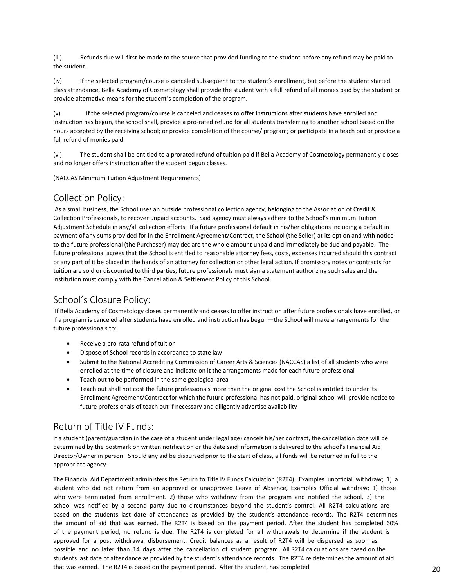(iii) Refunds due will first be made to the source that provided funding to the student before any refund may be paid to<br>the student.<br>(iv) If the selected program/course is canceled subsequent to the student's enrollment,

(iii) Refunds due will first be made to the source<br>the student.<br>(iv) If the selected program/course is canceled :<br>class attendance, Bella Academy of Cosmetology shal<br>provide alternative means for the student's completies (iii) Refunds due will first be made to the source that provided funding to the student before any refund may be paid to<br>the student.<br>(iv) If the selected program/course is canceled subsequent to the student's enrollment, (iii) Refunds due will first be made to the source that provided funding to the student before any refund may be paid to<br>the student.<br>(iv) If the selected program/course is canceled subsequent to the student's enrollment, (iii) Refunds due will first be made to the source that provided funding to the student before any refund n<br>the student.<br>(iv) If the selected program/course is canceled subsequent to the student's enrollment, but before th

(iii) Refunds due will first be made to the source that provided funding to the student before any refund may be paid to the student.<br>(iv) If the selected program/course is canceled subsequent to the student's enrollment, (iii)<br> **Instruction has begun, the school shall** provided funding to the student before any refund may be paid to<br>
the student.<br>
If the selected program/course is canceled subsequent to the student's enrollment, but before (iii) Refunds due will first be made to the source that provided funding to the student before any refund may be paid to<br>the student.<br>
(iv) If the selected program/course is canceled subsequent to the student's enrollment, (iii) Refunds due will first be made to the source that provided fu<br>the student.<br>(iv) If the selected program/course is canceled subsequent to the<br>class attendance, Bella Academy of Cosmetology shall provide the stud<br>provi (iii) Refunds due will first be made to the source that provided funding to the student before any refund may be paid to the student.<br>
(iv) If the selected program/course is canceled subsequent to the student's enrollment, the student.<br>
(iv) If the selected program/course is canceled subsequent to the student's enrollment, but before t<br>
class attendance, Bella Academy of Cosmetology shall provide the student with a full refund of all monies<br> (iv) If the selected program/course is canceled subsequent to the student's enrolln<br>class attendance, Bella Academy of Cosmetology shall provide the student with a full refu<br>provide alternative means for the student's comp

<span id="page-21-0"></span>

(iii)<br>
Refunds due will first be made to the source that provided funding to the student<br>
the student.<br>
(iv) If the selected program/course is canceled subsequent to the student's enrollment,<br>
class attendance, Bella Acade v) If the selected program/course is canceled and ceases to offer instructions after students have enrolled and<br>noturs accepted by the echoin shall, provide a pro-rated refund for all students transferring to another schoo instruction has begun, the school shall, provide a pro-rated refund for all students transferring to another school based on the<br>hours accepted by the receiving school; or provide completion of the course/ program; or part Nours accepted by the receiving school; or provide completion of the course/ program; or participate in a teach out or provide a<br>full refund of monies paid.<br>(vi) The student shall be entitled to a prorated refund of tuitio full refund of monies paid.<br>
(vi) The student shall be entitled to a prorated refund of tuition paid if Bella Academy of Cosmetology permanently closes<br>
and no longer offers instruction after the student begun classes.<br>
(N (vi) The student shall be entitled to a prorated refund of tuition paid if Bella Academy of Cosmetology permanently closes<br>and no longer offers instruction after the student begun classes.<br>(NACCAS Minimum Tuition Adjustmen (vi) The student shall be entitled to a prorated retund of tuition paid if Bella Academy of Cosmetology permanently closes<br>and no longer offers instruction after the student begun classes.<br>
(NACCAS Minimum Tuition Adjustme and no longer ofters instruction after the student begun classes.<br>
(NACCAS Minimum Tuition Adjustment Requirements)<br>
Collection Policy:<br>
As asmall business, the school uses an outside professional collection agency, belong (NACCAS Minimum Tuition Adjustment Requirements)<br>
Collection Policy:<br>
As a small business, the school uses an outside professional collection agency, belonging to the Association of Credit &<br>
Collection Professionals, to r For Collection Policy:<br>
As a small business, the School uses an outside professional collection agency, belonging to the Association of Credit &<br>
Collection Professionals, to recover unpaid accounts. Said agency must alway rameterino of informes pain.<br>
(vi) The student shall be entitled to a prorated refund of tuition paid if Bella Academy of Cosmetcond and no longer offers instruction after the student begun classes.<br>
(NACCAS Minimum Tuitio If Bella Academy of Cosmetology closes permanently and ceases to offer instruction after future professionals to Precise and the Scholagency must always adhere to the Schola's minimum Tuition<br>Adjustment Schedule in any/all digits then the my sums provided for in the Enrollment Agreement/Contract, the School (the Seller) at its option and with notice<br>approach of any sums provided for in the Enrollment Agreement/Contract, the School (the Selle Future in the since that the Enrollment Agreement/Contract, the School (the future professional agrees that the Enrollment Agreement/Contract, the School (the future professional agrees that the School is entitled to reaso e professional agrees that the School is entitied to reasonable attorney rees, costs, expenses incurred is<br>
or part of it be placed in the hands of an attorney for collection or other legal action. If promissory notes<br>
on

<span id="page-21-1"></span>Martia The place of the National Accredition and accredition of the Head action. In promissory notes or contracts for<br>the nation of of the Care accredition & Settlement Policy of this School.<br>
Accredition must comply with enrolled at the time of closure and indicate on it the future professionals must sign a statement automating such sates and the<br>
interval of cosmetology closes permanently and ceases to offer instruction after future profe 1000<sup>1</sup>'s CloSUre Policy:<br>
Ila Academy of Cosmetology closes permanently and ceases to offer instruction after future professionals have enrolled, or<br>
rogram is canceled after students have enrolled and instruction has beg I's ClOSUIFe POIIcY:<br>cademy of Cosmetology closes permanently and ceases to offer instruction after future professionals have enrolled, or<br>am is canceled after students have enrolled and instruction has begun—the School wi cademy of Cosmetology closes permanently and ceases to offer instruction after future professionals have enrolled, or<br>m is canceled after students have enrolled and instruction has begun—the School will make arrangements f

- 
- 
- 
- 
- 

# <span id="page-21-2"></span>Return of Title IV Funds:

If a student (parent/guardian in the case of a student under legal age) cancels his/her contract, the cancellation date will be determined by the postmark on written notification or the date said information is delivered to the school's Financial Aid Director/Owner in person. Should any aid be disbursed prior to the start of class, all funds will be returned in full to the appropriate agency.

The Financial Aid Department administers the Return to Title IV Funds Calculation (R2T4). Examples unofficial withdraw; 1) a student who did not return from an approved or unapproved Leave of Absence, Examples Official withdraw; 1) those who were terminated from enrollment. 2) those who withdrew from the program and notified the school, 3) the school was notified by a second party due to circumstances beyond the student's control. All R2T4 calculations are based on the students last date of attendance as provided by the student's attendance records. The R2T4 determines the amount of aid that was earned. The R2T4 is based on the payment period. After the student has completed 60% of the payment period, no refund is due. The R2T4 is completed for all withdrawals to determine if the student is approved for a post withdrawal disbursement. Credit balances as a result of R2T4 will be dispersed as soon as possible and no later than 14 days after the cancellation of student program. All R2T4 calculations are based on the students last date of attendance as provided by the student's attendance records. The R2T4 re determines the amount of aid that was earned. The R2T4 is based on the payment period. After the student, has completed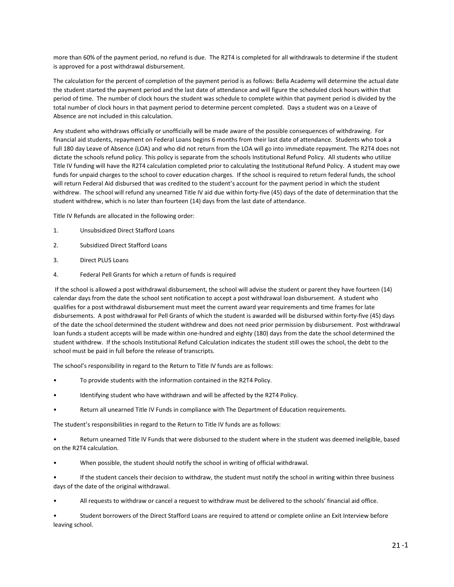more than 60% of the payment period, no refund is due. The R2T4 is completed for all withdrawals to determine if the student<br>is approved for a post withdrawal disbursement.<br>The calculation for the percent of completion of

more than 60% of the payment period, no refund is due. The R2T4 is completed for<br>is approved for a post withdrawal disbursement.<br>The calculation for the percent of completion of the payment period is as follows: B<br>the stud more than 60% of the payment period, no refund is due. The R2T4 is completed for all withdrawals to determine if the student<br>is approved for a post withdrawal disbursement.<br>The calculation for the percent of completion of more than 60% of the payment period, no refund is due. The R2T4 is completed for all withdrawals to determine if the student<br>is approved for a post withdrawal disbursement.<br>The calculation for the percent of completion of more than 60% of the payment period, no refund is due. The R2T4 is completed for all withdrawals to determine if the student<br>is approved for a post withdrawal disbursement.<br>The calculation for the percent of completion of more than 60% of the payment period, no refund is due. The R2T4 is completed for all withdrawals to determine if the student<br>The calculation for the percent of completion of the payment period is as follows: Bella Academy more than 60% of the payment period, no refund is due. The R2T4 is completed fit approved for a post withdrawal disbursement.<br>The calculation for the percent of completion of the payment period is as follows:<br>the student s more than 60% of the payment period, no refund is due. The R2T4 is completed for all withdrawals to determine if the student<br>is approved for a post withdrawal disbursement.<br>The calculation for the percent of completion of

more than 60% of the payment period, no refund is due. The R2T4 is completed for all withdrawals to determine if the student<br>is approved for a post withdrawal disbursement.<br>The calculation for the percent of completion of more than 60% of the payment period, no refund is due. The R2T4 is completed for all withdrawals to determine if the student<br>is approved for a post withdrawal disbursement.<br>The calculation for the perent of completion of t more than boxs or the payment on, no retund is oue. The Kz14 is completed for all withdrawals to determine ir the scudent<br>is approved for a post withdrawal disbursement.<br>The calculation for the perent of completion of the Is approved for a post withdrawal disoursement.<br>The calculation for the percent of completion of the payment period is as follows: Bella Academy will determine the actual date<br>the student started the payment period and the The calculation for the percent of completion of the payment period is as follows: Bella Academy will determine the actual date<br>the student started the payment period and the last date of attendance and will figure the sch the student started the payment period and the last date of attendance and will figure the scheduled clock hours within that period of time. The number of clock hours the student was schedule to complete within that paymen period of time. The number of clock hours the student was schedule to complete within that payment period is divided by the total number of clock hours in that payment period to determine percent completed. Days a student is total number of clock hours in that payment period to determine percent completed. Days a student was on a Leave of Absence are not included in this calculation.<br>Any student who withdraws officially or unofficially will Any student who withdraws officially or unofficially will be made aware of the possible consequentinancial aid students, repayment on Federal Loans begins 6 months from their last date of atte full 180 day Leave of Absence Any student who withdraws officially or unofficially will be financial aid students, repayment On Federal Loans begins 6 months from their last date full 180 day Leave of Absence (LOA) and who did not return from the LOA w full 180 day Leave of Absence (LOA) and who did not return from the LOA will go into<br>dictate the schools refund policy. This policy is separate from the schools Institutional<br>Title IV funding will have the R2T4 calculation Title IV funding will have the R2T4 calculation completed prior to calcul<br>funds for unpaid charges to the school to cover education charges. If the<br>will return Federal Aid disbursed that was credited to the student's accu<br> Federal Ald disbursed that was redided to the studio charges. In the school is required to return rederated with return Federal Aid disbursed that was redided to the studient with forthe payment period in which student wit

- 
- 
- 
- 

withdrew. The school will refund any unearned Title IV aid due within forty-five (45) days of the date of determination that the<br>tudent withdrew, which is no later than fourteen (14) days from the last date of attendance.<br> student withdrew, which is no later than fourteen (14) days from the last date of attendance.<br>Title IV Refunds are allocated in the following order:<br>1. Unsubsidized Direct Stafford Loans<br>2. Subsidized Direct Stafford Loans Title IV Refunds are allocated in the following order:<br>
2.<br>
2. Subsidized Direct Stafford Loans<br>
3. Direct PLUS Loans<br>
4. Federal Pell Grants for which a return of funds is required<br>
14 free school is allowed a post withdr The is with the studied and the following order.<br>
2. Subsidized Direct Stafford Loans<br>
3. Direct PLUS Loans<br>
4. Federal Pell Grants for which a return of funds is required<br>
4. Federal Pell Grants for which a return of fund 1.<br>
2. Subsidized Direct Stafford Loans<br>
3. Direct PLUS Loans<br>
4. Federal Pell Grants for which a return of funds is required<br>
1. Federal Pell Grants for which a return of funds is required<br>
1. Federal Pell Grants for whic Subsidized Direct Stafford Loans<br>
a. Direct PLUS Loans<br>
4. Federal Pell Grants for which a return of funds is required<br>
If the school is allowed a post withdrawal disbursement, the school will advise the student or parent Studized Direct Stafford Loans<br>
3. Direct PLUS Loans<br>
4. Federal Pell Grants for which a return of funds is required<br>
16 the school is allowed a post withdrawal disbursement, the school will advise the student or parent th 3. Direct PLUS Loans<br>
4. Federal Pell Grants for which a return of funds is required<br>
16. Federal Pell Grants for which a return of funds is required<br>
16. If the school is allowed a post withdrawal disbursement, the school Federal Pell Grants for which a return of funds is required<br>
If the school is allowed a post withdrawal disbursement, the school will advise the student or parent they have fourteen (<br>
calendar days from the date the schoo For the school is allowed a post withdrawal disbursement, the school will advise the student or parent they have fourteen (1-<br>Calendar days from the date the school sent notification to accept a post withdrawal loan disbur calendar days from the date the school sent notification to accept a post withdrawal loan disbursement. A student who<br>qualifies for a post withdrawal disbursement must meet the current award year requirements and time fram - disbursements. A post withdrawal for Pell Grants of which the student is awarded will be disbursed within forty-five (45) days<br>of the date the school determined the student withdrew and does not need prior permission by or the date the school oteernimed the student whicheve allo does not need prior permission by usbustemmich. Post with<br>the student withdrew. If the schools institutional Refund Calculation indicates the student student be s

- 
- 
- 

• Student withdrew. If the schools Institutional Refund Calculation indicates the student still owes the school, the debt to the school must be paid in full before the release of transcripts.<br>
• The school's responsibility school must be paid in full before the release of transcripts.<br>
The school's responsibility in regard to the Return to Title IV fu<br>
• To provide students with the information contained<br>
• Identifying student who have withd The school's responsibility in regard to the Return to Title IV funds are as follows:<br>
• To provide students with the information contained in the R2T4 Policy.<br>
• Identifying student who have withdrawn and will be affected • To provide students with the information contained in the R2T4 Policy.<br>• Identifying student who have withdrawn and will be affected by the R2T4 Policy.<br>• Return all unearned Title IV Funds in compliance with The Departm Identifying student who have withdrawn and will be affected by the R2<br>
Neturn all unearned Title IV Funds in compliance with The Department<br>
The student's responsibilities in regard to the Return to Title IV funds are as f • Return all unearned Title IV Funds in compliance with The Department of Education requirements.<br>
• Return unearned Title IV Funds that were disbursed to the student where in the student was deemed ineligible, based<br>
• Re The student's responsibilities in regard to the Return to Title IV funds are as follows:<br>
• Return unearned Title IV Funds that were disbursed to the student where in the student was deemed ineligible, based<br>
on the R2T4 c The student stesponsionlities in regard to the Neturn to 1<br>
• Return unearned Title IV Funds that were disbured<br>
• When possible, the student should notify the set of the student cancels their decision to withdraw<br>
days of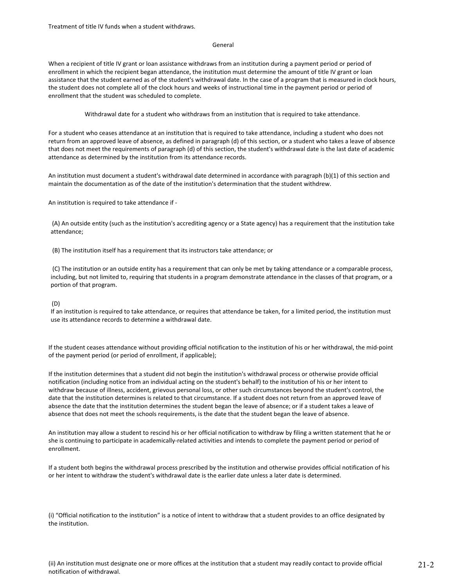Treatment of title IV funds when a student withdraws.

## General

When a recipient of title IV grant or loan assistance withdraws from an institution during a payment period or period of enrollment in which the recipient began attendance, the institution must determine the amount of title IV grant or loan assistance that the student earned as of the student's withdrawal date. In the case of a program that is measured in clock hours, the student does not complete all of the clock hours and weeks of instructional time in the payment period or period of enrollment that the student was scheduled to complete.

Withdrawal date for a student who withdraws from an institution that is required to take attendance.

For a student who ceases attendance at an institution that is required to take attendance, including a student who does not return from an approved leave of absence, as defined in paragraph (d) of this section, or a student who takes a leave of absence that does not meet the requirements of paragraph (d) of this section, the student's withdrawal date is the last date of academic attendance as determined by the institution from its attendance records.

An institution must document a student's withdrawal date determined in accordance with paragraph (b)(1) of this section and maintain the documentation as of the date of the institution's determination that the student withdrew.

An institution is required to take attendance if -

(A) An outside entity (such as the institution's accrediting agency or a State agency) has a requirement that the institution take attendance;

(B) The institution itself has a requirement that its instructors take attendance; or

(C) The institution or an outside entity has a requirement that can only be met by taking attendance or a comparable process, including, but not limited to, requiring that students in a program demonstrate attendance in the classes of that program, or a portion of that program.

## (D)

If an institution is required to take attendance, or requires that attendance be taken, for a limited period, the institution must use its attendance records to determine a withdrawal date.

If the student ceases attendance without providing official notification to the institution of his or her withdrawal, the mid-point of the payment period (or period of enrollment, if applicable);

If the institution determines that a student did not begin the institution's withdrawal process or otherwise provide official notification (including notice from an individual acting on the student's behalf) to the institution of his or her intent to withdraw because of illness, accident, grievous personal loss, or other such circumstances beyond the student's control, the date that the institution determines is related to that circumstance. If a student does not return from an approved leave of absence the date that the institution determines the student began the leave of absence; or if a student takes a leave of absence that does not meet the schools requirements, is the date that the student began the leave of absence.

An institution may allow a student to rescind his or her official notification to withdraw by filing a written statement that he or she is continuing to participate in academically-related activities and intends to complete the payment period or period of enrollment.

If a student both begins the withdrawal process prescribed by the institution and otherwise provides official notification of his or her intent to withdraw the student's withdrawal date is the earlier date unless a later date is determined.

(i) "Official notification to the institution" is a notice of intent to withdraw that a student provides to an office designated by the institution.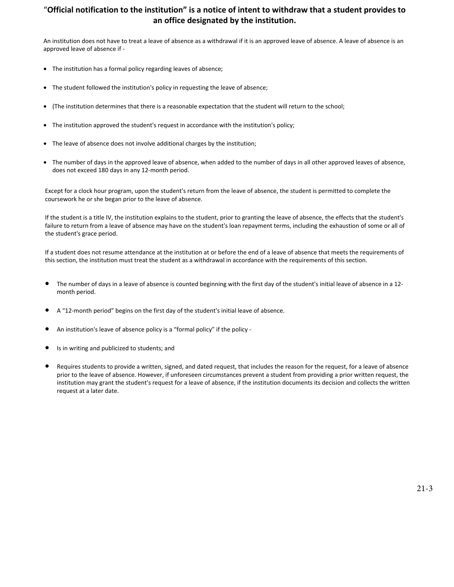# "**Official notification to the institution" is a notice of intent to withdraw that a student provides to an office designated by the institution.**

An institution does not have to treat a leave of absence as a withdrawal if it is an approved leave of absence. A leave of absence is an approved leave of absence if -

- The institution has a formal policy regarding leaves of absence;
- The student followed the institution's policy in requesting the leave of absence;
- (The institution determines that there is a reasonable expectation that the student will return to the school;
- The institution approved the student's request in accordance with the institution's policy;
- The leave of absence does not involve additional charges by the institution;
- The number of days in the approved leave of absence, when added to the number of days in all other approved leaves of absence, does not exceed 180 days in any 12-month period.

Except for a clock hour program, upon the student's return from the leave of absence, the student is permitted to complete the coursework he or she began prior to the leave of absence.

If the student is a title IV, the institution explains to the student, prior to granting the leave of absence, the effects that the student's failure to return from a leave of absence may have on the student's loan repayment terms, including the exhaustion of some or all of the student's grace period.

If a student does not resume attendance at the institution at or before the end of a leave of absence that meets the requirements of this section, the institution must treat the student as a withdrawal in accordance with the requirements of this section.

- The number of days in a leave of absence is counted beginning with the first day of the student's initial leave of absence in a 12 month period.
- A "12-month period" begins on the first day of the student's initial leave of absence.
- An institution's leave of absence policy is a "formal policy" if the policy -
- Is in writing and publicized to students; and
- Requires students to provide a written, signed, and dated request, that includes the reason for the request, for a leave of absence prior to the leave of absence. However, if unforeseen circumstances prevent a student from providing a prior written request, the institution may grant the student's request for a leave of absence, if the institution documents its decision and collects the written request at a later date.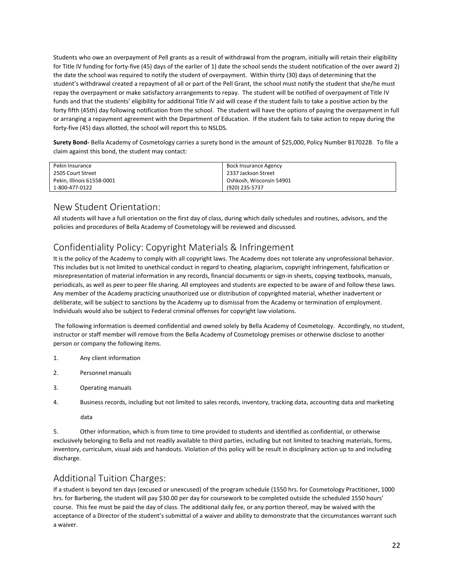Students who owe an overpayment of Pell grants as a result of withdrawal from the program, initially will retain their eligibility for Title IV funding for forty-five (45) days of the earlier of 1) date the school sends the student notification of the over award 2) the date the school was required to notify the student of overpayment. Within thirty (30) days of determining that the student's withdrawal created a repayment of all or part of the Pell Grant, the school must notify the student that she/he must repay the overpayment or make satisfactory arrangements to repay. The student will be notified of overpayment of Title IV funds and that the students' eligibility for additional Title IV aid will cease if the student fails to take a positive action by the forty fifth (45th) day following notification from the school. The student will have the options of paying the overpayment in full or arranging a repayment agreement with the Department of Education. If the student fails to take action to repay during the forty-five (45) days allotted, the school will report this to NSLDS. the date the school was required to holdy the state<br>student's withdrawal created a repayment of all crepay the overpayment or make satisfactory arra<br>funds and that the students' eligibility for addition<br>forty fifth (45th) student s withdrawal created a repayment or all or parepay the overpayment or make satisfactory arrangem funds and that the students' eligibility for additional Tiforty fifth (45th) day following notification from the scor repay the overpayment or make satisfactory arrangeme<br>funds and that the students' eligibility for additional Title<br>forty fifth (45th) day following notification from the schor<br>or arranging a repayment agreement with the De France Within the school must notify the student that she/he repay. The student will be notified of overpayment of Title will cease if the student fails to take a positive action by the student will have the options of pay ell Grant, the school must hotlry the student that she/he<br>pay. The student will be notified of overpayment of Titl<br>will cease if the student fails to take a positive action by<br>student will have the options of paying the ov pay. The student will be notified of overpayment of Title IV<br>will cease if the student fails to take a positive action by the<br>student will have the options of paying the overpayment in fu<br>ducation. If the student fails to will cease if the student fails to take a positive act<br>student will have the options of paying the over-<br>plucation. If the student fails to take action to rep:<br>nd in the amount of \$25,000, Policy Number B170<br>Bock Insurance Students who owe an overpayment of Pell grants as a result of withdrawal from the program, inition Title IV funding for forty-five (45) days of the earlier of 1) date the school sends the student not overhall that the scho repay the overpayment or make satisfactory arrangements to repay. The student will be notifited of overpayment of Title (V) and that the student will have the student will chose if the student miles to the spositive action

| forty-five (45) days allotted, the school will report this to NSLDS.                                                | or arranging a repayment agreement with the Department of Education. If the student falls to take action to repay during the      |  |
|---------------------------------------------------------------------------------------------------------------------|-----------------------------------------------------------------------------------------------------------------------------------|--|
| claim against this bond, the student may contact:                                                                   | Surety Bond- Bella Academy of Cosmetology carries a surety bond in the amount of \$25,000, Policy Number B170228. To file a       |  |
| Pekin Insurance                                                                                                     | <b>Bock Insurance Agency</b>                                                                                                      |  |
| 2505 Court Street                                                                                                   | 2337 Jackson Street                                                                                                               |  |
| Pekin, Illinois 61558-0001                                                                                          | Oshkosh, Wisconsin 54901                                                                                                          |  |
| 1-800-477-0122                                                                                                      | (920) 235-5737                                                                                                                    |  |
| New Student Orientation:<br>policies and procedures of Bella Academy of Cosmetology will be reviewed and discussed. | All students will have a full orientation on the first day of class, during which daily schedules and routines, advisors, and the |  |
| Confidentiality Policy: Copyright Materials & Infringement                                                          |                                                                                                                                   |  |
|                                                                                                                     | It is the policy of the Academy to comply with all convright laws. The Academy does not tolerate any unprofessional behavior.     |  |

<span id="page-25-0"></span>Fekin Insurance<br>
The policy of the rest and the policy of the policy of the policies and policies and protection of<br>
The Pekin, Illinois 61558-0001<br>
In all student of Trientation on the first day of class, during which dai This includes but is not limited to unethical conduct in regard to cheating, but is not all students will have a full orientation on the first day of class, during which daily schedules and routines, advisors, and the poli misrepresentation of material information in any records, financial documents or displaned methods and routines, advisors, and the policies and procedures of Bella Academy of Cosmetology will be reviewed and discussed.<br>Con 1-800-477-0122<br>
New Student Orientation :<br>
All students will have a full orientation on the first day of class, during which daily schedules and routines, advisors, and the<br>
policies and procedures of Bella Academy of Cosm New Student Orientation:<br>All students will have a full orientation on the first day of class, during which daily schedules and routines, advisors, and the<br>policies and procedures of Bella Academy of Cosmetology will be rev New Student Orientation:<br>All students will have a full orientation on the first day of class, during which daily schedules and routines, advisors, and the policies and procedures of Bella Academy of Cosmetology will be rev All students will have a full orientation on the first day of class, during which daily schedules and routines, advisors, and the policies and procedures of Bella Academy of Cosmetology will be reviewed and discussed.<br>
Con policies and procedures of Bella Academy of Cosmetology will be reviewed and discussed.<br>
Confidentiality Policy: Copyright Materials & Infringement<br>
tis the policy of the Academy to comply with all copyright laws. The Acad Confidentiality Policy: Copyright Materials & Infringement<br>It is the policy of the Academy to comply with all copyright laws. The Academy does not tolerate any unprofessional behavior.<br>This includes but is not limited to u Confidentiality Policy: Copyright Materials & Infringem<br>
It is the policy of the Academy to comply with all copyright laws. The Academy does<br>
This includes but is not limited to unethical conduct in regard to cheating, pla It is the policy of the Academy to comply with all copyright laws. The *i*<br>This includes but is not limited to unethical conduct in regard to cheat<br>misrepresentation of material information in any records, financial do<br>per misrepresentation of material information in any records, financial do<br>periodicals, as well as peer to peer file sharing. All employees and student<br>Any member of the Academy practicing unauthorized use or distributi<br>delibe Not the Academy practicing unauthorized use or distributive deliberate, will be subject to sanctions by the Academy up to dismissed univariated would also be subject to Federal criminal offenses for copy The following info

<span id="page-25-1"></span>Neutrace, will ne source to saticious by the Academiy up to ussinssal fundinte Academiy or reminiation of employment.<br>
Individuals would also be subject to Federal criminal offenses for copyright law violations.<br>
The follo

- 
- 
- 
- 

<span id="page-25-2"></span>data

instructor or staff member will remove from the Bella Academy of Cosmetology premises or otherwise disclose to another<br>person or company the following items.<br>1. Any client information<br>2. Personnel manuals<br>3. Operating manu erson or company the following items.<br>
2. Any client information<br>
2. Personnel manuals<br>
3. Operating manuals<br>
4. Business records, including but not limited to sales records, inventory, tracking data, accounting data and m inventory, curriculum, visual aids and handouts. Violation of this policy will be result in disciplinary action up to and including<br>A. Business records, including but not limited to sales records, inventory, tracking data, discharge.

The following information is deemed confidential and owned solely by Bella Academy of Cosmetology.<br>
instructor or staff member will remove from the Bella Academy of Cosmetology premises or otherwise di<br>
person or company t Fractions in a student is beyond that is from time to time provided to students and identified as confidential, or otherwise<br>data<br>S. Other information, which is from time to time provided to students and identified as conf 4. Business records, including but not limited to sales records, inventory, tracking data, accounting data and marketing<br>data<br>5. Other information, which is from time to time provided to students and identified as confiden data<br>S. Other information, which is from time to time provided to students and identified as confidential, or otherwise<br>exclusively belonging to Bella and not readily available to third parties, including but not limited t data<br>5. Cher information, which is from time to time provided to students and identified as confidential, or otherwise<br>exclusively belonging to Bella and not readily available to third parties, including but not limited to 5. Other information, which is from time to<br>exclusively belonging to Bella and not readily availa<br>inventory, curriculum, visual aids and handouts. Vid<br>discharge.<br>Additional Tuition Charges:<br>If a student is beyond ten days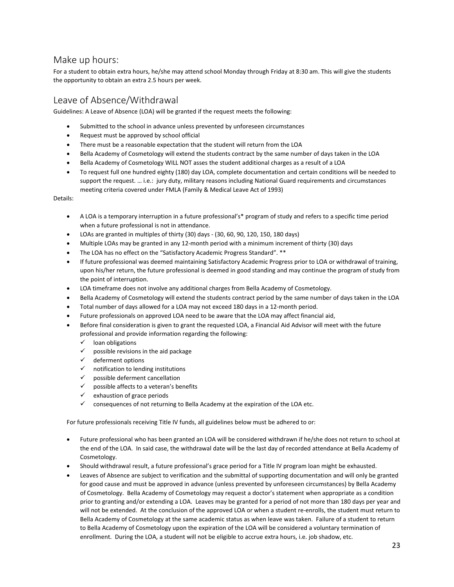# <span id="page-26-0"></span>Make up hours:

For a student to obtain extra hours, he/she may attend school Monday through Friday at 8:30 am. This will give the students the opportunity to obtain an extra 2.5 hours per week. Submitted to obtain extra hours, he/she may attend school Monday through Friday at 8:30 am. This will give the students<br>submitted to obtain an extra 2.5 hours per week.<br>We of Absence (Withdrawal<br>delines: A Leave of Absence

# <span id="page-26-1"></span>Leave of Absence/Withdrawal

Guidelines: A Leave of Absence (LOA) will be granted if the request meets the following:

- 
- 
- 
- 
- 
- Re up hours:<br>
student to obtain extra hours, he/she may attend school Monday through Friday at 8:30 am. This will give the students<br>
sportunity to obtain an extra 2.5 hours per week.<br>
We of Absence/Withdrawal<br>
elines: A le 10 Metalla Academy of Cosmetology will extend at the student aditional risks of Academy of Absence (Withdrawal<br>
10 Metalla Academy of Absence (LOA) will be granted if the request meets the following:<br>
10 Metalla Academy of Superfully to obtain an extra 2.5 hours per week.<br>To request full one hundred eights are extracted in the request meets the following:<br>The remains the school in advance unless prevented by unforeseen circumstances<br>Fraguest of Absence/Withdrawal<br>s: A Leave of Absence (LOA) will be granted if the request meets the following:<br>Submitted to the school in advance unless prevented by unforeseen circumstances<br>Request must be a peproved by school off Of Absence/Withdrawal<br>
S: A Leave of Absence (LOA) will be granted if the request meets the following:<br>
Submitted to the school in advance unless prevented by unforeseen circumstances<br>
Request must be approved by school of

Details:

- A LOA is a temporary interruption in a future professional's\* program of study and refers to a specific time period when a future professional is not in attendance.
- LOAs are granted in multiples of thirty (30) days (30, 60, 90, 120, 150, 180 days)
- Multiple LOAs may be granted in any 12-month period with a minimum increment of thirty (30) days
- The LOA has no effect on the "Satisfactory Academic Progress Standard". \*\*
- If future professional was deemed maintaining Satisfactory Academic Progress prior to LOA or withdrawal of training, upon his/her return, the future professional is deemed in good standing and may continue the program of study from the point of interruption.
- LOA timeframe does not involve any additional charges from Bella Academy of Cosmetology.
- Bella Academy of Cosmetology will extend the students contract period by the same number of days taken in the LOA
- Total number of days allowed for a LOA may not exceed 180 days in a 12-month period.
- Future professionals on approved LOA need to be aware that the LOA may affect financial aid,
- Before final consideration is given to grant the requested LOA, a Financial Aid Advisor will meet with the future professional and provide information regarding the following:
	- $\checkmark$  loan obligations
	- $\checkmark$  possible revisions in the aid package
	- deferment options
	- $\checkmark$  notification to lending institutions
	- $\checkmark$  possible deferment cancellation
	- $\checkmark$  possible affects to a veteran's benefits
	- $\checkmark$  exhaustion of grace periods
	- $\checkmark$  consequences of not returning to Bella Academy at the expiration of the LOA etc.

For future professionals receiving Title IV funds, all guidelines below must be adhered to or:

- Future professional who has been granted an LOA will be considered withdrawn if he/she does not return to school at the end of the LOA. In said case, the withdrawal date will be the last day of recorded attendance at Bella Academy of Cosmetology.
- Should withdrawal result, a future professional's grace period for a Title IV program loan might be exhausted.
- Leaves of Absence are subject to verification and the submittal of supporting documentation and will only be granted for good cause and must be approved in advance (unless prevented by unforeseen circumstances) by Bella Academy of Cosmetology. Bella Academy of Cosmetology may request a doctor's statement when appropriate as a condition prior to granting and/or extending a LOA. Leaves may be granted for a period of not more than 180 days per year and will not be extended. At the conclusion of the approved LOA or when a student re-enrolls, the student must return to Bella Academy of Cosmetology at the same academic status as when leave was taken. Failure of a student to return to Bella Academy of Cosmetology upon the expiration of the LOA will be considered a voluntary termination of enrollment. During the LOA, a student will not be eligible to accrue extra hours, i.e. job shadow, etc.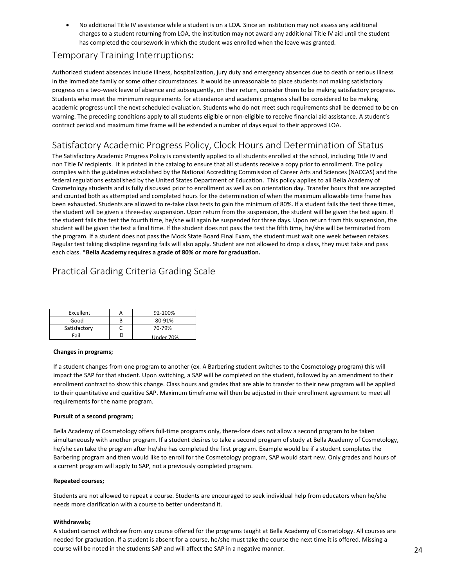• No additional Title IV assistance while a student is on a LOA. Since an institution may not assess any additional<br>charges to a student returning from LOA, the institution may not award any additional Title IV aid until t No additional Title IV assistance while a student is on a LOA. Since an institution may not assess any additional<br>charges to a student returning from LOA, the institution may not award any additional Title IV aid until the No additional Title IV assistance while a student is on a LOA. Since an institution may not assess any additional<br>charges to a student returning from LOA, the institution may not award any additional Title IV aid until the

# Temporary Training Interruptions:

<span id="page-27-0"></span>Authorized student absences include illness, hospitalization, jury duty and emergency absences due to death or serious illness in the immediate family or some other circumstances. It would be unreasonable to place students not making satisfactory progress on a two-week leave of absence and subsequently, on their return, consider them to be making satisfactory progress. Students who meet the minimum requirements for attendance and academic progress shall be considered to be making academic progress until the next scheduled evaluation. Students who do not meet such requirements shall be deemed to be on warning. The preceding conditions apply to all students eligible or non-eligible to receive financial aid assistance. A student's contract period and maximum time frame will be extended a number of days equal to their approved LOA.

# Satisfactory Academic Progress Policy, Clock Hours and Determination of Status

<span id="page-27-1"></span>The Satisfactory Academic Progress Policy is consistently applied to all students enrolled at the school, including Title IV and non Title IV recipients. It is printed in the catalog to ensure that all students receive a copy prior to enrollment. The policy complies with the guidelines established by the National Accrediting Commission of Career Arts and Sciences (NACCAS) and the federal regulations established by the United States Department of Education. This policy applies to all Bella Academy of Cosmetology students and is fully discussed prior to enrollment as well as on orientation day. Transfer hours that are accepted and counted both as attempted and completed hours for the determination of when the maximum allowable time frame has been exhausted. Students are allowed to re-take class tests to gain the minimum of 80%. If a student fails the test three times, the student will be given a three-day suspension. Upon return from the suspension, the student will be given the test again. If the student fails the test the fourth time, he/she will again be suspended for three days. Upon return from this suspension, the student will be given the test a final time. If the student does not pass the test the fifth time, he/she will be terminated from the program. If a student does not pass the Mock State Board Final Exam, the student must wait one week between retakes. Regular test taking discipline regarding fails will also apply. Student are not allowed to drop a class, they must take and pass each class. \***Bella Academy requires a grade of 80% or more for graduation.**

# Practical Grading Criteria Grading Scale

<span id="page-27-2"></span>

| Excellent    |   | 92-100%   |
|--------------|---|-----------|
| Good         | В | 80-91%    |
| Satisfactory |   | 70-79%    |
| Fail         | υ | Under 70% |

## **Changes in programs;**

If a student changes from one program to another (ex. A Barbering student switches to the Cosmetology program) this will impact the SAP for that student. Upon switching, a SAP will be completed on the student, followed by an amendment to their enrollment contract to show this change. Class hours and grades that are able to transfer to their new program will be applied to their quantitative and qualitive SAP. Maximum timeframe will then be adjusted in their enrollment agreement to meet all requirements for the name program.

## **Pursuit of a second program;**

Bella Academy of Cosmetology offers full-time programs only, there-fore does not allow a second program to be taken simultaneously with another program. If a student desires to take a second program of study at Bella Academy of Cosmetology, he/she can take the program after he/she has completed the first program. Example would be if a student completes the Barbering program and then would like to enroll for the Cosmetology program, SAP would start new. Only grades and hours of a current program will apply to SAP, not a previously completed program.

## **Repeated courses;**

Students are not allowed to repeat a course. Students are encouraged to seek individual help from educators when he/she needs more clarification with a course to better understand it.

## **Withdrawals;**

A student cannot withdraw from any course offered for the programs taught at Bella Academy of Cosmetology. All courses are needed for graduation. If a student is absent for a course, he/she must take the course the next time it is offered. Missing a course will be noted in the students SAP and will affect the SAP in a negative manner.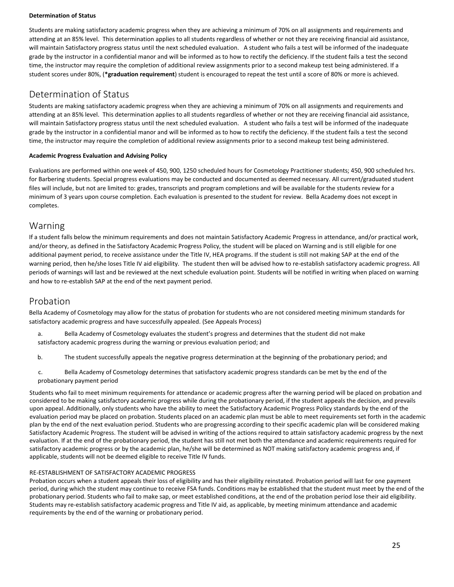## **Determination of Status**

Students are making satisfactory academic progress when they are achieving a minimum of 70% on all assignments and requirements and attending at an 85% level. This determination applies to all students regardless of whether or not they are receiving financial aid assistance, will maintain Satisfactory progress status until the next scheduled evaluation. A student who fails a test will be informed of the inadequate grade by the instructor in a confidential manor and will be informed as to how to rectify the deficiency. If the student fails a test the second time, the instructor may require the completion of additional review assignments prior to a second makeup test being administered. If a student scores under 80%, (**\*graduation requirement**) student is encouraged to repeat the test until a score of 80% or more is achieved.

# Determination of Status

Students are making satisfactory academic progress when they are achieving a minimum of 70% on all assignments and requirements and attending at an 85% level. This determination applies to all students regardless of whether or not they are receiving financial aid assistance, will maintain Satisfactory progress status until the next scheduled evaluation. A student who fails a test will be informed of the inadequate grade by the instructor in a confidential manor and will be informed as to how to rectify the deficiency. If the student fails a test the second time, the instructor may require the completion of additional review assignments prior to a second makeup test being administered.

## **Academic Progress Evaluation and Advising Policy**

<span id="page-28-0"></span>Evaluations are performed within one week of 450, 900, 1250 scheduled hours for Cosmetology Practitioner students; 450, 900 scheduled hrs. for Barbering students. Special progress evaluations may be conducted and documented as deemed necessary. All current/graduated student files will include, but not are limited to: grades, transcripts and program completions and will be available for the students review for a minimum of 3 years upon course completion. Each evaluation is presented to the student for review. Bella Academy does not except in completes.

# Warning

If a student falls below the minimum requirements and does not maintain Satisfactory Academic Progress in attendance, and/or practical work, and/or theory, as defined in the Satisfactory Academic Progress Policy, the student will be placed on Warning and is still eligible for one additional payment period, to receive assistance under the Title IV, HEA programs. If the student is still not making SAP at the end of the warning period, then he/she loses Title IV aid eligibility. The student then will be advised how to re-establish satisfactory academic progress. All periods of warnings will last and be reviewed at the next schedule evaluation point. Students will be notified in writing when placed on warning and how to re-establish SAP at the end of the next payment period.

# Probation

Bella Academy of Cosmetology may allow for the status of probation for students who are not considered meeting minimum standards for satisfactory academic progress and have successfully appealed. (See Appeals Process)

- <span id="page-28-1"></span>a. Bella Academy of Cosmetology evaluates the student's progress and determines that the student did not make satisfactory academic progress during the warning or previous evaluation period; and
- b. The student successfully appeals the negative progress determination at the beginning of the probationary period; and
- c. Bella Academy of Cosmetology determines that satisfactory academic progress standards can be met by the end of the probationary payment period

<span id="page-28-2"></span>Students who fail to meet minimum requirements for attendance or academic progress after the warning period will be placed on probation and considered to be making satisfactory academic progress while during the probationary period, if the student appeals the decision, and prevails upon appeal. Additionally, only students who have the ability to meet the Satisfactory Academic Progress Policy standards by the end of the evaluation period may be placed on probation. Students placed on an academic plan must be able to meet requirements set forth in the academic plan by the end of the next evaluation period. Students who are progressing according to their specific academic plan will be considered making Satisfactory Academic Progress. The student will be advised in writing of the actions required to attain satisfactory academic progress by the next evaluation. If at the end of the probationary period, the student has still not met both the attendance and academic requirements required for satisfactory academic progress or by the academic plan, he/she will be determined as NOT making satisfactory academic progress and, if applicable, students will not be deemed eligible to receive Title IV funds.

## RE-ESTABLISHMENT OF SATISFACTORY ACADEMIC PROGRESS

Probation occurs when a student appeals their loss of eligibility and has their eligibility reinstated. Probation period will last for one payment period, during which the student may continue to receive FSA funds. Conditions may be established that the student must meet by the end of the probationary period. Students who fail to make sap, or meet established conditions, at the end of the probation period lose their aid eligibility. Students may re-establish satisfactory academic progress and Title IV aid, as applicable, by meeting minimum attendance and academic requirements by the end of the warning or probationary period.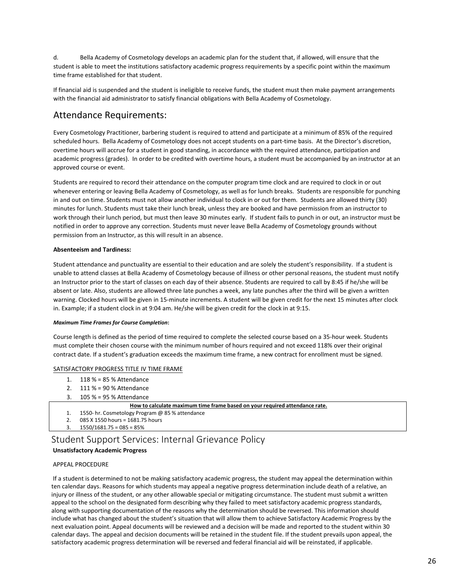d. Bella Academy of Cosmetology develops an academic plan for the student that, if allowed, will ensure that the student is able to meet the institutions satisfactory academic progress requirements by a specific point within the maximum time frame established for that student.

If financial aid is suspended and the student is ineligible to receive funds, the student must then make payment arrangements with the financial aid administrator to satisfy financial obligations with Bella Academy of Cosmetology.

# <span id="page-29-0"></span>Attendance Requirements:

Every Cosmetology Practitioner, barbering student is required to attend and participate at a minimum of 85% of the required scheduled hours. Bella Academy of Cosmetology does not accept students on a part-time basis. At the Director's discretion, overtime hours will accrue for a student in good standing, in accordance with the required attendance, participation and academic progress (grades). In order to be credited with overtime hours, a student must be accompanied by an instructor at an approved course or event.

Students are required to record their attendance on the computer program time clock and are required to clock in or out whenever entering or leaving Bella Academy of Cosmetology, as well as for lunch breaks. Students are responsible for punching in and out on time. Students must not allow another individual to clock in or out for them. Students are allowed thirty (30) minutes for lunch. Students must take their lunch break, unless they are booked and have permission from an instructor to work through their lunch period, but must then leave 30 minutes early. If student fails to punch in or out, an instructor must be notified in order to approve any correction. Students must never leave Bella Academy of Cosmetology grounds without permission from an Instructor, as this will result in an absence.

## **Absenteeism and Tardiness:**

Student attendance and punctuality are essential to their education and are solely the student's responsibility. If a student is unable to attend classes at Bella Academy of Cosmetology because of illness or other personal reasons, the student must notify an Instructor prior to the start of classes on each day of their absence. Students are required to call by 8:45 if he/she will be absent or late. Also, students are allowed three late punches a week, any late punches after the third will be given a written warning. Clocked hours will be given in 15-minute increments. A student will be given credit for the next 15 minutes after clock in. Example; if a student clock in at 9:04 am. He/she will be given credit for the clock in at 9:15. structor prior to the start of classes on each day of their absence. St<br>the or late. Also, students are allowed three late punches a week, any<br>ing. Clocked hours will be given in 15-minute increments. A student<br>cample; if

## *Maximum Time Frames for Course Completion***:**

Course length is defined as the period of time required to complete the selected course based on a 35-hour week. Students must complete their chosen course with the minimum number of hours required and not exceed 118% over their original contract date. If a student's graduation exceeds the maximum time frame, a new contract for enrollment must be signed. of the Also, students are allowed three late punches a week, any<br>
ing. Clocked hours will be given in 15-minute increments. A student<br>
stample; if a student clock in at 9:04 am. He/she will be given credit for<br>
mum Time Fr ing. Clocked hours will be given in 15-minute increments. A student<br>
sample; if a student clock in at 9:04 am. He/she will be given credit for<br>
mum Time Frames for Course Completion:<br>
se length is defined as the period of rse Completion:<br>
he period of time required to complete the selected course based on a 35-hour week. Students<br>
course with the minimum number of hours required and not exceed 118% over their original<br>
graduation exceeds th main rime rraints jor couse completion.<br>
se length is defined as the period of time required to complete the selected course bi<br>
complete their chosen course with the minimum number of hours required and not<br>
ract date. If See length is defined as the period of time required to complete the selecte<br>
2. complete their chosen course with the minimum number of hours require<br>
2. If a student's graduation exceeds the maximum time frame, a ne<br>
3. Se length is defined as the period of three required to complete the set complete their chosen course with the minimum number of hours reported that If a student's graduation exceeds the maximum time frame SFACTORY PROGRES

## SATISFACTORY PROGRESS TITLE IV TIME FRAME

- 
- 
- 

- 
- 
- 

# Student Support Services: Internal Grievance Policy

## <span id="page-29-1"></span>**Unsatisfactory Academic Progress**

## APPEAL PROCEDURE

If a student is determined to not be making satisfactory academic progress, the student may appeal the determination within ten calendar days. Reasons for which students may appeal a negative progress determination include death of a relative, an injury or illness of the student, or any other allowable special or mitigating circumstance. The student must submit a written appeal to the school on the designated form describing why they failed to meet satisfactory academic progress standards, along with supporting documentation of the reasons why the determination should be reversed. This information should include what has changed about the student's situation that will allow them to achieve Satisfactory Academic Progress by the next evaluation point. Appeal documents will be reviewed and a decision will be made and reported to the student within 30 calendar days. The appeal and decision documents will be retained in the student file. If the student prevails upon appeal, the satisfactory academic progress determination will be reversed and federal financial aid will be reinstated, if applicable.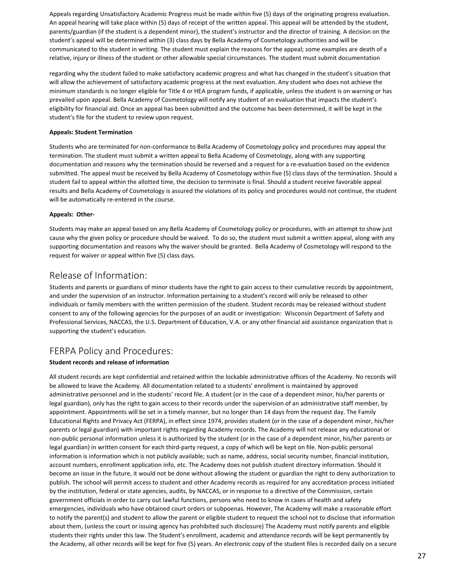Appeals regarding Unsatisfactory Academic Progress must be made within five (5) days of the originating progress evaluation. An appeal hearing will take place within (5) days of receipt of the written appeal. This appeal will be attended by the student, parents/guardian (if the student is a dependent minor), the student's instructor and the director of training. A decision on the student's appeal will be determined within (3) class days by Bella Academy of Cosmetology authorities and will be communicated to the student in writing. The student must explain the reasons for the appeal; some examples are death of a relative, injury or illness of the student or other allowable special circumstances. The student must submit documentation

regarding why the student failed to make satisfactory academic progress and what has changed in the student's situation that will allow the achievement of satisfactory academic progress at the next evaluation. Any student who does not achieve the minimum standards is no longer eligible for Title 4 or HEA program funds, if applicable, unless the student is on warning or has prevailed upon appeal. Bella Academy of Cosmetology will notify any student of an evaluation that impacts the student's eligibility for financial aid. Once an appeal has been submitted and the outcome has been determined, it will be kept in the student's file for the student to review upon request.

## **Appeals: Student Termination**

Students who are terminated for non-conformance to Bella Academy of Cosmetology policy and procedures may appeal the termination. The student must submit a written appeal to Bella Academy of Cosmetology, along with any supporting documentation and reasons why the termination should be reversed and a request for a re-evaluation based on the evidence submitted. The appeal must be received by Bella Academy of Cosmetology within five (5) class days of the termination. Should a student fail to appeal within the allotted time, the decision to terminate is final. Should a student receive favorable appeal results and Bella Academy of Cosmetology is assured the violations of its policy and procedures would not continue, the student will be automatically re-entered in the course.

## **Appeals: Other-**

Students may make an appeal based on any Bella Academy of Cosmetology policy or procedures, with an attempt to show just cause why the given policy or procedure should be waived. To do so, the student must submit a written appeal, along with any supporting documentation and reasons why the waiver should be granted. Bella Academy of Cosmetology will respond to the request for waiver or appeal within five (5) class days.

# <span id="page-30-0"></span>Release of Information:

Students and parents or guardians of minor students have the right to gain access to their cumulative records by appointment, and under the supervision of an instructor. Information pertaining to a student's record will only be released to other individuals or family members with the written permission of the student. Student records may be released without student consent to any of the following agencies for the purposes of an audit or investigation: Wisconsin Department of Safety and Professional Services, NACCAS, the U.S. Department of Education, V.A. or any other financial aid assistance organization that is supporting the student's education.

# <span id="page-30-1"></span>FERPA Policy and Procedures:

## **Student records and release of information**

All student records are kept confidential and retained within the lockable administrative offices of the Academy. No records will be allowed to leave the Academy. All documentation related to a students' enrollment is maintained by approved administrative personnel and in the students' record file. A student (or in the case of a dependent minor, his/her parents or legal guardian), only has the right to gain access to their records under the supervision of an administrative staff member, by appointment. Appointments will be set in a timely manner, but no longer than 14 days from the request day. The Family Educational Rights and Privacy Act (FERPA), in effect since 1974, provides student (or in the case of a dependent minor, his/her parents or legal guardian) with important rights regarding Academy records. The Academy will not release any educational or non-public personal information unless it is authorized by the student (or in the case of a dependent minor, his/her parents or legal guardian) in written consent for each third-party request, a copy of which will be kept on file. Non-public personal information is information which is not publicly available; such as name, address, social security number, financial institution, account numbers, enrollment application info, etc. The Academy does not publish student directory information. Should it become an issue in the future, it would not be done without allowing the student or guardian the right to deny authorization to publish. The school will permit access to student and other Academy records as required for any accreditation process initiated by the institution, federal or state agencies, audits, by NACCAS, or in response to a directive of the Commission, certain government officials in order to carry out lawful functions, persons who need to know in cases of health and safety emergencies, individuals who have obtained court orders or subpoenas. However, The Academy will make a reasonable effort to notify the parent(s) and student to allow the parent or eligible student to request the school not to disclose that information about them, (unless the court or issuing agency has prohibited such disclosure) The Academy must notify parents and eligible students their rights under this law. The Student's enrollment, academic and attendance records will be kept permanently by the Academy, all other records will be kept for five (5) years. An electronic copy of the student files is recorded daily on a secure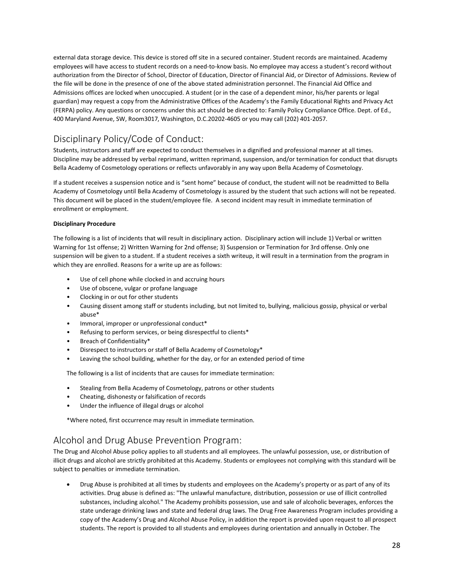external data storage device. This device is stored off site in a secured container. Student records are maintained. Academy<br>employees will have access to student records on a need-to-know basis. No employee may access a s external data storage device. This device is stored off site in a secured container. Student records are maintained. Academy<br>employees will have access to student records on a need-to-know basis. No employee may access a s external data storage device. This device is stored off site in a secured container. Student records are maintained. Academy<br>employees will have access to student records on a need-to-know basis. No employee may access a s external data storage device. This device is stored off site in a secured container. Student records are maintained. Academy<br>employees will have access to student records on a need-to-know basis. No employee may access a s external data storage device. This device is stored off site in a secured container. Student records are maintained. Academy<br>employees will have access to student records on a need-to-know basis. No employee may access a s external data storage device. This device is stored off site in a secured container. Student records are maintained. Academy<br>employees will have access to student records on a need-to-know basis. No employee may access a s external data storage device. This device is stored off site in a secured container. Student records are maintained. Academy<br>employees will have access to student records on a need-to-know basis. No employee may access a s external data storage device. This device is stored off site in a secured container. Student records are maintained. Academy<br>employees will have access to student records on a need-to-know basis. No employee may access a s external data storage device. This device is stored off site in a secured container. Student records are maintained. Acae<br>emphoyes will have access to student records on a need-to-know basis. No employee may access a stude external data storage device. This device is stored off site in a secured container. Student records are maintained. Academy<br>employees will have access to student records on a need-to-know basis. No employee may access a s encination of the Discipline may be addressed by urbal reprimand, written reprimand, suspension, and/or termination for conduction, be address as student's record without authorization from the Director of School, Director emperation from the Director of School, Director of Education, Director of Financial Aid, or Director of Admissions. Review of<br>the file will be done in the presence of one of the above stated administration personnel. The the the will be done in th presence of one of the above stated administration personnel. I. he Financial Aid Ottree and the alteration and the diversions offices are locked when unoccupied. A student (or in the case of a d

<span id="page-31-0"></span>

Admissions offices are locked when uncocuped. A student (or in the case of a dependent minor, his/her parents or legal<br>guardian) may request a copy from the Admisrative Offices of the Academy's the Family Policy Compliance guardian) may request a copy trom the Administative Unties of the Academy's the Family Educational Rights and Privacy Act<br>(FERPA) policy. Any questions or concerns under this act should be directed to: Family Policy Compli (FERPA) policy. Any questions or concerns under this act should<br>400 Maryland Avenue, SW, Room3017, Washington, D.C.20202-<br>DiSCiplinary Policy/Code of Conduct:<br>Students, instructors and staff are expected to conduct themsel Disciplinary Policy/Code of Conduct:<br>Students, instructors and staff are expected to conduct thems<br>Discipline may be addressed by verbal reprimand, written rep<br>Bella Academy of Cosmetology operations or reflects unfavora<br>I DISCIPIINarly POIICY/COOE OI CONIQUCI:<br>Students, instructors and staff are expected to conduct themselves in a dignified and professional manner at all times.<br>Suicely in may be addressed by verbal reprimand, written reprim Students, instructors and staff are expected to conduct themselves in a dignified and professional manner at all times.<br>Discipline may be addressed by verbal reprimand, written reprimand, suspension, and/or termination for Discipline may be addressed by verbal reprimand, written reprimand, suspension, and/or termination for conduct that disrupts<br>Bella Academy of Cosmetology operations or reflects unfavorably in any way upon Bella Academy of

Bella Academy of Cosmetology operations or reflects unfavorably in any way upon Bella Academy of Condinant receives a suspension notice and is "sent home" because of conduct, the student will not be Academy of Cosmetology tudent receives a suspension notice and is "sent home" because of conduct, the student will not be re<br>emy of Cosmetology until Bella Academy of Cosmetology is assured by the student that such actions w<br>document will be pla e my of Cosmetology until Bella Academy of Cosmetology is assured by the student that shocument will be placed in the student/employee file. A second incident may result in in<br>Ilment or employment.<br> **plinary Procedure**<br>
ol document will be placed in the student/employee file. A second incident may resulment or employment.<br>
plinary Procedure<br>
plinary Procedure<br>
collowing is a list of incidents that will result in disciplinary action. Discipli ||ment or employment.<br>
plinary Procedure<br>
collowing is a list of incidents that will result in disciplinary action. Disciplinary action will include 1) Verbal or written<br>
ing for 1st offense; 2) Written Warning for 2nd off France of Schematics that will result in disciplinary action. Disciplinary action will incluing for 1st offense; 2) Written Warning for 2nd offense; 3) Suspension or Termination for 3remsion will be given to a student. If • Computer of incidents that will result in disciplinary action. Disciplinary action will include 1) Verbal or<br>
ing for 1st offense; 2) Written Warning for 2nd offense; 3) Suspension or Termination for 3rd offense. Only o<br> ing for 1st offense; 2) Written Warning for 2nd offense; 3) Suspension will be given to a student. If a student receives a sixth write<br>the they are enrolled. Reasons for a write up are as follows:<br>• Use of cell phone while • Movember of a student. If a student receives a sixth writeup, it will result in a termination from the they are enrolled. Reasons for a write up are as follows:<br>• Use of cell phone while clocked in and accruing hours<br>• U

- 
- 
- 
- abuse\* • Use of cell phone while clocked in and accruing hours<br>
• Use of cell phone while clocked in and accruing hours<br>
• Use of obscene, vulgar or profane language<br>
• Clocking in or out for other students<br>
• Causing dissent amo • Use of cell phone while clocked in and accruing hours<br>• Use of obscene, vulgar or profane language<br>• Clocking in or out for other students<br>• Causing dissent among staff or students including, but not limited to, bullyin • Use or obscene, vurgar or protane language<br>
• Clocking in or out for other students including, but not limited to, bullying, malicious gossip, physical or verba<br>
• Lausing dissent among staff or students including, but n • Clocking in or out for other students<br>• Causing dissent among staff or students including, but not limited to, bullying, malicious<br>• Immoral, improper or unprofessional conduct\*<br>• Refusing to perform services, or being d • Causing oissent among stari or students including, but not ilmited to, bullying, malicious<br>
• Immoral, improper or unprofessional conduct\*<br>
• Refusing to perform services, or being disrespectful to clients\*<br>
• Breach of
- 
- 
- 
- 
- Immoral, improper or unprofessional conduct\*<br>• Refusing to perform services, or being disrespectful to clients\*<br>• Breach of Confidentiality\*<br>• Disrespect to instructors or staff of Bella Academy of Cosmetology\*<br>• Leaving

- 
- 
- 

<span id="page-31-1"></span>

Use of obscene, vulgar or profane language<br>
Clocking in or out for other students<br>
Clocking dissent among staff or students including, but not limited to, bullying, malicious gossip, physical or verbal<br>
abuse<br>
Clousing dis Frame the Station Abuse is to the day, or for an extended period of time<br>The following is a list of incidents that are causes for immediate termination:<br>
• Stealing from Bella Academy of Cosmetology, patrons or other stude For the following is a list of incidents that are causes for immediate termination:<br>
Stealing from Bella Academy of Cosmetology, patrons or other students<br>
• Cheating, dishonesty or falsification of records<br>
• Under the in

The following is a list of incidents that are causes for immediate termination:<br>
• Stealing, dishonesty or falsification of records<br>
• Cheating, dishonesty or falsification of records<br>
• Under the influence of illegal drug Cheating, dishonesty or falsification of records<br>
Under the influence of illegal drugs or alcohol<br>
Prevention and Drug Abuse Prevention Program:<br>
Dand Alcohol Abuse policy applies to all students and all employees. The unl Under the influence of illegal drugs or alcohol<br>
sere noted, first occurrence may result in immediate termination.<br>
In and Alcohol Abuse ploicy applies to all students and all employees. The unlawful possession, use, or di ere noted, first occurrence may result in immediate termination.<br>
In and Alcohol Abuse policy applies to all students and all employees. The unlawful possession, use, or distribution of<br>
sand alcohol are strictly prohibite ere notea, first occurrence may result in immediate termination.<br>
In and Alcohol Abuse policy applies to all students and all employees. The unlawful possession, use, or distribution of<br>
s and alcohol are strictly prohibit by a and Drug Abuse Prevention Program:<br>
From Alcohol Abuse policy applies to all students and all employees. The unlawful possession, use, or distribution of<br>
Stand alcohol are strictly prohibited at this Academy. Student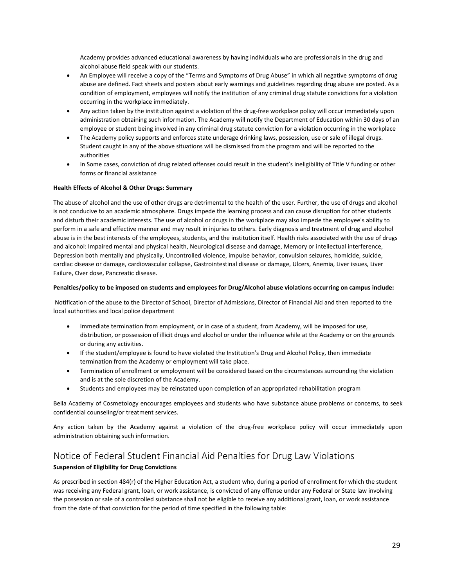- Academy provides advanced educational awareness by having individuals who are professionals in the drug and<br>alcohol abuse field speak with our students.<br>An Employee will receive a copy of the "Terms and Symptoms of Drug Ab Academy provides advanced educational awareness by having individuals who are professionals in the drug and<br>alcohol abuse field speak with our students.<br>An Employee will receive a copy of the "Terms and Symptoms of Drug Ab Academy provides advanced educational awareness by having individuals who are professionals in the drug and<br>alcohol abuse field speak with our students.<br>An Employee will receive a copy of the "Terms and Symptoms of Drug Ab Academy provides advanced educational awareness by having individuals who are professionals in the drug and<br>alcohol abuse field speak with our students.<br>An Employee will receive a copy of the "Terms and Symptoms of Drug Ab Academy provides advanced educational awareness by having individuals who are professionals in the drug and<br>
• An Employee will receive a copy of the "Terms and Symptoms of Drug Abuse" in which all negative symptoms of dru Academy provides advanced educational awareness by having individuals who are professionals in the drug and<br>alcohol abuse field speak with our students.<br>An Employee will receive a copy of the "Terms and Symptoms of Drug Ab Academy provides advanced educational awareness by having individuals who are professionals in the drug and<br>alcohol abuse field speak with our students.<br>An Employee will receive a copy of the "Terms and Symptoms of Drug Ab Academy provides advanced educational awareness by having individuals who are professionals in the drug and<br>acohol abuse field speak with our students.<br>
• An Employee will neceive a copy of the "Terms and Symptoms of Drug Academy provides advanced educational awareness by having individuals who are professionals in the drug and<br>alcohol abuse field speak with our students.<br>An Employee will receive a copy of the "Terms and Symptoms of Drug Ab alcohol abuse field speak with our students.<br>
• An Employee will receive a copy of the "Terms and Symptoms of Drug Abuse" in which all negative symptoms of drug<br>
abuse are defined. Fact sheets and posters about early warni An Employee will receive a copy of the "Terms and Symptoms of Dr<br>abuse are defined. Fact sheets and posters about early warnings an<br>condition of employment, employees will notify the institution of al<br>occurring in the work
- 
- authorities
- 

condition of employment, employees will notify the institution of any criminal driand converting in the workplace immediately.<br>
• Any action taken by the institution against a violation of the drug-free workplace administr Couring in the womplear universidue of the drug-free workplace policy will occur immediately upon<br>Any action taken by the institution against a violation of the drug-free workplace policy will occur immediately upon<br>admini For a conducive to an academic atmosphere. Drugs intereducive to the learning process and can cause disruption of the behald the students of the Academy policy supports and enforces state underage drinking suks, possession and employee or student being involved in any criminal drug statute conviction for a violation occurring in the workplace<br>
The Academy policy supports and enforces state underage drinking laws, possession, use or sale of i Final Accordination and perform in a safe and effective manner of the safet under and state convictive in any of the above situations will be dismissed from the program and will be reported to the authorities<br>
In Some case Fine Kuddent caught in any of the above stituations will be dismissed from the program and will be reported to the<br>authorities<br>and torrities<br>the best in any of the above situations will be dismissed from the program and wi structure contributed mental and physical health, Neurological disease and damage, Memory or intellectual interference and and which the student's ineligibility of Title V funding or other<br>
forms or financial assistance<br>
H entimental and physical nearthy entered the institution itself. This mental assistance<br>
In Some cases, conviction of drug related offenses could result in the student's ineligibility of Title V funding or other<br>
from sor f <sup>•</sup> In some tasse, conviction of outget eated onesses count result in the student sheepgonity of thee V intimig or other<br> **Health Effects of Alcohol & Other Drugs: Summary**<br>
The abuse of alcohol and the use of other drugs forms or miancial assistance<br>
Health Effects of Alcohol & Other Drugs: Summary<br>
The abuse of alcohol and the use of other drugs are detrimental to the health of<br>
is not conducive to an academic atmosphere. Drugs impede the The abuse of alcohol and the use of other drugs are detrimental to the health of the user. Further, the use of drugs and alcohol<br>is not conducive to an academic atmosphere. Drugs impede the learning process and can cause d Ine abuse or alternative and the use of other artigs are detirmination the neatting process and can cause distuption for other students and disturb their academic interests. The use of alcohol or drugs in the workplace may Is not conducte Co an academic authory intere. Dugly impled the eleming process and can case ous appligation on the structure is a mediate the employee's ability to perform in a safe and effective manner and may result in of the best interests of the employees, students, and the institution itself. Health risks associated with the use of drugs of the motolic impaired mental and physical health. Neurological disease and damage, Memory or int or during any sicular mental and physical health, Neurological disease and damage, Memory or intellectual interference,<br>ession both mentally and physically, Uncontrolled violence, impulse behavior, convulsion seizures, hom

- ac disease or damage, cardiovascular collapse, Gastrointestinal disease or damage, Ulcers, Anemia, Liver issues, Liver<br>
re, Over dose, Pancreatic disease.<br> **tites/policy to be imposed on students and employees for Drug/Alc** Ities/policy to be imposed on students and employees for Drug/Alcohol abuse violations occurring on campus include:<br>
fication of the abuse to the Director of School, Director of Admissions, Director of Financial Aid and th For a activity of the Academy of Cosmetology encourages employees and students who have substance of Financial Academy or on the grounds<br>
Inmediate termination from employment, or in case of a student, from Academy, will b • Immediate termination from employment, or in case of a student, from Acad<br>distribution, or possession of illicit drugs and alcohol or under the influence v<br>or during any activities.<br>• If the student/employee is found to Finder derivation, or possession of illicit drugs and alcohol or under the influence while at the Academy or on the grounds or during any activities.<br>
• If the student/employee is found to have violated the Institution's D
	-
	-
	-

<span id="page-32-0"></span>

# administration, or possession of inicial dings and account of dinate the initial<br>or during any activities.<br>• If the student/employee is found to have violated the Institution's Drummation from the Academy or employment wil

Notification of the abuse to the Director of School, Director of Admissions, Director of Financial Aid and then reported to the local authorities and local police department<br>
• Immediate termination from employment, or in • **Internation of enrollment or employment will be considered based on th**<br>
• Students and employees may be reinstated upon completion of an appro<br> **Suspension of Convertions** and students who have sue<br>
confidential counse • Students and employees may be reinstated upon completion of an appropriated rehabilitation program<br>Bella Academy of Cosmetology encourages employees and students who have substance abuse problems or concerns, to seek<br>con Bella Academy of Cosmetology encourages employees and students who have substance abuse problems or concerns, to seek<br>confidential counseling/or treatment services.<br>Any action taken by the Academy against a violation of th Bella Academy of Cosmetology encourages employees and students who have substance abuse problems or concerns, to seek<br>confidential counseling/or treatment services.<br>Any action taken by the Academy against a violation of th confidential counseling/or treatment services.<br>Any action taken by the Academy against a violation of the drug-free workplace policy will occur immediately upon<br>administration obtaining such information.<br>Notice of Federal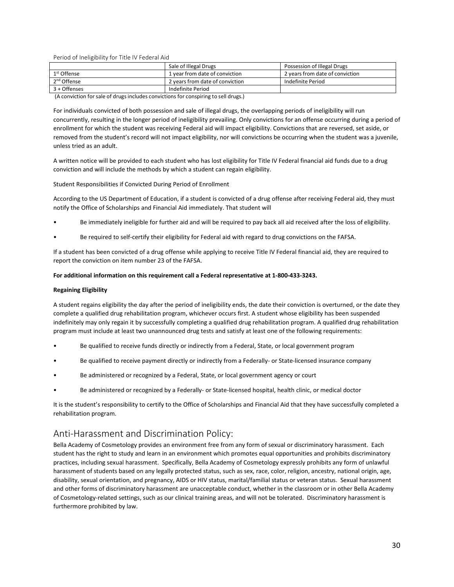| Period of Ineligibility for Title IV Federal Aid                                                                                       |                                 |                                 |  |  |  |
|----------------------------------------------------------------------------------------------------------------------------------------|---------------------------------|---------------------------------|--|--|--|
|                                                                                                                                        | Sale of Illegal Drugs           | Possession of Illegal Drugs     |  |  |  |
| 1 <sup>st</sup> Offense                                                                                                                | 1 year from date of conviction  | 2 years from date of conviction |  |  |  |
| 2 <sup>nd</sup> Offense                                                                                                                | 2 years from date of conviction | Indefinite Period               |  |  |  |
| 3 + Offenses                                                                                                                           | <b>Indefinite Period</b>        |                                 |  |  |  |
| (A conviction for sale of drugs includes convictions for conspiring to sell drugs.)                                                    |                                 |                                 |  |  |  |
| For individuals convicted of both possession and sale of illegal drugs, the overlapping periods of ineligibility will run              |                                 |                                 |  |  |  |
| concurrently, resulting in the longer period of ineligibility prevailing. Only convictions for an offense occurring during a period of |                                 |                                 |  |  |  |
|                                                                                                                                        |                                 |                                 |  |  |  |

<span id="page-33-0"></span>Period of Ineligibility for Title IV Federal Aid<br>  $\frac{18}{2}$  offense<br>  $\frac{1}{2}$  versificant and seconviction<br>  $\frac{1}{2}$  offense<br>  $\frac{1}{2}$  versificant and seconviction<br>
(A conviction for sale of drugs includes convictions Period of Ineligibility for Title IV Federal Aid<br>
19 Sale of Illegal Drugs<br>
19 Concurrently, resulting the longer period and a set of conviction<br>
2 - Offense and a period ineligibility prevailing between the indefinite Per Period of Ineligibility for Title IV Federal Aid<br>
Sale of Illegal Drugs<br>
1 years from date of conviction<br>
2<sup>nd</sup> Offense<br>
3 + Offense<br>
4 Offense<br>
4 Conviction for sale of drugs includes convictions for conspiring to sell dr Period of Ineligibility for Title IV Federal Aid<br>
1º Offense<br>
1º Offense<br>
2<sup>nd</sup> Offense<br>
2<sup>nd</sup> Offense<br>
2<sup>nd</sup> Offense<br>
2<sup>nd</sup> Offense<br>
2<sup>nd</sup> Offense<br>
2<sup>nd</sup> Offense<br>
2<sup>nd</sup> Offense<br>
2<sup>nd</sup> Offense<br>
2<sup>nd</sup> Offense<br>
2<sup>nd</sup> Offense Period of Ineligibility for Title IV Federal Aid<br>
1<sup>14</sup> Offense<br>
11 year from date of conviction<br>
11 year from date of conviction<br>
2<sup>nd</sup> Offense<br>
2<sup>nd</sup> Offense<br>
2 years from date of conviction<br>
11 year from date of convict Sale of Illegal Drugs<br>
The state of Conviction<br>
2 written date of conviction<br>
2 written and a conviction<br>
3 + Offenses<br>
(A conviction for sale of drugs includes convictions for conspiring to sell drugs.)<br>
For individuals c  $\begin{tabular}{l|l|l|} \hline 1^{\text{st}} \text{Offense} & 1 \text{ year from date of conviction} & 2 \text{ years from date of conviction} \\ \hline 2^{\text{ref}} \text{Offense} & 1 \text{ years from date of conviction} & \text{indefinite Period} \\ \hline 3+ \text{Offenses} & \text{indefinite Period} \\ \hline (A conviction for sale of drugs includes convictions for conspiring to sell drugs.) \\ \hline \end{tabular} For individuals convicted of both possession and sale of illegal drugs, the overlapping periods of ineligibility will run concurrently, resulting in the longer period of ineligibility prevailing. Only convictions for an offense occurring during a perrollment for which the student was receiving Federal aid will impact eligibility. Convictions that are reversed, set$ Indefinite Period<br>
(A conviction for sale of drugs includes convictions for conspiring to sell drugs.)<br>
For individuals convicted of both possession and sale of illegal drugs, the overlapping periods of ineligiti<br>
Concurre For individuals convicted of both possession and sale of illegal drugs, the overlapping periods of ineligibility will run<br>concurrently, resulting in the longer period of ineligibility prevailing. Only convictions for an of For individuals convicted of both possession and sale of illegal drugs, the overlapping periods of ineligibility will run<br>concurrently, resulting in the longer period of ineligibility prevailing. Only convictions for an of enrollment for which the student was receiving Federal aid will impact eligibility. Convictions that are reversed, set aside, or<br>removed from the student's record will not impact eligibility, nor will convictions be occurr

entioned rion in estudion in the steady in the steady will not impact enginity, nor will convictions be occurring when the student was a juvenine,<br>A written notice will be provided to each student who has lost eligibility A written notice will be provided to each student who has lost eligibility for Title IV Federal financial aid funds due to a drug<br>conviction and will include the methods by which a student can regain eligibility.<br>Student R report the conviction on item number 23 of the FAFSA.<br> **Regaining Eligibility**<br> **Reporting Provident Convicted During Period of Enrollment**<br> **According to the US Department of Education**, if a student is convicted of a dru **For additional information** on this requirement call a Federal representative and a divelopting to the US Department of Education, if a student is convicted of a drug offense after receiving Federal aid, they must<br>notify

- 
- 

According to the US Department of Education, if a student is<br>notify the Office of Scholarships and Financial Aid immediate<br>• Be immediately ineligible for further aid and will b<br>• Be required to self-certify their eligibil notify the Office of Scholarships and Financial Aid immediately. That student will<br>
• Be immediately ineligible for further aid and will be required to pay back all aid received after the loss of eligibility.<br>
• Be require **Example 19**<br> **Example 19**<br> **Example 19**<br> **Example 19**<br> **Example 19**<br> **Example 19**<br> **Example 19**<br> **Example 19**<br> **Example 19**<br> **Example 19**<br> **Example 19**<br> **Example 19**<br> **Example 19**<br> **Example 19**<br> **Example 19**<br> **Example 19** For the minieulately inengione for further ato antivoritie required to pay back an altiexceled atter the fossion engitimity.<br>If a student has been convicted of a drug offense while applying to receive Title IV Federal fina • Be required to self-certify their eligibility for Federal aid with regard to drug convictions on the FAFSA.<br>If a student has been convicted of a drug offense while applying to receive Title IV Federal financial aid, they If a student has been convicted of a drug offense while applying to receive Title IV Federal financial aid, they are required to<br>report the conviction on item number 23 of the FAFSA.<br>**For additional information on this req** For additional information on their number 25 or the PAFSA.<br>
For additional information on this requirement call a Federal representative at 1-800-433-3243.<br>
Regaining Eligibility<br>
A student regains eligibility the day aft For additional miormation on this requirement can a rederal representative at 1-000-435-3243.<br>
Regaining Eligibility<br>
A student regains eligibility the day after the period of ineligibility ends, the date their conviction **Figure 19 Example 19 Explority** the day after the period of ineligibility ends, the date their conviction is overturned, or the date they consplete a qualified drug rehabilitation program, whichever occurs first. A studen A student regams engusting the day are the perito on innegibility encours first. A student whose eligibility has been suspended indefinitely may only regain it by successfully completing a qualified drug rehabilitation pro Complete a qualitied original that program, whichever of<br>
indefinitely may only regain it by successfully completing a qual<br>
program must include at least two unannounced drug tests and<br>
Be qualified to receive funds direc

- 
- 
- 
- 

<span id="page-33-1"></span>

For additional information on this requirement call a Federal representative at 1-800-433-3243.<br>
A student regisine ligibility the day after the period of ineligibility ends, the date their conviction is overturned, or the be qualitied to receive tunds directly or indirectly from a Federal, State, or local government program<br>Be qualified to receive payment directly or indirectly from a Federally- or State-licensed insurance company<br>Be admini student to the right of the right of the right of indirectly or indirectly from a Federally- or State-licensed insurance company<br>
Be administered or recognized by a Federally- or State-licensed hospital, health clinic, or **Provided the sexual harassment** and Discrimination Policy including sexual harassment and the completed a dentinistered or recognized by a Federally- or State-licensed hospital, health clinic, or medical doctor<br>
It is the Farassment of students based on any elegally protected by a Federally-or State-licensed hospital, health clinic, or medical doctor<br>
The student's responsibility to certify to the Office of Scholarships and Financial Aid th • Be administered or recognized by a Federally- or State-licensed hospital, health clinic, or medical doctor<br>It is the student's responsibility to certify to the Office of Scholarships and Financial Aid that they have succ • Be administered or recognized by a Federally- or State-licensed nospital, nealth clinic, or medical doctor<br>It is the student's responsibility to certify to the Office of Scholarships and Financial Aid that they have succ It is the student's responsibility to certify to the Office of Scholarships and Financial Aid that they have successfully completed a<br>rehabilitation program.<br>Anti-HaraSSMent and Discrimination Policy:<br>Bella Academy of Cosm Furthermore prohibited by law.<br>The same of states of states and the constraining and the rehabilitation program.<br>Anti-Harassment and Discrimination Policy:<br>Bella Academy of Cosmetology provides an environment free from any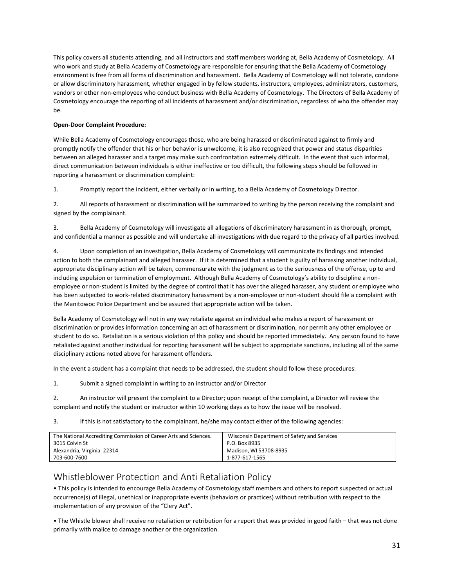This policy covers all students attending, and all instructors and staff members working at, Bella Academy of Cosmetology. All<br>who work and study at Bella Academy of Cosmetology are responsible for ensuring that the Bella This policy covers all students attending, and all instructors and staff members working at, Bella Academy of Cosmetology. All<br>who work and study at Bella Academy of Cosmetology are responsible for ensuring that the Bella This policy covers all students attending, and all instructors and staff members working at, Bella Academy of Cosmetology. All<br>who work and study at Bella Academy of Cosmetology are responsible for ensuring that the Bella This policy covers all students attending, and all instructors and staff members working at, Bella Academy of Cosmetology. All<br>who work and study at Bella Academy of Cosmetology are responsible for ensuring that the Bella This policy covers all students attending, and all instructors and staff members working at, Bella Academy of Cosmetology. All<br>who work and study at Bella Academy of Cosmetology are responsible for ensuring that the Bella This policy covers all students attending, and all instructors and staff members working at, Bella Academy of Cosmetology. All<br>who work and study at Bella Academy of Cosmetology are responsible for ensuring that the Bella be. This policy covers all students attending, and all instructors and staff me<br>who work and study at Bella Academy of Cosmetology are responsible fe<br>environment is free from all forms of discrimination and harassment. Be<br>or a This policy covers all students attending, and all instructors and staff members working at, Bella Academy of Cosmetology. All<br>who work and study at Bella Academy of Cosmetology are responsible for ensuring that the Bella This policy covers all students attending, and all instructors and staff members working at, Bella Academy of Cosmetology. All<br>who work and study at Bella Academy of Cosmetology are responsible for ensuring that the Bella Ins policy covers an students attenum, and an instructors and surrimenters working at, een a Academy of Cosmetology. An<br>unho work and study at Bella Academy of Cosmetology are responsible for ensuring that the Bella Academ Who work and study at between individuals is either ineffective or ensuring that the between the common or allow discriminatory brees and a target exponsion or allow discriminatory harassment, whether engaged in by fellow

environment is free from all forms of discrimination and narassment. Belia Academy of Co<br>or allow discriminatory harassment, whether engaged in by fellow students, instructors, en<br>vendors or other non-employees who conduct

1. Promptly report the incident, either verbally or in writing, to a Bella Academy of Cosmetology Director.

2. All reports of harassment or discrimination will be summarized to writing by the person receiving the complaint and signed by the complainant.

3. Bella Academy of Cosmetology will investigate all allegations of discriminatory harassment in as thorough, prompt, and confidential a manner as possible and will undertake all investigations with due regard to the privacy of all parties involved.

4. Upon completion of an investigation, Bella Academy of Cosmetology will communicate its findings and intended action to both the complainant and alleged harasser. If it is determined that a student is guilty of harassing another individual, appropriate disciplinary action will be taken, commensurate with the judgment as to the seriousness of the offense, up to and including expulsion or termination of employment. Although Bella Academy of Cosmetology's ability to discipline a nonemployee or non-student is limited by the degree of control that it has over the alleged harasser, any student or employee who has been subjected to work-related discriminatory harassment by a non-employee or non-student should file a complaint with the Manitowoc Police Department and be assured that appropriate action will be taken. Bella Academy of Cosmetology will investigate all allegations of discriminatory harassment in as thorough, prompt,<br>and confidential a manner as possible and will undertake all investigations with due regard to the privacy states and confidential a manner as possible and winwesugate an allegatuos on uscimination y intassment in as unorougin, proming, provided.<br>A concernent and confidential a manner as possible and will undertake all investig and connoential a manner as possible and will undertake all investigations with due regard to the privacy or all parties involved.<br>
4. Upon completion of an investigation, Bella Academy of Cosmetology will communicate its 4. Upon completion of an investigation, Bella Academy of Cosmetology will communicate its findings and intended<br>action to both the complainant and alleged harasser. If it is determined that a student is guilty of harassing action to both the complainant and alleged harasser. If it is determined that a student is guilty of appropriate disciplinary action will be taken, commensurate with the judgment as to the seriousn including expulsion or t

appropriate isocipitary actions will be takent, commensioned with the juogement as to the seriousness or ne entense, up to and<br>including expulsion or termination of employment. Although Bella Academy of Cosmetology's abili employee or non-student is limited by the degree of control that it has over the alleged harasser, any student or emplot<br>has been subjected to work-related discriminatory harassment by a non-employee or non-student should the Manitowoc Police Department and be assured that appropriate action will be taken.<br>Bella Academy of Cosmetology will not in any way retaliate against an individual who makes a report of harassment or<br>discrimination or p Rella Academy of Cosmetology will not in any way retaliate against an individual who makes a report of harassment or<br>discrimination or provides information concerning an act of harassment or discrimination, nor permit any discrimination or provides information concerning an act of harassment or discrimination, nor permit any other employee or<br>
student to do so. Retaliation is a serious violation of this policy and should be reported immedia eela Academy or Osmetology will not in any way retainee against an innolvidual won makes a report or inarssment or<br>distrimination or provides information concerning an act of harassment or discrimination, nor permit any ot

<span id="page-34-0"></span>

| disciplinary actions noted above for harassment offenders.                                                                                                                                                                             |                                                                                                                                   |  |
|----------------------------------------------------------------------------------------------------------------------------------------------------------------------------------------------------------------------------------------|-----------------------------------------------------------------------------------------------------------------------------------|--|
| In the event a student has a complaint that needs to be addressed, the student should follow these procedures:                                                                                                                         |                                                                                                                                   |  |
| Submit a signed complaint in writing to an instructor and/or Director<br>1.                                                                                                                                                            |                                                                                                                                   |  |
| An instructor will present the complaint to a Director; upon receipt of the complaint, a Director will review the<br>2.<br>complaint and notify the student or instructor within 10 working days as to how the issue will be resolved. |                                                                                                                                   |  |
| 3.<br>If this is not satisfactory to the complainant, he/she may contact either of the following agencies:                                                                                                                             |                                                                                                                                   |  |
| The National Accrediting Commission of Career Arts and Sciences.<br>3015 Colvin St<br>Alexandria, Virginia 22314<br>703-600-7600                                                                                                       | Wisconsin Department of Safety and Services<br>P.O. Box 8935<br>Madison, WI 53708-8935<br>1-877-617-1565                          |  |
| Whistleblower Protection and Anti Retaliation Policy                                                                                                                                                                                   |                                                                                                                                   |  |
| occurrence(s) of illegal, unethical or inappropriate events (behaviors or practices) without retribution with respect to the<br>implementation of any provision of the "Clery Act".                                                    | . This policy is intended to encourage Bella Academy of Cosmetology staff members and others to report suspected or actual        |  |
| primarily with malice to damage another or the organization.                                                                                                                                                                           | • The Whistle blower shall receive no retaliation or retribution for a report that was provided in good faith – that was not done |  |
|                                                                                                                                                                                                                                        | 31                                                                                                                                |  |
|                                                                                                                                                                                                                                        |                                                                                                                                   |  |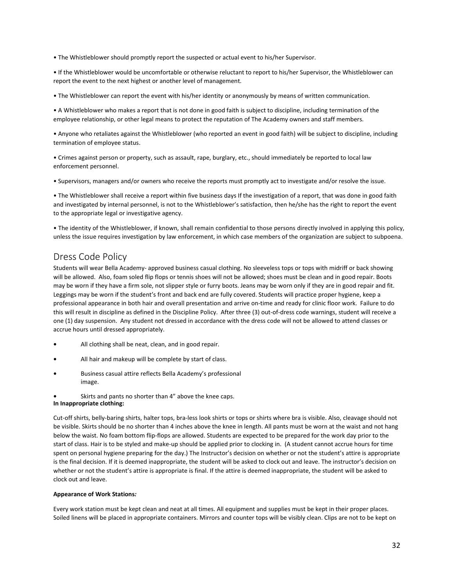• The Whistleblower should promptly report the suspected or actual event to his/her Supervisor. • The Whistleblower should promptly report the suspected or actual event to his/her Supervisor.<br>• If the Whistleblower would be uncomfortable or otherwise reluctant to report to his/her Supervisor, the Whistleblower can<br>• The Whistleblower should promptly report the suspected or actual event to his/her Supervisor.<br>• If the Whistleblower would be uncomfortable or otherwise reluctant to report to his/her Supervisor, the<br>report the event to th • The Whistleblower should promptly report the suspected or actual event to his/her Supervisor.<br>• If the Whistleblower would be uncomfortable or otherwise reluctant to report to his/her Supervisor, the Whistleblower can<br>• • The Whistleblower should promptly report the suspected or actual event to his/her Supervisor.<br>• If the Whistleblower would be uncomfortable or otherwise reluctant to report to his/her Supervisor, the Whistleblower can<br>• The Whistleblower should promptly report the suspected or actual event<br>
• If the Whistleblower would be uncomfortable or otherwise reluctant to report the event to the next highest or another level of management.<br>
• The Wh • If the Whistleblower would be uncomfortable or otherwise report the event to the next highest or another level of manage<br>• The Whistleblower can report the event with his/her identity<br>• A Whistleblower who makes a report

• The Whistleblower should promptly report the suspected or actual event to his/her Supervisor.<br>• If the Whistleblower would be uncomfortable or otherwise reluctant to report to his/her Supervisor, the Whistleblower can<br>• • The Whistleblower should promptly report the suspected or actual event to his/her Supervisor.<br>• If the Whistleblower would be uncomfortable or otherwise reluctant to report to his/her Supervisor, the Whistleblower can<br>• • Irle winsteolower should promptly report the suspected or actual event to inspirer supervisor,<br>• If the Whistleblower would be uncomfortable or otherwise reluctant to report to his/her Supervisor, the Whistleblower can<br>•

• The Whistleblower can report the event with his/her identity or anonymously by means of written communication.<br>• A Whistleblower who makes a report that is not done in good faith is subject to discipline, including termi • The Whistleblower can report the event with misylier neintry or anonymously by means or written communication.<br>• A Whistleblower who makes a report that is not done in good faith is subject to discipline, including termi • A Whistleblower who makes a report that is not done in good faith is subject to discipline, including termination of the employee relationship, or other legal means to protect the reputation of The Academy owners and sta employee relationship, or other legal means to protect the reputation of The Academy ov<br>
• Anyone who retaliates against the Whistleblower (who reported an event in good faith)<br>
termination of employee status.<br>
• Crimes ag • Anyone who retaliates against the Whistleblower (who reported an event in good faith) will be subject to discipline, including<br>termination of employee status.<br>• Crimes against person or property, such as assault, rape, b termination of employee status.<br>• Crimes against person or property, such as assault, rape, burglary, etc., should immediately be reported to local law<br>• Supervisors, managers and/or owners who receive the reports must pro

<span id="page-35-0"></span>

• A Whistleblower who makes a report that is not done in good faith is subject to discipline, in<br>
• A Whistleblower who makes a report that is not done in good faith is subject to discipline, in<br>
• memployee relationship, Supervisors, managers and/or owners who receive the reports must promptly act to investigate and/or resolve the issue.<br>
• The Whistelelower shall receive a report within five business days if the investigation of a report, • Supervisors, managers and/or owners who receive the reports must promptly act to investigate and/or resolve the issue.<br>• The Whistleblower shall receive a report within five business days if the investigation of a report • The Whistleblower shall receive a report within five business days If the investigation of a report, that was done in good faith<br>and investigated by internal personnel, is not to the Whistleblower's satisfaction, then he • Ine Whistelblower snall receive a report within the business days if the investigation of a report, that was done in good faith<br>and investigated by internal personnel, is not to the Whistleblower's satisfaction, then he/ and investigated by internal personnel, is not to the Whistleblower's satistaction, then he/she has the right to report the event<br>of the appropriate legal or investigative agency.<br>
• The identity of the Whistleblower, if k to the appropriate legal or investigative agency.<br>
• The identity of the Whistleblower, if known, shall remain confidential to those persons directly involved in applying this policy,<br>
• The identity of the Whistleblower, • The identity of the Whistleblower, if known, shall remain confidential to those persons directly involved in applying this policy, unless the issue requires investigation by law enforcement, in which case members of the The same the issue requires investigation by law enforcement, in which case m<br>and the issue requires investigation by law enforcement, in which case m<br>Dress Code Policy<br>Students will wear Bella Academy- approved business c

- **•** All clothing shall be neat, clean, and in good repair.
- **•** All hair and makeup will be complete by start of class.
- **•** Business casual attire reflects Bella Academy's professional image.
- **•** Skirts and pants no shorter than 4" above the knee caps. **In Inappropriate clothing:**

Cut-off shirts, belly-baring shirts, halter tops, bra-less look shirts or tops or shirts where bra is visible. Also, cleavage should not be visible. Skirts should be no shorter than 4 inches above the knee in length. All pants must be worn at the waist and not hang below the waist. No foam bottom flip-flops are allowed. Students are expected to be prepared for the work day prior to the start of class. Hair is to be styled and make-up should be applied prior to clocking in. (A student cannot accrue hours for time spent on personal hygiene preparing for the day.) The Instructor's decision on whether or not the student's attire is appropriate is the final decision. If it is deemed inappropriate, the student will be asked to clock out and leave. The instructor's decision on whether or not the student's attire is appropriate is final. If the attire is deemed inappropriate, the student will be asked to clock out and leave.

## **Appearance of Work Stations***:*

Every work station must be kept clean and neat at all times. All equipment and supplies must be kept in their proper places. Soiled linens will be placed in appropriate containers. Mirrors and counter tops will be visibly clean. Clips are not to be kept on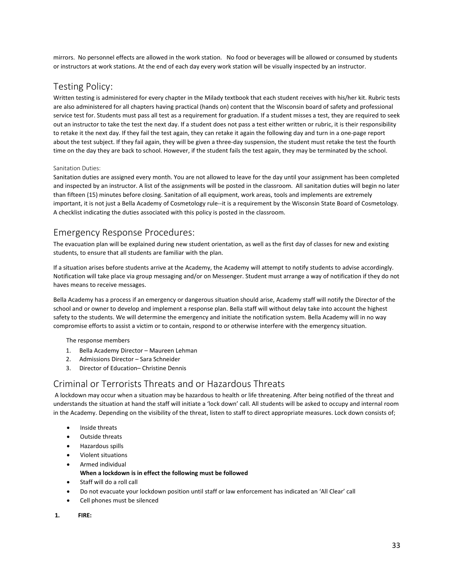mirrors. No personnel effects are allowed in the work station. No food or beverages will be allowed or consumed by students or instructors at work stations. At the end of each day every work station will be visually inspected by an instructor.

# <span id="page-36-0"></span>Testing Policy:

Written testing is administered for every chapter in the Milady textbook that each student receives with his/her kit. Rubric tests are also administered for all chapters having practical (hands on) content that the Wisconsin board of safety and professional service test for. Students must pass all test as a requirement for graduation. If a student misses a test, they are required to seek out an instructor to take the test the next day. If a student does not pass a test either written or rubric, it is their responsibility to retake it the next day. If they fail the test again, they can retake it again the following day and turn in a one-page report about the test subject. If they fail again, they will be given a three-day suspension, the student must retake the test the fourth time on the day they are back to school. However, if the student fails the test again, they may be terminated by the school.

## <span id="page-36-1"></span>Sanitation Duties:

Sanitation duties are assigned every month. You are not allowed to leave for the day until your assignment has been completed and inspected by an instructor. A list of the assignments will be posted in the classroom. All sanitation duties will begin no later than fifteen (15) minutes before closing. Sanitation of all equipment, work areas, tools and implements are extremely important, it is not just a Bella Academy of Cosmetology rule--it is a requirement by the Wisconsin State Board of Cosmetology. A checklist indicating the duties associated with this policy is posted in the classroom.

# Emergency Response Procedures:

The evacuation plan will be explained during new student orientation, as well as the first day of classes for new and existing students, to ensure that all students are familiar with the plan.

If a situation arises before students arrive at the Academy, the Academy will attempt to notify students to advise accordingly. Notification will take place via group messaging and/or on Messenger. Student must arrange a way of notification if they do not haves means to receive messages.

<span id="page-36-2"></span>Bella Academy has a process if an emergency or dangerous situation should arise, Academy staff will notify the Director of the school and or owner to develop and implement a response plan. Bella staff will without delay take into account the highest safety to the students. We will determine the emergency and initiate the notification system. Bella Academy will in no way compromise efforts to assist a victim or to contain, respond to or otherwise interfere with the emergency situation. evacuation plan will be explained during new student orientatic<br>ents, to ensure that all students are familiar with the plan.<br>ituation arises before students arrive at the Academy, the Acad<br>ication will take place via grou Emergency Response Procedures:<br>
The evacuation plan will be explained during news student orientation, as well as the first day of classes for new and existing<br>
students, to ensure that all sudents arrive at the Academy, t Sella Academy has a process if an emergency or dangerous situation should arise, Academy staff will notify the Director of the chordool and or owner to develop and implement a response plan. Bella staff will whoto telely t school and or owner to develop and implement a response plan. Bella staff will without delay take into account the highest<br>safety to the students. We will determine the emergency and initiate the notification system. Bella

- 1. Bella Academy Director Maureen Lehman
- 2. Admissions Director Sara Schneider
- <span id="page-36-3"></span>3. Director of Education– Christine Dennis

in the Academy. We will determine the emergency and initiate the notification system. Bella Academy will in no way<br>
The response members<br>
The response members<br>
2. Bella Academy Director – Maureen Lehman<br>
2. Admissions Dire al or Terrorists Threats and or Hazardous Threats<br>wn may occur when a situation may be hazardous to health or life threatening. After being notified of th<br>ds the situation at hand the staff will initiate a 'lock down' call minal of Terrorists Inreats and or Hazardous Inreats<br>
Exkown may occur when a situation may be hazardos to health or life threatening. After being notified of the threat and<br>
station at hand the staff will initiate a 'lock

- 
- 
- 
- 
- 

- 
- Inside threats<br>
 Outside threats<br>
 Hazardous spills<br>
 Violent situations<br>
 Armed individual<br> **1.** When a lockdown is in effect the following mus<br>
 Staff will do a roll call<br>
 Do not evacuate your lockdown position
	-
-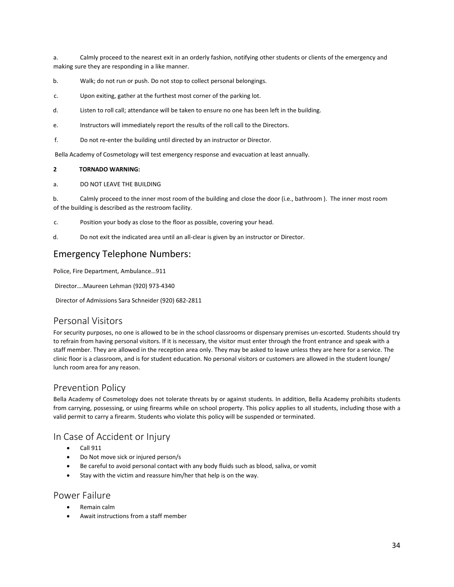a. Calmly proceed to the nearest exit in an orderly fashion, notifying other students or clients of the emergency and making sure they are responding in a like manner. Calmly proceed to the nearest exit in an orderly fashion, notifying other students or clients of the emergency are responding in a like manner.<br>
Walk; do not run or push. Do not stop to collect personal belongings.<br>
Upon e

b. Walk; do not run or push. Do not stop to collect personal belongings.

c. Upon exiting, gather at the furthest most corner of the parking lot.

- d. Listen to roll call; attendance will be taken to ensure no one has been left in the building.
- e. Instructors will immediately report the results of the roll call to the Directors.
- f. Do not re-enter the building until directed by an instructor or Director.

a. DO NOT LEAVE THE BUILDING

**2** Walk; do not run or push. Do not sto<br> **2** Upon exiting, gather at the furthest<br> **2** Instructors will immediately report to<br> **2** Instructors will immediately report to<br> **2 2 TORNADO WARNING:**<br> **2 2 TORNADO WARNI** b. Calmly proceed to the inner most room of the building and close the door (i.e., bathroom ). The inner most room of the building is described as the restroom facility. Emergency Telephone Numbers:<br>
Protantance will be taken to ensure no one has<br>
e.<br>
Instructors will immediately report the results of the roll call to t<br>
f.<br>
Do not re-enter the building until directed by an instructor or D Political Political Political Political<br>
Bolignal Calmly proceed to the inner most room of the building<br>
of the building is described as the restroom facility.<br>
C. Position your body as close to the floor as possible, cove

- c. Position your body as close to the floor as possible, covering your head.
- d. Do not exit the indicated area until an all-clear is given by an instructor or Director.

Director….Maureen Lehman (920) 973-4340

Director of Admissions Sara Schneider (920) 682-2811

## <span id="page-37-0"></span>Personal Visitors

For security purposes, no one is allowed to be in the school classrooms or dispensary premises un-escorted. Students should try to refrain from having personal visitors. If it is necessary, the visitor must enter through the front entrance and speak with a staff member. They are allowed in the reception area only. They may be asked to leave unless they are here for a service. The clinic floor is a classroom, and is for student education. No personal visitors or customers are allowed in the student lounge/ lunch room area for any reason. to refrain from having personal visitors. If it is necessary,<br>staff member. They are allowed in the reception area onl<br>clinic floor is a classroom, and is for student education. Nunch room area for any reason.<br>Prevention P

# <span id="page-37-1"></span>Prevention Policy

Bella Academy of Cosmetology does not tolerate threats by or against students. In addition, Bella Academy prohibits students from carrying, possessing, or using firearms while on school property. This policy applies to all students, including those with a valid permit to carry a firearm. Students who violate this policy will be suspended or terminated. member. They are allowed in the red<br>floor is a classroom, and is for stude<br>from area for any reason.<br>Vention Policy<br>Academy of Cosmetology does not<br>carrying, possessing, or using firearm<br>permit to carry a firearm. Students Floor is a classroom, and is for student education. No personal visitors or customers are allowed in the student<br>
1 room area for any reason.<br>
Vention Policy<br>
Academy of Cosmetology does not tolerate threats by or against carrying, possessing, or using tirearms while on schoopermit to carry a firearm. Students who violate this pol<br>
Case of Accident or Injury<br>
• Call 911<br>
• Do Not move sick or injured person/s<br>
• Be careful to avoid personal

# <span id="page-37-2"></span>In Case of Accident or Injury

- 
- 
- permit to carry a firearm. Students who violate this policy with<br>
Case of Accident or Injury<br>
 Call 911<br>
 Do Not move sick or injured person/s<br>
 Be careful to avoid personal contact with any body fluid<br>
 Stay with the
- 

- <span id="page-37-3"></span>
-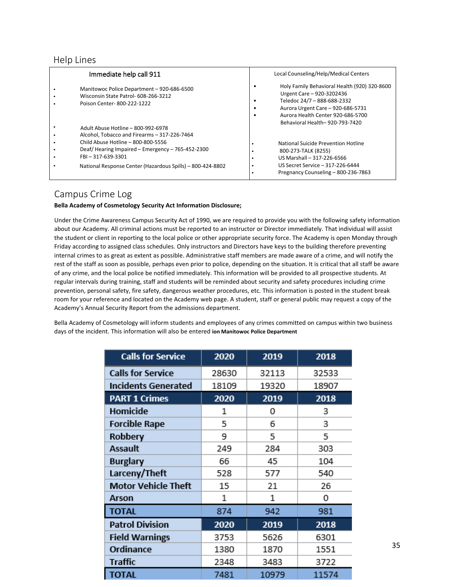| <b>Help Lines</b>                                                                                                                           |                                                                                                                                                                                                                                                                                                                   |
|---------------------------------------------------------------------------------------------------------------------------------------------|-------------------------------------------------------------------------------------------------------------------------------------------------------------------------------------------------------------------------------------------------------------------------------------------------------------------|
| Immediate help call 911<br>Manitowoc Police Department - 920-686-6500<br>Wisconsin State Patrol- 608-266-3212<br>Poison Center-800-222-1222 | Local Counseling/Help/Medical Centers<br>Holy Family Behavioral Health (920) 320-8600<br>$\bullet$<br>Urgent Care - 920-3202436<br>Teledoc 24/7 - 888-688-2332<br>$\bullet$<br>Aurora Urgent Care - 920-686-5731<br>$\bullet$<br>Aurora Health Center 920-686-5700<br>$\bullet$<br>Behavioral Health-920-793-7420 |

## <span id="page-38-2"></span><span id="page-38-1"></span><span id="page-38-0"></span>Campus Crime Log

## **Bella Academy of Cosmetology Security Act Information Disclosure;**

Under the Crime Awareness Campus Security Act of 1990, we are required to provide you with the following safety information about our Academy. All criminal actions must be reported to an instructor or Director immediately. That individual will assist the student or client in reporting to the local police or other appropriate security force. The Academy is open Monday through Friday according to assigned class schedules. Only instructors and Directors have keys to the building therefore preventing internal crimes to as great as extent as possible. Administrative staff members are made aware of a crime, and will notify the rest of the staff as soon as possible, perhaps even prior to police, depending on the situation. It is critical that all staff be aware of any crime, and the local police be notified immediately. This information will be provided to all prospective students. At regular intervals during training, staff and students will be reminded about security and safety procedures including crime prevention, personal safety, fire safety, dangerous weather procedures, etc. This information is posted in the student break room for your reference and located on the Academy web page. A student, staff or general public may request a copy of the Academy's Annual Security Report from the admissions department.

Bella Academy of Cosmetology will inform students and employees of any crimes committed on campus within two business days of the incident. This information will also be entered **ion Manitowoc Police Department**

| <b>Calls for Service</b>   | 2020  | 2019  | 2018  |
|----------------------------|-------|-------|-------|
| <b>Calls for Service</b>   | 28630 | 32113 | 32533 |
| <b>Incidents Generated</b> | 18109 | 19320 | 18907 |
| <b>PART 1 Crimes</b>       | 2020  | 2019  | 2018  |
| Homicide                   | 1     | 0     | 3     |
| <b>Forcible Rape</b>       | 5     | 6     | 3     |
| Robbery                    | 9     | 5     | 5     |
| <b>Assault</b>             | 249   | 284   | 303   |
| <b>Burglary</b>            | 66    | 45    | 104   |
| Larceny/Theft              | 528   | 577   | 540   |
| <b>Motor Vehicle Theft</b> | 15    | 21    | 26    |
| Arson                      | 1     | 1     | 0     |
| <b>TOTAL</b>               | 874   | 942   | 981   |
| <b>Patrol Division</b>     | 2020  | 2019  | 2018  |
| <b>Field Warnings</b>      | 3753  | 5626  | 6301  |
| Ordinance                  | 1380  | 1870  | 1551  |
| <b>Traffic</b>             | 2348  | 3483  | 3722  |
| <b>TOTAL</b>               | 7481  | 10979 | 11574 |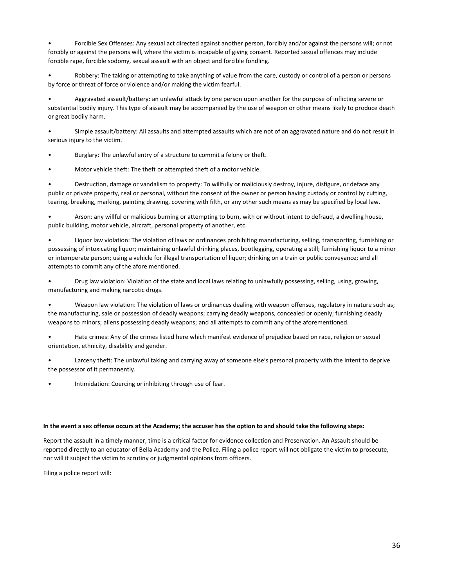• Forcible Sex Offenses: Any sexual act directed against another person, forcibly and/or against the persons will; or not forcibly or against the persons will, where the victim is incapable of giving consent. Reported sexual offences may include forcible rape, forcible sodomy, sexual assault with an object and forcible fondling.

• Robbery: The taking or attempting to take anything of value from the care, custody or control of a person or persons by force or threat of force or violence and/or making the victim fearful.

• Aggravated assault/battery: an unlawful attack by one person upon another for the purpose of inflicting severe or substantial bodily injury. This type of assault may be accompanied by the use of weapon or other means likely to produce death or great bodily harm.

• Simple assault/battery: All assaults and attempted assaults which are not of an aggravated nature and do not result in serious injury to the victim.

• Burglary: The unlawful entry of a structure to commit a felony or theft.

• Motor vehicle theft: The theft or attempted theft of a motor vehicle.

• Destruction, damage or vandalism to property: To willfully or maliciously destroy, injure, disfigure, or deface any public or private property, real or personal, without the consent of the owner or person having custody or control by cutting, tearing, breaking, marking, painting drawing, covering with filth, or any other such means as may be specified by local law.

• Arson: any willful or malicious burning or attempting to burn, with or without intent to defraud, a dwelling house, public building, motor vehicle, aircraft, personal property of another, etc.

• Liquor law violation: The violation of laws or ordinances prohibiting manufacturing, selling, transporting, furnishing or possessing of intoxicating liquor; maintaining unlawful drinking places, bootlegging, operating a still; furnishing liquor to a minor or intemperate person; using a vehicle for illegal transportation of liquor; drinking on a train or public conveyance; and all attempts to commit any of the afore mentioned.

• Drug law violation: Violation of the state and local laws relating to unlawfully possessing, selling, using, growing, manufacturing and making narcotic drugs.

• Weapon law violation: The violation of laws or ordinances dealing with weapon offenses, regulatory in nature such as; the manufacturing, sale or possession of deadly weapons; carrying deadly weapons, concealed or openly; furnishing deadly weapons to minors; aliens possessing deadly weapons; and all attempts to commit any of the aforementioned.

• Hate crimes: Any of the crimes listed here which manifest evidence of prejudice based on race, religion or sexual orientation, ethnicity, disability and gender.

• Larceny theft: The unlawful taking and carrying away of someone else's personal property with the intent to deprive the possessor of it permanently.

Intimidation: Coercing or inhibiting through use of fear.

**In the event a sex offense occurs at the Academy; the accuser has the option of sex offers of prejudice based on race, religion or sexual<br>
<b>In the possessor of it permanently.**<br> **In the possessor of it permanently.**<br>
Inti orientation, ethnicity, disability and gender.<br>
• Larceny theft: The unlawful taking and carrying away of someone else's personal property with the intent to deprive<br>
the possessor of it permanently.<br>
• Intimidation: Coerc **reported directly the fit:** The unlawful taking and carrying away of someone else's personal property with the intent to deprive<br>the possessor of it permanently.<br>In the event a sex offense occurs at the Academy; the accus • Larceny theft: The unlawful taking and carrying away of someone else's personal property with the intent<br>the possessor of it permanently.<br>• Intimidation: Coercing or inhibiting through use of fear.<br><br>**In the event a sex o** • Intimidation: Coercing or inhibiting through use of fear.<br>
In the event a sex offense occurs at the Academy; the accuser has the<br>
Report the assault in a timely manner, time is a critical factor for evide<br>
reported direc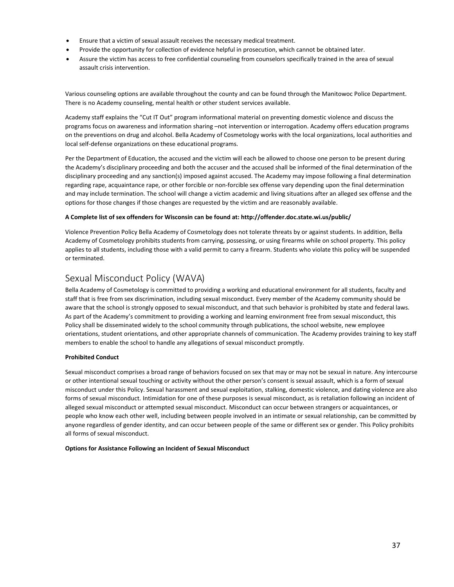- 
- 
- Ensure that a victim of sexual assault receives the necessary medical treatment.<br>• Provide the opportunity for collection of evidence helpful in prosecution, which cannot be obtained later.<br>• Assure the victim has access Ensure that a victim of sexual assault receives the necessary m<br>Provide the opportunity for collection of evidence helpful in pr<br>Assure the victim has access to free confidential counseling fro<br>assault crisis intervention.

Various counseling options are available throughout the county and can be found through the Manitowoc Police Department. There is no Academy counseling, mental health or other student services available.

Academy staff explains the "Cut IT Out" program informational material on preventing domestic violence and discuss the programs focus on awareness and information sharing –not intervention or interrogation. Academy offers education programs on the preventions on drug and alcohol. Bella Academy of Cosmetology works with the local organizations, local authorities and local self-defense organizations on these educational programs.

Per the Department of Education, the accused and the victim will each be allowed to choose one person to be present during the Academy's disciplinary proceeding and both the accuser and the accused shall be informed of the final determination of the disciplinary proceeding and any sanction(s) imposed against accused. The Academy may impose following a final determination regarding rape, acquaintance rape, or other forcible or non-forcible sex offense vary depending upon the final determination and may include termination. The school will change a victim academic and living situations after an alleged sex offense and the options for those changes if those changes are requested by the victim and are reasonably available.

## **A Complete list of sex offenders for Wisconsin can be found at: http://offender.doc.state.wi.us/public/**

Violence Prevention Policy Bella Academy of Cosmetology does not tolerate threats by or against students. In addition, Bella Academy of Cosmetology prohibits students from carrying, possessing, or using firearms while on school property. This policy applies to all students, including those with a valid permit to carry a firearm. Students who violate this policy will be suspended or terminated.

# Sexual Misconduct Policy (WAVA)

Bella Academy of Cosmetology is committed to providing a working and educational environment for all students, faculty and staff that is free from sex discrimination, including sexual misconduct. Every member of the Academy community should be aware that the school is strongly opposed to sexual misconduct, and that such behavior is prohibited by state and federal laws. As part of the Academy's commitment to providing a working and learning environment free from sexual misconduct, this Policy shall be disseminated widely to the school community through publications, the school website, new employee orientations, student orientations, and other appropriate channels of communication. The Academy provides training to key staff members to enable the school to handle any allegations of sexual misconduct promptly.

## **Prohibited Conduct**

Sexual misconduct comprises a broad range of behaviors focused on sex that may or may not be sexual in nature. Any intercourse or other intentional sexual touching or activity without the other person's consent is sexual assault, which is a form of sexual misconduct under this Policy. Sexual harassment and sexual exploitation, stalking, domestic violence, and dating violence are also forms of sexual misconduct. Intimidation for one of these purposes is sexual misconduct, as is retaliation following an incident of alleged sexual misconduct or attempted sexual misconduct. Misconduct can occur between strangers or acquaintances, or people who know each other well, including between people involved in an intimate or sexual relationship, can be committed by anyone regardless of gender identity, and can occur between people of the same or different sex or gender. This Policy prohibits all forms of sexual misconduct.

## **Options for Assistance Following an Incident of Sexual Misconduct**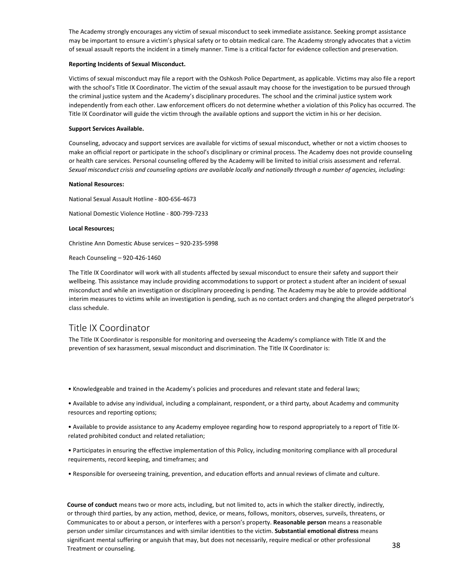The Academy strongly encourages any victim of sexual misconduct to seek immediate assistance. Seeking prompt assistance may be important to ensure a victim's physical safety or to obtain medical care. The Academy strongly advocates that a victim of sexual assault reports the incident in a timely manner. Time is a critical factor for evidence collection and preservation.

#### **Reporting Incidents of Sexual Misconduct.**

Victims of sexual misconduct may file a report with the Oshkosh Police Department, as applicable. Victims may also file a report with the school's Title IX Coordinator. The victim of the sexual assault may choose for the investigation to be pursued through the criminal justice system and the Academy's disciplinary procedures. The school and the criminal justice system work independently from each other. Law enforcement officers do not determine whether a violation of this Policy has occurred. The Title IX Coordinator will guide the victim through the available options and support the victim in his or her decision.

#### **Support Services Available.**

Counseling, advocacy and support services are available for victims of sexual misconduct, whether or not a victim chooses to make an official report or participate in the school's disciplinary or criminal process. The Academy does not provide counseling or health care services. Personal counseling offered by the Academy will be limited to initial crisis assessment and referral. Sexual misconduct crisis and counseling options are available locally and nationally through a number of agencies, including:

#### **National Resources:**

National Sexual Assault Hotline - 800-656-4673

National Domestic Violence Hotline - 800-799-7233

#### **Local Resources;**

Christine Ann Domestic Abuse services – 920-235-5998

Reach Counseling – 920-426-1460

The Title IX Coordinator will work with all students affected by sexual misconduct to ensure their safety and support their wellbeing. This assistance may include providing accommodations to support or protect a student after an incident of sexual misconduct and while an investigation or disciplinary proceeding is pending. The Academy may be able to provide additional interim measures to victims while an investigation is pending, such as no contact orders and changing the alleged perpetrator's class schedule. misconduct and while an investigation or disciplinary proceeding is pending. The Academy may be able to provide additional<br>interim measures to victims while an investigation is pending, such as no contact orders and changi

## Title IX Coordinator

The Title IX Coordinator is responsible for monitoring and overseeing the Academy's compliance with Title IX and the prevention of sex harassment, sexual misconduct and discrimination. The Title IX Coordinator is:

end Title IX Coordinator<br>• The Title IX Coordinator is responsible for monitoring and overseeing the Academy's compliance with Title IX and the<br>• prevention of sex harassment, sexual misconduct and discrimination. The Titl Title IX Coordinator<br>The Title IX Coordinator is responsible for monitoring and overseeing the<br>prevention of sex harassment, sexual misconduct and discrimination. The<br>• Knowledgeable and trained in the Academy's policies a FIET THE IX COOT CUINT AUT<br>The Title IX Coordinator is responsible for monitoring and overseeing the Academy's compliance with Title IX and the<br>prevention of sex harassment, sexual misconduct and discrimination. The Title The Title IX Coordinator is responsible for monitoring and overseeing the Academy's condinention of sex harassment, sexual misconduct and discrimination. The Title IX Coordinential of the Academy's policies and procedures • Knowledgeable and trained in the Academy's policies and procedures and relevant state and federal laws;<br>• Available to advise any individual, including a complainant, respondent, or a third party, about Academy and commu Figure Monology and trained in the Academy's policies and procedures and relevant state and ferminal and the Academy's policies and procedures and relevant state and ferminal of the Academy amplainant, respondent, or a thi • Knowledgeable and trained in the Academy's policies and procedures and relevant state and federal laws;<br>• Available to advise any individual, including a complainant, respondent, or a third party, about Academy and commu

**Course of conduct** means two or more acts, including, but not limited to, acts in which the stalker directly, indirectly, or through third parties, by any action, method, device, or means, follows, monitors, observes, surveils, threatens, or Communicates to or about a person, or interferes with a person's property. **Reasonable person** means a reasonable person under similar circumstances and with similar identities to the victim. **Substantial emotional distress** means significant mental suffering or anguish that may, but does not necessarily, require medical or other professional Treatment or counseling.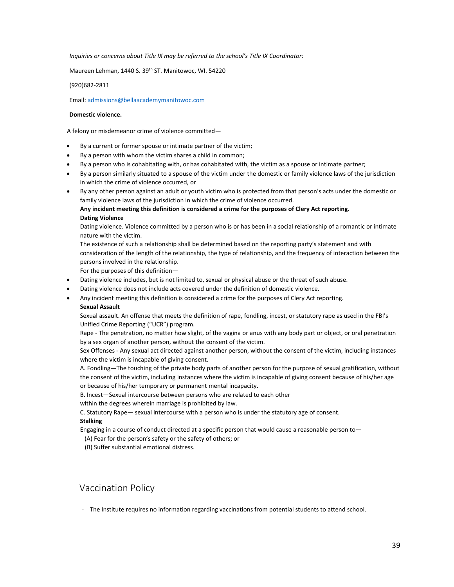*Inquiries or concerns about Title IX may be referred to the school's Title IX Coordinator:*

Maureen Lehman, 1440 S. 39<sup>th</sup> ST. Manitowoc, WI. 54220

(920)682-2811

Email: admissions@bellaacademymanitowoc.com

#### **Domestic violence.**

A felony or misdemeanor crime of violence committed—

- By a current or former spouse or intimate partner of the victim;
- By a person with whom the victim shares a child in common;
- By a person who is cohabitating with, or has cohabitated with, the victim as a spouse or intimate partner;
- By a person similarly situated to a spouse of the victim under the domestic or family violence laws of the jurisdiction in which the crime of violence occurred, or
- By any other person against an adult or youth victim who is protected from that person's acts under the domestic or family violence laws of the jurisdiction in which the crime of violence occurred.

## **Any incident meeting this definition is considered a crime for the purposes of Clery Act reporting. Dating Violence**

Dating violence. Violence committed by a person who is or has been in a social relationship of a romantic or intimate nature with the victim.

The existence of such a relationship shall be determined based on the reporting party's statement and with consideration of the length of the relationship, the type of relationship, and the frequency of interaction between the persons involved in the relationship.

For the purposes of this definition—

- Dating violence includes, but is not limited to, sexual or physical abuse or the threat of such abuse.
- Dating violence does not include acts covered under the definition of domestic violence.
- Any incident meeting this definition is considered a crime for the purposes of Clery Act reporting.

#### **Sexual Assault**

Sexual assault. An offense that meets the definition of rape, fondling, incest, or statutory rape as used in the FBI's Unified Crime Reporting ("UCR") program.

Rape - The penetration, no matter how slight, of the vagina or anus with any body part or object, or oral penetration by a sex organ of another person, without the consent of the victim.

<span id="page-42-0"></span>Sex Offenses - Any sexual act directed against another person, without the consent of the victim, including instances where the victim is incapable of giving consent.

A. Fondling—The touching of the private body parts of another person for the purpose of sexual gratification, without the consent of the victim, including instances where the victim is incapable of giving consent because of his/her age or because of his/her temporary or permanent mental incapacity.

B. Incest—Sexual intercourse between persons who are related to each other

within the degrees wherein marriage is prohibited by law.

C. Statutory Rape— sexual intercourse with a person who is under the statutory age of consent.

## **Stalking**

Engaging in a course of conduct directed at a specific person that would cause a reasonable person to—

(A) Fear for the person's safety or the safety of others; or

(B) Suffer substantial emotional distress.

## Vaccination Policy

.. Statutory Rape— sexual intercourse with a person who is under the statutory age of consent.<br>talking<br>requires in a course of conduct directed at a specific person that would cause a reasonable person to—<br>(A) Fear for the